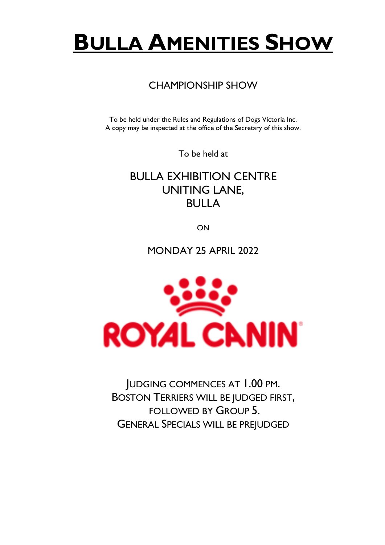# **BULLA AMENITIES SHOW**

# CHAMPIONSHIP SHOW

To be held under the Rules and Regulations of Dogs Victoria Inc. A copy may be inspected at the office of the Secretary of this show.

To be held at

BULLA EXHIBITION CENTRE UNITING LANE, BULLA

ON

MONDAY 25 APRIL 2022



JUDGING COMMENCES AT 1.00 PM. BOSTON TERRIERS WILL BE JUDGED FIRST, FOLLOWED BY GROUP 5. GENERAL SPECIALS WILL BE PREJUDGED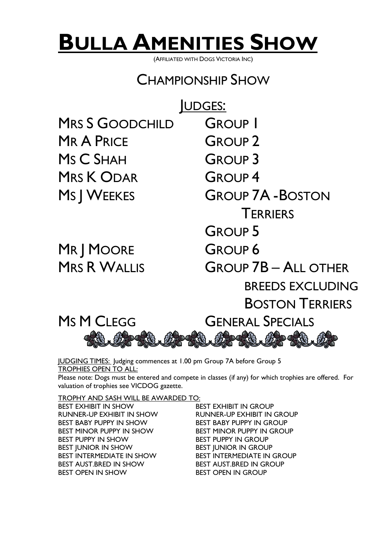# **BULLA AMENITIES SHOW**

(AFFILIATED WITH DOGS VICTORIA INC)

# CHAMPIONSHIP SHOW

MRS S GOODCHILD GROUP MR A PRICE GROUP 2 MS C SHAH GROUP 3 MRS K ODAR GROUP 4

MR | MOORE GROUP 6

UDGES: MS | WEEKES GROUP 7A - BOSTON **TERRIERS** GROUP<sub>5</sub> MRS R WALLIS GROUP 7B – ALL OTHER BREEDS EXCLUDING BOSTON TERRIERS



JUDGING TIMES: Judging commences at 1.00 pm Group 7A before Group 5 TROPHIES OPEN TO ALL: Please note: Dogs must be entered and compete in classes (if any) for which trophies are offered. For valuation of trophies see VICDOG gazette.

TROPHY AND SASH WILL BE AWARDED TO:

BEST EXHIBIT IN SHOW BEST EXHIBIT IN GROUP RUNNER-UP EXHIBIT IN SHOW RUNNER-UP EXHIBIT IN GROUP BEST BABY PUPPY IN SHOW BEST BABY PUPPY IN GROUP BEST MINOR PUPPY IN SHOW BEST MINOR PUPPY IN GROUP BEST PUPPY IN SHOW BEST PUPPY IN GROUP BEST JUNIOR IN SHOW BEST JUNIOR IN GROUP BEST INTERMEDIATE IN SHOW BEST INTERMEDIATE IN GROUP BEST AUST.BRED IN SHOW BEST AUST.BRED IN GROUP BEST OPEN IN SHOW BEST OPEN IN GROUP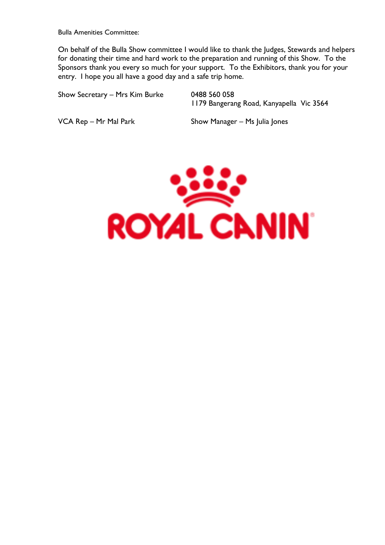Bulla Amenities Committee:

On behalf of the Bulla Show committee I would like to thank the Judges, Stewards and helpers for donating their time and hard work to the preparation and running of this Show. To the Sponsors thank you every so much for your support. To the Exhibitors, thank you for your entry. I hope you all have a good day and a safe trip home.

| Show Secretary - Mrs Kim Burke | 0488 560 058<br>1179 Bangerang Road, Kanyapella Vic 3564 |  |
|--------------------------------|----------------------------------------------------------|--|
|                                |                                                          |  |

VCA Rep – Mr Mal Park Show Manager – Ms Julia Jones

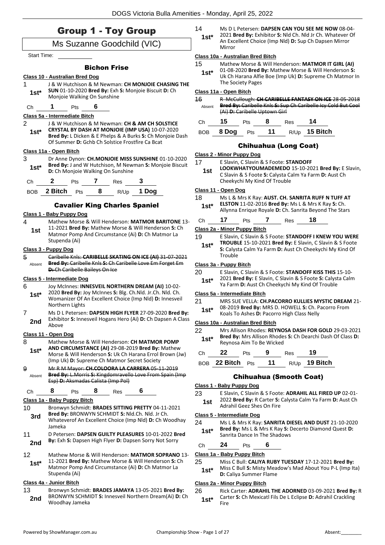# Group 1 - Toy Group

### Ms Suzanne Goodchild (VIC)

Start Time:

#### Bichon Frise

#### **Class 10 - Australian Bred Dog**

- 1 J & W Hutchison & M Newman: **CH MONJOIE CHASING THE SUN** 01-10-2020 **Bred By:** Exh **S:** Monjoie Biscuit **D:** Ch **1st\*** SUN 01-10-2020 Bred By: EXN<br>Monjoie Walking On Sunshine
- Ch **1** Pts **6**

#### **Class 5a - Intermediate Bitch**

- 2 J & W Hutchison & M Newman: **CH & AM CH SOLSTICE**
- **CRYSTAL BY DASH AT MONJOIE (IMP USA)** 10-07-2020 **Bred By:** L Dicken & E Phelps & A Burks **S:** Ch Monjoie Dash Of Summer **D:** Gchb Ch Solstice Frostfire Ca Bcat **1st\***

#### **Class 11a - Open Bitch**

3 Dr Anne Dynon: **CH.MONJOIE MISS SUNSHINE** 01-10-2020 **Bred By:** J and W Hutchison, M Newman **S:** Monjoie Biscuit **1st\* Brea By:** J and W Hutchison, M New<br>**D:** Ch Monjoie Walking On Sunshine



# Cavalier King Charles Spaniel

#### **Class 1 - Baby Puppy Dog**

4 Mathew Morse & Will Henderson: **MATMOR BARITONE** 13- 11-2021 **Bred By:** Mathew Morse & Will Henderson **S:** Ch Matmor Pomp And Circumstance (Ai) **D:** Ch Matmor La Stupenda (Ai) **1st**

#### **Class 3 - Puppy Dog**

5 Caribelle Knls: **CARIBELLE SKATING ON ICE (AI)** 31-07-2021 **Bred By:** Caribelle Knls **S:** Ch Caribelle Love Em Forget Em **D:** Ch Caribelle Baileys On Ice Absent

#### **Class 5 - Intermediate Dog**

- 6 Joy McInnes: **INNESVEIL NORTHERN DREAM (AI)** 10-02-
- 2020 **Bred By:** Joy McInnes **S:** Blg. Ch.Nld. Jr.Ch. Nld. Ch. Womanizer Of An Excellent Choice (Imp Nld) **D:** Innesveil Northern Lights **1st\***
- 7 Ms D L Petersen: **DAPSEN HIGH FLYER** 27-09-2020 **Bred By:** Exhibitor **S:** Innesveil Hogans Hero (Ai) **D:** Ch Dapsen A Class **2nd** Exhibit

#### **Class 11 - Open Dog**

- 8 Mathew Morse & Will Henderson: **CH MATMOR POMP AND CIRCUMSTANCE (AI)** 29-08-2019 **Bred By:** Mathew **1st\***
	- Morse & Will Henderson **S:** Uk Ch Harana Errol Brown (Jw) (Imp Uk) **D:** Supreme Ch Matmor Secret Society
- 9 Mr R M Mayor: **CH.COLOORA LA CARRERA** 05-11-2019 **Bred By:** L.Morris **S:** Kingdomravello Love From Spain (Imp Esp) **D:** Aksmadas Calista (Imp Pol) Absent

#### Ch **8** Pts **8** Res **6**

### **Class 1a - Baby Puppy Bitch**

- 10 Bronwyn Schmidt: **BRADES SITTING PRETTY** 04-11-2021 **Bred By:** BRONWYN SCHMIDT **S:** Nld.Ch. Nld. Jr Ch. **3rd**
- Whateverof An Excellent Choice (Imp Nld) **D:** Ch Woodhay Jameka 11 D Petersen: **DAPSEN GUILTY PLEASURES** 10-01-2022 **Bred**
- 2nd By: Exh S: Dapsen High Flyer D: Dapsen Sorry Not Sorry
- 12 Mathew Morse & Will Henderson: **MATMOR SOPRANO** 13-
- 11-2021 **Bred By:** Mathew Morse & Will Henderson **S:** Ch Matmor Pomp And Circumstance (Ai) **D:** Ch Matmor La Stupenda (Ai) **1st\***

#### **Class 4a - Junior Bitch**

13 Bronwyn Schmidt: **BRADES JAMAYA** 13-05-2021 **Bred By:** BRONWYN SCHMIDT **S:** Innesveil Northern Dream(Ai) **D:** Ch **2nd** BRONWYN SCHM<br>Woodhay Jameka

14 Ms D L Petersen: **DAPSEN CAN YOU SEE ME NOW** 08-04- 2021 **Bred By:** Exhibitor **S:** Nld Ch. Nld Jr Ch. Whatever Of An Excellent Choice (Imp Nld) **D:** Sup Ch Dapsen Mirror Mirror **1st\***

#### **Class 10a - Australian Bred Bitch**

- 15 Mathew Morse & Will Henderson: **MATMOR IT GIRL (AI)**
- 01-08-2020 **Bred By:** Mathew Morse & Will Henderson **S:**  Uk Ch Harana Alfie Boe (Imp Uk) **D:** Supreme Ch Matmor In The Society Pages **1st\***

#### **Class 11a - Open Bitch**

16 R McCullough: **CH CARIBELLE FANTASY ON ICE** 28-05-2018 **Bred By:** Caribelle Knls **S:** Sup Ch Caribelle Icy Cold But Cool (Ai) **D:** Caribelle Uptown Girl Absent

| Ch — | 15 | <b>Pts</b> | 8 | Res |                                |
|------|----|------------|---|-----|--------------------------------|
|      |    |            |   |     | BOB 8 Dog Pts 11 R/Up 15 Bitch |

#### Chihuahua (Long Coat)

#### **Class 2 - Minor Puppy Dog**

- 17 E Slavin, C Slavin & S Foote: **STANDOFF** 
	- **LOOKWHATYOUMADEMEDO** 15-10-2021 **Bred By:** E Slavin, C Slavin & S Foote **S:** Calysta Calm Ya Farm **D:** Aust Ch Cheekychi My Kind Of Trouble **1st**

#### **Class 11 - Open Dog**

- 18 Ms L & Mrs K Ray: **AUST. CH. SANRITA RUFF N TUFF AT ELSTON** 11-02-2016 **Bred By:** Ms L & Mrs K Ray **S:** Ch.
	- Allynna Enrique Royale **D:** Ch. Sanrita Beyond The Stars **1st\***

#### Ch **17** Pts **7** Res **18**

#### **Class 2a - Minor Puppy Bitch**

19 E Slavin, C Slavin & S Foote: **STANDOFF I KNEW YOU WERE TROUBLE** 15-10-2021 **Bred By:** E Slavin, C Slavin & S Foote **S:** Calysta Calm Ya Farm **D:** Aust Ch Cheekychi My Kind Of **1st\***

#### **Class 3a - Puppy Bitch**

Trouble

- 20 E Slavin, C Slavin & S Foote: **STANDOFF KISS THIS** 15-10-
- 2021 **Bred By:** E Slavin, C Slavin & S Foote **S:** Calysta Calm **1st** <sup>2021</sup> Brea By: E Slavin, C Slavin & S Foote **5:** Calyst<br>Ya Farm **D:** Aust Ch Cheekychi My Kind Of Trouble

#### **Class 5a - Intermediate Bitch**

#### 21 MRS SUE VELLA: **CH.PACORRO KULLIES MYSTIC DREAM** 21-

08-2019 **Bred By:** MRS D. HOWELL **S:** Ch. Pacorro From **1st**\* US-2019 **Bred By:** MRS D. HOWELL **S:** Ch. P<br>Koals To Ashes **D:** Pacorro High Class Nelly

#### **Class 10a - Australian Bred Bitch**

- 22 Mrs Allison Rhodes: **REYNOSA DASH FOR GOLD** 29-03-2021 **Bred By:** Mrs Allison Rhodes **S:** Ch Dearchi Dash Of Class **D: 1st\* Bred By:** Mrs Allison Rhode:<br>Reynosa Aim To Be Wicked
- 
- BOB **22 Bitch** Pts **11** R/Up **19 Bitch**

#### Chihuahua (Smooth Coat)

#### **Class 1 - Baby Puppy Dog**

- 23 E Slavin, C Slavin & S Foote: **ADRAHIL ALL FIRED UP** 02-01-
- 2022 **Bred By:** R Carter **S:** Calysta Calm Ya Farm **D:** Aust Ch **1st 2022 Bred By:** R Carter **S:**<br>Adrahil Geez Shes On Fire

#### **Class 5 - Intermediate Dog**

24 Ms L & Mrs K Ray: **SANRITA DIESEL AND DUST** 21-10-2020 **Bred By:** Ms L & Mrs K Ray **S:** Decerto Diamond Quest **D: 1st\*** Bred By: Ms L & Mrs K Ray S: I

#### Ch **24** Pts **6**

#### **Class 1a - Baby Puppy Bitch**

- 25 Miss C Bull: **CALIYA RUBY TUESDAY** 17-12-2021 **Bred By:**
- Miss C Bull **S:** Misty Meadow's Mad About You P-L (Imp Ita) **1st**\* MISS C BUIL S: MISTY Mea

#### **Class 2a - Minor Puppy Bitch**

26 Rick Carter: **ADRAHIL THE ADORNED** 03-09-2021 **Bred By:** R Carter **S:** Ch Mexicatl Fils De L Eclipse **D:** Adrahil Crackling Fire **1st\***

- 
- Ch **22** Pts **9** Res **19**
-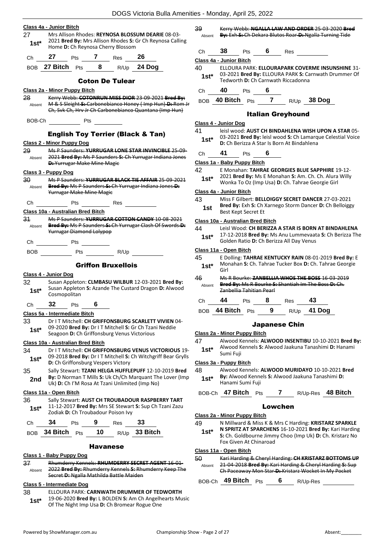|              | DOGS Victoria Bulla Amenities - Monday, April 2                                                                 |         |                                          |
|--------------|-----------------------------------------------------------------------------------------------------------------|---------|------------------------------------------|
|              | Class 4a - Junior Bitch                                                                                         | 39      | Kerry Webb:                              |
| 27           | Mrs Allison Rhodes: REYNOSA BLOSSUM DEARIE 08-03-                                                               | Absent  | By: Exh-S: Ch                            |
| 1st*         | 2021 Bred By: Mrs Allison Rhodes S: Gr Ch Reynosa Calling<br>Home D: Ch Reynosa Cherry Blossom                  |         | 38                                       |
| Ch           | 27<br>7 Res<br>26<br><b>Pts</b>                                                                                 | Ch      | Pts                                      |
|              | BOB 27 Bitch Pts 8 R/Up 24 Dog                                                                                  |         | Class 4a - Junior Bitch                  |
|              |                                                                                                                 | 40      | <b>ELLOURA PAI</b><br>03-2021 Bred       |
|              | <b>Coton De Tulear</b>                                                                                          | $1st^*$ | Tedworth D:                              |
|              | Class 2a - Minor Puppy Bitch                                                                                    | Ch      | 40<br>Pts                                |
| 28           | Kerry Webb: COTONRUN MISS DIOR 23-09-2021 Bred By:                                                              |         | BOB 40 Bitch P                           |
| Absent       | M & S Sleight S: Carbonebianco Honey (Imp Hun) D: Rom Jr                                                        |         |                                          |
|              | Ch, Svk Ch, Hrv Jr Ch Carbonebianco Quantana (Imp Hun)                                                          |         | И                                        |
| BOB-Ch       | Pts                                                                                                             |         | Class 4 - Junior Dog                     |
|              |                                                                                                                 | 41      | leisl wood: A                            |
|              | <b>English Toy Terrier (Black &amp; Tan)</b>                                                                    | $1st^*$ | 03-2021 Bred                             |
|              | <b>Class 2 - Minor Puppy Dog</b>                                                                                |         | D: Ch Berizza                            |
| 29<br>Absent | Ms P Saunders: YURRUGAR LONE STAR INVINCIBLE 25 09-<br>2021 Bred By: Ms P Saunders S: Ch Yurrugar Indiana Jones | Ch      | 41<br>Pts                                |
|              | D: Yurrugar Make Mine Magic                                                                                     |         | Class 1a - Baby Puppy                    |
|              | Class 3 - Puppy Dog                                                                                             | 42      | E Monahan:                               |
| 30           | Ms P Saunders: YURRUGAR BLACK TIE AFFAIR 25-09-2021                                                             | $1st^*$ | 2021 Bred By<br>Wonka To Oz              |
| Absent       | Bred By: Ms P Saunders S: Ch Yurrugar Indiana Jones D:                                                          |         | Class 4a - Junior Bitch                  |
|              | Yurrugar Make Mine Magic                                                                                        | 43      | Miss F Gilber                            |
| Сh           | Pts<br>Res                                                                                                      | 1st     | Bred By: Exh                             |
|              | Class 10a - Australian Bred Bitch                                                                               |         | Best Kept Seo                            |
| 34           | Ms P Saunders: YURRUGAR COTTON CANDY 10 08 2021                                                                 |         | Class 10a - Australian                   |
| Absent       | Bred By: Ms P Saunders S: Ch Yurrugar Clash Of Swords D:<br>Yurrugar Diamond Lolypop                            | 44      | Leisl Wood: 0                            |
|              |                                                                                                                 | $1st*$  | 17-12-2018 <b>E</b><br>Golden Ratio      |
| Ch           | Pts                                                                                                             |         |                                          |
| BOB.         | Pts<br>R/Up                                                                                                     | 45      | Class 11a - Open Bitch<br>E Dolling: TAI |
|              | <b>Griffon Bruxellois</b>                                                                                       | $1st*$  | Monahan S:<br>Girl                       |
|              | Class 4 - Junior Dog                                                                                            | 46      | Ms R Bourke                              |
| 32           | Susan Appleton: CLMBASU WILBUR 12-03-2021 Bred By:<br>Susan Appleton S: Azande The Custard Dragon D: Alwood     | Absent  | Bred By: Ms                              |
| $1st*$       | Cosmopolitan                                                                                                    |         | Zanbellia Tah                            |
| Ch           | 32<br>6<br>Pts                                                                                                  | Ch      | 44 Pts                                   |
|              | Class 5a - Intermediate Bitch                                                                                   |         | BOB 44 Bitch P                           |
| 33           | Dr IT Mitchell: CH GRIFFONSBURG SCARLETT VIVIEN 04-                                                             |         |                                          |
| $1st*$       | 09-2020 Bred By: Dr I T Mitchell S: Gr Ch Tzani Neddie                                                          |         |                                          |
|              | Seagoon D: Ch Griffonsburg Venus Victorious                                                                     |         | Class 2a - Minor Puppy                   |
|              | Class 10a - Australian Bred Bitch                                                                               | 47      | Alwood Kenn<br>Alwood Kenn               |
| 34           | Dr I T Mitchell: CH GRIFFONSBURG VENUS VICTORIOUS 19-                                                           | $1st*$  | Sumi Fuji                                |
| 1st*         | 09-2018 Bred By: Dr I T Mitchell S: Ch Witchgriff Bear Grylls<br>D: Ch Griffonsburg Vespers Victory             |         | Class 3a - Puppy Bitch                   |
| 35           | Sally Stewart: TZANI HELGA HUFFLEPUFF 12-10-2019 Bred                                                           | 48      | Alwood Kenn                              |
| 2nd          | By: D Norman T Mills S: Uk Ch/Ch Marquant The Lover (Imp                                                        | $1st^*$ | <b>By:</b> Alwood K                      |
|              | Uk) D: Ch I'M Rosa At Tzani Unlimited (Imp No)                                                                  |         | Hanami Sumi                              |
|              | Class 11a - Open Bitch                                                                                          | BOB-Ch  | 47 Bitch                                 |
| 36           | Sally Stewart: AUST CH TROUBADOUR RASPBERRY TART                                                                |         |                                          |
| $1st^*$      | 11-12-2017 Bred By: Mrs SE Stewart S: Sup Ch Tzani Zazu<br>Zodiak D: Ch Troubadour Poison Ivy                   |         |                                          |
|              |                                                                                                                 |         | Class 2a - Minor Puppy                   |
| Ch           | 34<br>33<br>9<br>Pts<br>Res                                                                                     | 49      | N Millward &<br>N SPRITZ AT              |
| <b>BOB</b>   | 10<br>33 Bitch<br>34 Bitch<br>Pts<br>R/Up                                                                       | 1st*    | S: Ch. Goldbo                            |
|              | <b>Havanese</b>                                                                                                 |         | Fox Given At                             |

#### **Class 1 - Baby Puppy Dog**

| -37    | Rhumderry Kennels: RHUMDERRY SECRET AGENT 16-01-                                                 |
|--------|--------------------------------------------------------------------------------------------------|
| Absent | 2022 Bred By: Rhumderry Kennels S: Rhumderry Keep The<br>Secret D: Ngalla Mathilda Battle Maiden |
|        |                                                                                                  |

#### **Class 5 - Intermediate Dog**

38 ELLOURA PARK: **CARNWATH DRUMMER OF TEDWORTH** 19-06-2020 **Bred By:** L BOLDEN **S:** Am Ch Angelhearts Music Of The Night Imp Usa **D:** Ch Bromear Rogue One **1st\***

39 Kerry Webb: **NGALLA LAW AND ORDER** 25-03-2020 **Bred**  Absent **By:** Exh **S:** Ch Dekara Blutos Roar **D:** Ngalla Turning Tide



ARK: **ELLOURAPARK COVERME INSUNSHINE** 31red By: ELLOURA PARK S: Carnwath Drummer Of **D:** Ch Carnwath Riccadonna

Ch **40** Pts **6**

BOB **40 Bitch** Pts **7** R/Up **38 Dog**

#### Italian Greyhound

|  | Class 4 - Junior Dog |  |
|--|----------------------|--|
|  |                      |  |

**AUST CH BINDAHLENA WISH UPON A STAR 05**ed By: leisl wood S: Ch Lamarque Celestial Voice **za A Star Is Born At Bindahlena** 

#### Ch **41** Pts **6**

**Class 1a - Baby Puppy Bitch**

1: **TAHRAE GEORGIES BLUE SAPPHIRE** 19-12-2021 **Bred By:** Ms E Monahan **S:** Am. Ch. Ch. Alura Willy Oz (Imp Usa) **D:** Ch. Tahrae Georgie Girl

- ert: **BELLOIGGY SECRET DANCER** 27-03-2021 **Bred By:** Exh **S:** Ch Xarnego Storm Dancer **D:** Ch Belloiggy
- Best Kept Secret Et **1st**

#### **Class 10a - Australian Bred Bitch**

- **CH BERIZZA A STAR IS BORN AT BINDAHLENA Bred By: Ms Anu Lummevaata S: Ch Berizza The**
- io **D:** Ch Berizza All Day Venus

#### **Class 11a - Open Bitch**

| 45     | E Dolling: TAHRAE KENTUCKY RAIN 08-01-2019 Bred By: E  |
|--------|--------------------------------------------------------|
| $1st*$ | Monahan S: Ch. Tahrae Tucker Box D: Ch. Tahrae Georgie |
|        | Girl                                                   |

**10: ZANBELLIA WHOS THE BOSS** 16-03-2019 **Bred By:** Ms R Bourke **S:** Shantiah Im The Boss **D:** Ch. ahitian Pearl

| Ch | 44               | Pts | -8 | Res |               |
|----|------------------|-----|----|-----|---------------|
|    | BOB 44 Bitch Pts |     | 9  |     | $R/Up$ 41 Dog |

#### Japanese Chin

#### **Class 2a - Minor Puppy Bitch**

47 Alwood Kennels: **ALWOOD INSENTIBU** 10-10-2021 **Bred By:** Alwood Kennels **S:** Alwood Jaakuna Tanashimi **D:** Hanami

#### **Class 3a - Puppy Bitch**

48 Alwood Kennels: **ALWOOD MURIDAYO** 10-10-2021 **Bred Kennels S: Alwood Jaakuna Tanashimi D:** 

#### BOB-Ch **47 Bitch** Pts **7** R/Up-Res **48 Bitch**

#### Lowchen

#### **Class 2a - Minor Puppy Bitch**

- $&$  Miss K  $&$  Mrs C Harding: **KRISTARZ SPARKLE**
- **N SPRITZ AT SPARCHENS** 16-10-2021 **Bred By:** Kari Harding **S:** Ch. Goldbourne Jimmy Choo (Imp Uk) **D:** Ch. Kristarz No At Chinaroad

#### **Class 11a - Open Bitch**

#### 50 Kari Harding & Cheryl Harding: **CH KRISTARZ BOTTOMS UP** 21-04-2018 **Bred By:** Kari Harding & Cheryl Harding **S:** Sup Ch Paceaway Mon Star **D:** Kristarz Wocket In My Pocket Absent

BOB-Ch **49 Bitch** Pts **6** R/Up-Res

mi Fuji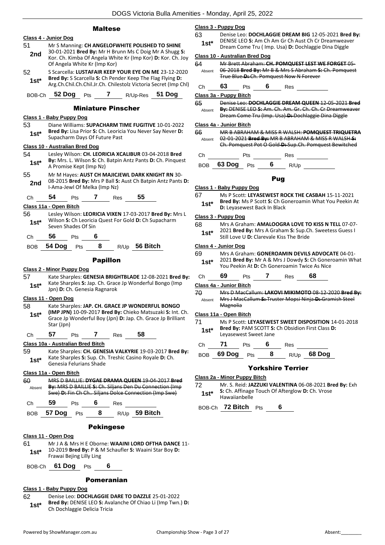#### Maltese

|               | Class 4 - Junior Dog                                         |            |                    |                           |                                                                                                                                                                                             |
|---------------|--------------------------------------------------------------|------------|--------------------|---------------------------|---------------------------------------------------------------------------------------------------------------------------------------------------------------------------------------------|
| 51<br>2nd     | Of Angela White Kr (Imp Kor)                                 |            |                    |                           | Mr S Manning: CH ANGELOFWHITE POLISHED TO SHINE<br>30-01-2021 Bred By: Mr H Brunn Ms C Doig Mr A Shugg S:<br>Kor. Ch. Kimba Of Angela White Kr (Imp Kor) D: Kor. Ch. Joy                    |
| 52<br>$1st^*$ |                                                              |            |                    |                           | S Scarcella: LUSTAFAIR KEEP YOUR EYE ON ME 23-12-2020<br>Bred By: S Scarcella S: Ch Pender Keep The Flag Flying D:<br>Arg.Ch.Chil.Ch.Chil.Jr.Ch. Chilestolz Victoria Secret (Imp Chl)       |
| BOB-Ch        | 52 Dog                                                       | <b>Pts</b> | 7                  |                           | R/Up-Res 51 Dog                                                                                                                                                                             |
|               |                                                              |            |                    | <b>Miniature Pinscher</b> |                                                                                                                                                                                             |
|               | Class 1 - Baby Puppy Dog                                     |            |                    |                           |                                                                                                                                                                                             |
| 53<br>1st*    | Supacharm Days Of Future Past                                |            |                    |                           | Diane Williams: SUPACHARM TIME FUGITIVE 10-01-2022<br>Bred By: Lisa Prior S: Ch. Leoricia You Never Say Never D:                                                                            |
|               | Class 10 - Australian Bred Dog                               |            |                    |                           |                                                                                                                                                                                             |
| 54<br>$1st*$  | A Promise Kept (Imp Nz)                                      |            |                    |                           | Lesley Wilson: CH. LEORICIA XCALIBUR 03-04-2018 Bred<br>By: Mrs. L. Wilson S: Ch. Batpin Antz Pants D: Ch. Pinquest                                                                         |
| 55<br>2nd     | I-Ama-Jewl Of Melka (Imp Nz)                                 |            |                    |                           | Mr M Hayes: AUST CH MAJICJEWL DARK KNIGHT RN 30-<br>08-2015 Bred By: Mrs P Ball S: Aust Ch Batpin Antz Pants D:                                                                             |
| Сh            | 54                                                           | Pts        | 7                  | Res                       | 55                                                                                                                                                                                          |
|               | <u> Class 11a - Open Bitch</u>                               |            |                    |                           |                                                                                                                                                                                             |
| 56<br>$1st^*$ |                                                              |            |                    |                           | Lesley Wilson: LEORICIA VIXEN 17-03-2017 Bred By: Mrs L<br>Wilson S: Ch Leoricia Quest For Gold D: Ch Supacharm                                                                             |
| Сh            | Seven Shades Of Sin<br>56                                    | Pts        | 6                  |                           |                                                                                                                                                                                             |
| BOB.          | 54 Dog Pts                                                   |            | 8                  |                           | R/Up 56 Bitch                                                                                                                                                                               |
|               |                                                              |            |                    |                           |                                                                                                                                                                                             |
|               | <b>Class 2 - Minor Puppy Dog</b>                             |            | <b>Papillon</b>    |                           |                                                                                                                                                                                             |
| 57<br>$1st^*$ | Jpn) D: Ch. Genesia Ragnarok                                 |            |                    |                           | Kate Sharples: GENESIA BRIGHTBLADE 12-08-2021 Bred By:<br>Kate Sharples S: Jap. Ch. Grace Jp Wonderful Bongo (Imp                                                                           |
|               | <u>Class 11 - Open Dog</u>                                   |            |                    |                           |                                                                                                                                                                                             |
| 58<br>1st*    | Star (Jpn)                                                   |            |                    |                           | Kate Sharples: JAP. CH. GRACE JP WONDERFUL BONGO<br>(IMP JPN) 10-09-2017 Bred By: Chieko Matsuzaki S: Int. Ch.<br>Grace Jp Wonderful Boy (Jpn) D: Jap. Ch. Grace Jp Brilliant               |
| Сh            | 57                                                           | <b>Pts</b> | 7                  | Res                       | 58                                                                                                                                                                                          |
| 59<br>1st*    | Class 10a - Australian Bred Bitch<br>Genesia Felurians Shade |            |                    |                           | Kate Sharples: CH. GENESIA VALKYRIE 19-03-2017 Bred By:<br>Kate Sharples S: Sup. Ch. Treshic Casino Royale D: Ch.                                                                           |
|               | <u> Class 11a - Open Bitch</u>                               |            |                    |                           |                                                                                                                                                                                             |
| 60<br>Absent  |                                                              |            |                    |                           | MRS D BAILLIE: DYGAE DRAMA QUEEN 19-04-2017 Bred<br>By: MRS D BAILLIE S: Ch. Siljans Den Du Connection (Imp<br>Swe) D: Fin Ch Ch Siljans Dolce Connection (Imp Swe)                         |
| Сh            | 59                                                           |            | Pts $\overline{6}$ | Res                       |                                                                                                                                                                                             |
| BOB           |                                                              |            |                    |                           | 57 Dog Pts 8 R/Up 59 Bitch                                                                                                                                                                  |
|               |                                                              |            | <b>Pekingese</b>   |                           |                                                                                                                                                                                             |
| 61<br>1st*    | Class 11 - Open Dog<br>Frawai Bejing Lilly Ling              |            |                    |                           | Mr J A & Mrs H E Oborne: WAAINI LORD OFTHA DANCE 11-<br>10-2019 Bred By: P & M Schaufler S: Waaini Star Boy D:                                                                              |
| BOB-Ch        | 61 Dog                                                       | <b>Pts</b> | 6                  |                           |                                                                                                                                                                                             |
|               |                                                              |            | Pomeranian         |                           |                                                                                                                                                                                             |
|               | <u> Class 1 - Baby Puppy Dog</u>                             |            |                    |                           |                                                                                                                                                                                             |
| 62            |                                                              |            |                    |                           | Denise Leo: DOCHLAGGIE DARE TO DAZZLE 25-01-2022<br>$D_{\text{tot}}$ $D_{\text{FNN}}$ $D_{\text{FNN}}$ $D_{\text{FNN}}$ $D_{\text{FNN}}$ $D_{\text{FNN}}$ $D_{\text{FNN}}$ $D_{\text{FNN}}$ |

#### **Class 3 - Puppy Dog**

63 Denise Leo: **DOCHLAGGIE DREAM BIG** 12-05-2021 **Bred By:** DENISE LEO **S:** Am Ch Am Gr Ch Aust Ch Cr Dreamweaver Dream Come Tru ( Imp. Usa) **D:** Dochlaggie Dina Diggle **1st\***

#### **Class 10 - Australian Bred Dog**

| 64<br>Absent |    |     | True Blue D: Ch. Pomquest Now N Forever | Mr Brett Abraham: CH. POMQUEST LEST WE FORGET 05-<br>06-2018 Bred By: Mr B & Mrs S Abraham S: Ch. Pomquest |
|--------------|----|-----|-----------------------------------------|------------------------------------------------------------------------------------------------------------|
|              | 63 | Pts | Res                                     |                                                                                                            |

**Class 3a - Puppy Bitch**

65 Denise Leo: **DOCHLAGGIE DREAM QUEEN** 12-05-2021 **Bred By:** DENISE LEO **S:** Am. Ch. Am. Gr. Ch. Ch. Cr Dreamweaver Dream Come Tru (Imp. Usa) **D:** Dochlaggie Dina Diggle Absent

#### **Class 4a - Junior Bitch**

66 MR B ABRAHAM & MISS R WALSH: **POMQUEST TRIQUETRA** 02-01-2021 **Bred By:** MR B ABRAHAM & MISS R WALSH **S:**  Ch. Pomquest Pot O Gold **D:** Sup.Ch. Pomquest Bewitched Absent

| Сh | ⊃ts            |   | Res  |  |
|----|----------------|---|------|--|
|    | BOB 63 Dog Pts | 6 | R/Up |  |

# Pug

- **Class 1 - Baby Puppy Dog**
- 67 Ms P Scott: **LEYASEWEST ROCK THE CASBAH** 15-11-2021
- **Bred By:** Ms P Scott **S:** Ch Goneroamin What You Peekin At **1st\* Brea By:** MS P Scott S: Ch Gotal **D:** Leyasewest Back In Black

#### **Class 3 - Puppy Dog**

| 68     | Mrs A Graham: AMALOOGRA LOVE TO KISS N TELL 07-07-     |
|--------|--------------------------------------------------------|
| $1st*$ | 2021 Bred By: Mrs A Graham S: Sup.Ch. Sweetess Guess I |
|        | Still Love U D: Clarevale Kiss The Bride               |

#### **Class 4 - Junior Dog**

|    | ***** *********                                               |
|----|---------------------------------------------------------------|
| 69 | Mrs A Graham: <b>GONEROAMIN DEVILS ADVOCATE</b> 04-01-        |
|    | 3034 Bush Bush 4s A. Q. Mas I Barrow C. Ch Concursoring Milan |

2021 **Bred By:** Mr A & Mrs J Dowdy **S:** Ch Goneroamin What **1st** ZUZI **Brea By:** Mr A & Mrs J Dowdy S: Ch Goner<br>You Peekin At D: Ch Goneroamin Twice As Nice

| Ch | 69 | Pts | Res | 68 |  |
|----|----|-----|-----|----|--|
|    |    |     |     |    |  |

**Class 4a - Junior Bitch**

70 Mrs D MacCallum: **LAKOVI MIKIMOTO** 08-12-2020 **Bred By:** Mrs J MacCallum **S:** Truster Mopsi Ninja **D:** Gramish Steel **Magnolia** Absent

#### **Class 11a - Open Bitch**

- 71 Ms P Scott: **LEYASEWEST SWEET DISPOSITION** 14-01-2018 **Bred By:** PAM SCOTT **S:** Ch Obsidion First Class **D:**
- **1st<sup>\*</sup>** Bred By: PAM SCOTT S:<br>Leyasewest Sweet Jane

| Ch $71$ Pts 6 |  | Res |                              |
|---------------|--|-----|------------------------------|
|               |  |     | BOB 69 Dog Pts 8 R/Up 68 Dog |

#### Yorkshire Terrier

#### **Class 2a - Minor Puppy Bitch**

72 Mr. S. Reid: **JAZZUKI VALENTINA** 06-08-2021 **Bred By:** Exh **S:** Ch. Affinage Touch Of Afterglow **D:** Ch. Vrose **1st\* 5:** Cn. Arrinage<br>Hawaiianbelle

BOB-Ch **72 Bitch** Pts **6**

**Bred By:** DENISE LEO **S:** Avalanche Of Chiao Li (Imp Twn.) **D: 1st\*** Bred By: DENISE LEO S: Ava<br>Ch Dochlaggie Delicia Tricia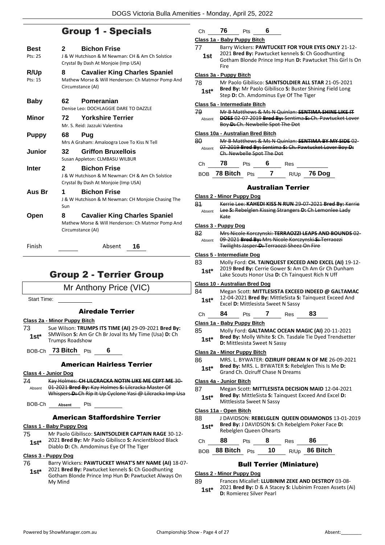# Group 1 - Specials

| Best               | <b>Bichon Frise</b><br>2                                                                                        |
|--------------------|-----------------------------------------------------------------------------------------------------------------|
| Pts: 25            | J & W Hutchison & M Newman: CH & Am Ch Solstice                                                                 |
|                    | Crystal By Dash At Monjoie (Imp USA)                                                                            |
| R/Up               | <b>Cavalier King Charles Spaniel</b><br>8                                                                       |
| Pts: 15            | Mathew Morse & Will Henderson: Ch Matmor Pomp And<br>Circumstance (AI)                                          |
|                    |                                                                                                                 |
| <b>Baby</b>        | 62<br>Pomeranian                                                                                                |
|                    | Denise Leo: DOCHLAGGIE DARE TO DAZZLE                                                                           |
| <b>Minor</b>       | <b>Yorkshire Terrier</b><br>72                                                                                  |
|                    | Mr. S. Reid: Jazzuki Valentina                                                                                  |
| <b>Puppy</b>       | 68<br>Pua                                                                                                       |
|                    | Mrs A Graham: Amaloogra Love To Kiss N Tell                                                                     |
| Junior             | <b>Griffon Bruxellois</b><br>32                                                                                 |
|                    | Susan Appleton: CLMBASU WILBUR                                                                                  |
| Inter              | 2<br><b>Bichon Frise</b><br>J & W Hutchison & M Newman: CH & Am Ch Solstice                                     |
|                    | Crystal By Dash At Monjoie (Imp USA)                                                                            |
| Aus Br             | <b>Bichon Frise</b><br>1                                                                                        |
|                    | J & W Hutchison & M Newman: CH Monjoie Chasing The                                                              |
|                    | Sun                                                                                                             |
| Open               | <b>Cavalier King Charles Spaniel</b><br>8                                                                       |
|                    | Mathew Morse & Will Henderson: Ch Matmor Pomp And                                                               |
|                    | Circumstance (AI)                                                                                               |
| Finish             | 16<br>Absent                                                                                                    |
|                    |                                                                                                                 |
|                    |                                                                                                                 |
|                    | <b>Group 2 - Terrier Group</b>                                                                                  |
|                    |                                                                                                                 |
|                    | Mr Anthony Price (VIC)                                                                                          |
| <b>Start Time:</b> |                                                                                                                 |
|                    | <b>Airedale Terrier</b>                                                                                         |
|                    | Class 2a - Minor Puppy Bitch                                                                                    |
| 73                 | Sue Wilson: TRUMPS ITS TIME (AI) 29-09-2021 Bred By:                                                            |
| $1st^*$            | SMWilson S: Am Gr Ch Br Joval Its My Time (Usa) D: Ch                                                           |
|                    | Trumps Roadshow                                                                                                 |
|                    | BOB-Ch 73 Bitch Pts<br>6                                                                                        |
|                    | <b>American Hairless Terrier</b>                                                                                |
|                    | Class 4 - Junior Dog                                                                                            |
| 74                 | Kay Holmes: CH LILCRACKA NOTIN LIKE ME CEPT ME 30-                                                              |
| Absent             | 01 2021 Bred By: Kay Holmes S: Lilcracka Master Of<br>Whispers D: Ch Rip It Up Cyclone Yasi @ Lilcracka Imp Usa |
|                    |                                                                                                                 |
|                    | BOB-Ch Absent Pts                                                                                               |
|                    | <b>American Staffordshire Terrier</b>                                                                           |
|                    |                                                                                                                 |

#### **Class 1 - Baby Puppy Dog**

75 Mr Paolo Gibilisco: **SAINTSOLDIER CAPTAIN RAGE** 30-12- 2021 **Bred By:** Mr Paolo Gibilisco **S:** Ancientblood Black **1st**\* 2021 **Brea By:** Mr Paolo Gibilisco S: Ancien<br>Diablo **D:** Ch. Amdominus Eye Of The Tiger

#### **Class 3 - Puppy Dog**

| 76 | Barry Wickers: PAWTUCKET WHAT'S MY NAME (AI) 18-07- |  |
|----|-----------------------------------------------------|--|
|----|-----------------------------------------------------|--|

2021 **Bred By:** Pawtucket kennels **S:** Ch Goodhunting Gotham Blonde Prince Imp Hun **D:** Pawtucket Always On My Mind **1st\***

| C <sub>h</sub> | 76 | Pts | հ        |  |
|----------------|----|-----|----------|--|
| . .            |    | _   | --<br>-- |  |

#### **Class 1a - Baby Puppy Bitch** 77 Barry Wickers: **PAWTUCKET FOR YOUR EYES ONLY** 21-12- 2021 **Bred By:** Pawtucket kennels **S:** Ch Goodhunting Gotham Blonde Prince Imp Hun **D:** Pawtucket This Girl Is On Fire **1st Class 3a - Puppy Bitch** 78 Mr Paolo Gibilisco: **SAINTSOLDIER ALL STAR** 21-05-2021 **Bred By:** Mr Paolo Gibilisco **S:** Buster Shining Field Long **1st\*** Brea by: Mr Paolo Gibilisco S: Buster Shi<br>Step D: Ch. Amdominus Eye Of The Tiger **Class 5a - Intermediate Bitch** 79 Mr B Matthews & Ms N Quinlan: **SENTIMA SHINE LIKE IT DOES** 02-07-2019 **Bred By:** Sentima **S:** Ch. Pawtucket Lover Boy **D:** Ch. Newbelle Spot The Dot Absent **Class 10a - Australian Bred Bitch** 80 Mr B Matthews & Ms N Quinlan: **SENTIMA BY MY SIDE** 02- 07-2019 **Bred By:** Sentima **S:** Ch. Pawtucket Lover Boy **D:**  Ch. Newbelle Spot The Dot Absent Ch **78** Pts **6** Res BOB **78 Bitch** Pts **7** R/Up **76 Dog** Australian Terrier **Class 2 - Minor Puppy Dog** 81 Kerrie Lee: **KAHEDI KISS N RUN** 29-07-2021 **Bred By:** Kerrie Lee **S:** Rebelglen Kissing Strangers **D:** Ch Lemonlee Lady Kate Absent **Class 3 - Puppy Dog** 82 Mrs Nicole Korczynski: **TERRAOZZI LEAPS AND BOUNDS** 02- 09-2021 **Bred By:** Mrs Nicole Korczynski **S:** Terraozzi Twilights Jasper **D:** Terraozzi Sheez On Fire Absent **Class 5 - Intermediate Dog** 83 Molly Ford: **CH. TAINQUEST EXCEED AND EXCEL (AI)** 19-12- 2019 **Bred By:** Cerrie Gower **S:** Am Ch Am Gr Ch Dunham Lake Scouts Honor Usa **D:** Ch Tainquest Rich N Uff **1st\* Class 10 - Australian Bred Dog** 84 Megan Scott: **MITTLESISTA EXCEED INDEED @ GALTAMAC** 12-04-2021 **Bred By:** MittleSista **S:** Tainquest Exceed And Excel **D:** Mittlesista Sweet N Sassy **1st\*** Ch **84** Pts **7** Res **83 Class 1a - Baby Puppy Bitch** 85 Molly Ford: **GALTAMAC OCEAN MAGIC (AI)** 20-11-2021 **Bred By:** Molly White **S:** Ch. Tasdale Tie Dyed Trendsetter **1st\* Died by:** Mony while **5:** Cn.<br>**D:** Mittlesista Sweet N Sassy **Class 2a - Minor Puppy Bitch** 86 MRS. L. BYWATER: **OZIRUFF DREAM N OF ME** 26-09-2021 **Bred By:** MRS. L. BYWATER **S:** Rebelglen This Is Me **D: 1st\* Brea By:** MRS. L. BYWATER **5:** Repe<br>Grand Ch. Oziruff Chase N Dreams **Class 4a - Junior Bitch** 87 Megan Scott: **MITTLESISTA DECISION MAID** 12-04-2021 **Bred By:** MittleSista **S:** Tainquest Exceed And Excel **D: 1st\* Brea By:** Mittlesista S: Tal **Class 11a - Open Bitch** 88 J DAVIDSON: **REBELGLEN QUEEN ODIAMONDS** 13-01-2019 **Bred By:** J DAVIDSON **S:** Ch Rebelglem Poker Face **D: 1st\* Brea By:** J DAVIDSON S: C<br>Rebelglen Queen Ohearts Ch **88** Pts **8** Res **86** BOB **88 Bitch** Pts **10** R/Up **86 Bitch** Bull Terrier (Miniature) **Class 2 - Minor Puppy Dog**

89 Frances Micallef: **LLUBINIM ZEKE AND DESTROY** 03-08- 2021 **Bred By:** D & A Stacey **S:** Llubinim Frozen Assets (Ai)

**1st**\* **D:** Romierez Silver Pearl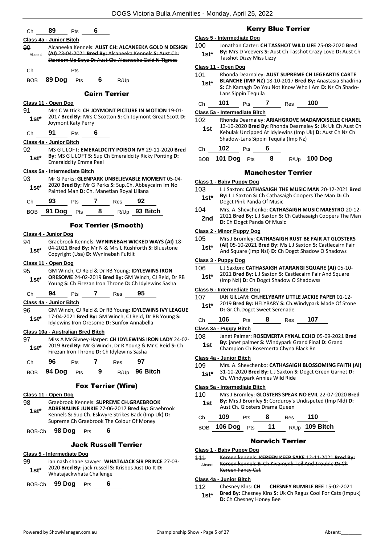| Ch      | 89<br>6<br><b>Pts</b>                                                                                         |            |                                            |
|---------|---------------------------------------------------------------------------------------------------------------|------------|--------------------------------------------|
|         | Class 4a - Junior Bitch                                                                                       |            | Class 5 - Intermediat                      |
| 90      | Alcaneeka Kennels: AUST CH: ALCANEEKA GOLD N DESIGN                                                           | 100        | Jonathan (                                 |
| Absent  | (AI) 23-04-2021 Bred By: Alcaneeka Kennels S: Aust Ch:                                                        | $1st*$     | By: Mrs D                                  |
|         | Stardom Up Boyz D: Aust Ch: Alcaneeka Gold N Tigress                                                          |            | <b>Tasshot Di</b>                          |
| Сh      | Pts                                                                                                           |            | Class 11 - Open Dog                        |
| BOB     | 89 Dog Pts 6 R/Up                                                                                             | 101        | Rhonda De<br><b>BLANCHE</b>                |
|         |                                                                                                               | $1st^*$    | S: Ch Kama                                 |
|         | <b>Cairn Terrier</b>                                                                                          |            | Lans Sippir                                |
|         | Class 11 - Open Dog                                                                                           | Ch         | 101<br>F                                   |
| 91      | Mrs C Wittick: CH JOYMONT PICTURE IN MOTION 19-01-                                                            |            | Class 5a - Intermedia                      |
| $1st^*$ | 2017 Bred By: Mrs C Scotton S: Ch Joymont Great Scott D:<br>Joymont Katy Perry                                | 102        | Rhonda De                                  |
|         |                                                                                                               | 1st        | 13-10-202                                  |
| Ch      | 91<br>6<br>Pts                                                                                                |            | Kebulak U<br>Shadow-La                     |
|         | Class 4a - Junior Bitch                                                                                       |            | 102                                        |
| 92      | MS G L LOFT: EMERALDCITY POISON IVY 29-11-2020 Bred<br>By: MS G L LOFT S: Sup Ch Emeraldcity Ricky Ponting D: | Ch         | F                                          |
| $1st^*$ | <b>Emeraldcity Emma Peel</b>                                                                                  |            | <b>BOB</b> 101 Dog                         |
|         | Class 5a - Intermediate Bitch                                                                                 |            |                                            |
| 93      | Mr G Perks: GLENPARK UNBELIEVABLE MOMENT 05-04-                                                               |            | Class 1 - Baby Pupp                        |
| $1st*$  | 2020 Bred By: Mr G Perks S: Sup.Ch. Abbeycairn Im No                                                          | 103        | L J Saxton:                                |
|         | Painted Man D: Ch. Manetlan Royal Liliana                                                                     | $1st^*$    | By: L J Saxt                               |
| Ch      | 93<br>Pts 7 Res 92                                                                                            |            | Dogct Pink                                 |
| BOB.    | Pts $8 \t R/\bigcup p$ 93 Bitch<br>91 Dog                                                                     | 104        | Mrs. A. She                                |
|         |                                                                                                               | 2nd        | 2021 Bred<br>D: Ch Dogo                    |
|         | <b>Fox Terrier (Smooth)</b>                                                                                   |            | <b>Class 2 - Minor Pupp</b>                |
|         | Class 4 - Junior Dog                                                                                          | 105        | Mrs J Bron                                 |
| 94      | Graebrook Kennels: WYNINEBAH WICKED WAYS (AI) 18-<br>04-2021 Bred By: Mr N & Mrs L Rushforth S: Bluestone     | $1st*$     | $(AI)$ 05-10-                              |
| $1st^*$ | Copyright (Usa) D: Wyninebah Fultilt                                                                          |            | And Squar                                  |
|         | Class 11 - Open Dog                                                                                           |            | Class 3 - Puppy Dog                        |
| 95      | GM Winch, CJ Reid & Dr RB Young: IDYLEWINS IRON                                                               | 106        | L J Saxton:                                |
| $1st*$  | ORESOME 24-02-2019 Bred By: GM Winch, CJ Reid, Dr RB                                                          | $1st*$     | 2021 Bred<br>(Imp Nzl) D                   |
|         | Young S: Ch Firezan Iron Throne D: Ch Idylewins Sasha                                                         |            |                                            |
| Сh      | 94<br>7<br>95<br>Pts<br>Res                                                                                   | 107        | Class 5 - Intermediat<br><b>IAN GILLAI</b> |
|         | Class 4a - Junior Bitch                                                                                       | $1st*$     | 2019 Bred                                  |
| 96      | GM Winch, CJ Reid & Dr RB Young: IDYLEWINS IVY LEAGUE                                                         |            | D: Gr.Ch.D                                 |
| $1st^*$ | 17-04-2021 Bred By: GM Winch, CJ Reid, Dr RB Young S:<br>Idylewins Iron Oresome D: Sunfox Annabella           | Ch         | 106<br>F                                   |
|         |                                                                                                               |            | Class 3a - Puppy Bit                       |
| 97      | Class 10a - Australian Bred Bitch<br>Miss A McGivney-Harper: CH IDYLEWINS IRON LADY 24-02-                    | 108        | Janet Palm                                 |
| $1st*$  | 2019 Bred By: Mr G Winch, Dr R Young & Mr C Reid S: Ch                                                        | 1st        | By: janet p                                |
|         | Firezan Iron Throne D: Ch Idylewins Sasha                                                                     |            | Champion                                   |
| Ch      | 96<br>7<br>97<br>Pts<br>Res                                                                                   |            | Class 4a - Junior Bit                      |
| BOB     | R/Up 96 Bitch<br>94 Dog<br>9<br>Pts                                                                           | 109        | Mrs. A. She<br>31-10-202                   |
|         |                                                                                                               | $1st*$     | Ch. Windy                                  |
|         | <b>Fox Terrier (Wire)</b>                                                                                     |            | Class 5a - Intermedia                      |
|         | Class 11 - Open Dog                                                                                           | 110        | Mrs J Bron                                 |
| 98      | Graebrook Kennels: SUPREME CH.GRAEBROOK                                                                       | 1st        | By: Mrs J E                                |
| $1st*$  | ADRENALINE JUNKIE 27-06-2017 Bred By: Graebrook                                                               |            | Aust Ch. G                                 |
|         | Kennels S: Sup Ch. Eskwyre Strikes Back (Imp Uk) D:<br>Supreme Ch Graebrook The Colour Of Money               | Ch         | 109<br>F                                   |
|         |                                                                                                               | <b>BOB</b> | <b>106 Dog</b>                             |
| BOB-Ch  | 98 Dog<br>6<br><b>Pts</b>                                                                                     |            |                                            |
|         | <b>Jack Russell Terrier</b>                                                                                   |            |                                            |
|         | Class 5 - Intermediate Dog                                                                                    |            | Class 1 - Baby Pupp                        |
| 99      | ian nash shane sawyer: WHATAJACK SIR PRINCE 27-03-                                                            | 444        | Kereen kei<br>Karoon kor                   |

#### Kerry Blue Terrier

#### **Class 5 - Intermediate Dog**

Carter: CH TASSHOT WILD LIFE 25-08-2020 Bred **Veevers S: Aust Ch Tasshot Crazy Love D: Aust Ch** Tasshot Dizzy Miss Lizzy **1st\***

#### **Class 11 - Open Dog**

earnaley: **AUST SUPREME CH LEGEARTIS CARTE** 

**BLANCHE (IMP NZ)** 18-10-2017 **Bred By:** Anastasia Shadrina **S:** Ch Kamagh Do You Not Know Who I Am **D:** Nz Ch Shadon Tequila

| 101<br>Pts<br>Ch<br>Res | 100 |
|-------------------------|-----|
|-------------------------|-----|

**Class 5a - Intermediate Bitch**

**Earnaley: ARIAHGROVE MADAMOISELLE CHANEL** 13-10-2020 **Bred By:** Rhonda Dearnaley **S:** Uk Uk Ch Aust Ch nzipped At Idylewins (Imp Uk) **D:** Aust Ch Nz Ch ans Sippin Tequila (Imp Nz)

#### Ch **102** Pts **6**

BOB **101 Dog** Pts **8** R/Up **100 Dog**

#### Manchester Terrier

#### **v** Dog

- 103 L J Saxton: **CATHASAIGH THE MUSIC MAN** 20-12-2021 **Bred**  ton S: Ch Cathasaigh Coopers The Man D: Ch **Panda Of Music**
- 104 Mrs. A. Shevchenko: **CATHASAIGH MUSIC MAESTRO** 20-12- By: L J Saxton S: Ch Cathasaigh Coopers The Man **ct Panda Of Music**

#### **Class 2 - Minor Puppy Dog**

| 105    | Mrs J Bromley: CATHASAIGH RUST BE FAIR AT GLOSTERS         |
|--------|------------------------------------------------------------|
| $1st*$ | (AI) 05-10-2021 Bred By: Ms L J Saxton S: Castlecairn Fair |

re (Imp Nzl) **D:** Ch Dogct Shadow O Shadows

- **CATHASAIGH ATARANGI SQUARE (AI)** 05-10-
- **By:** L J Saxton S: Castlecairn Fair And Square **D:** Ch Dogct Shadow O Shadowss

#### **Class 5 - Intermediate Dog**

- M: CH.HELYBARY LITTLE JACKIE PAPER 01-12-
- **By: HELYBARY S: Ch. Windypark Made Of Stone Discomations**

#### Ch **106** Pts **8** Res **107**

#### **Class 3a - Puppy Bitch**

1er: **ROSEMERTA FYNAL ECHO** 05-09-2021 Bred **Bimer S: Windypark Grand Final D: Grand Ch Rosemerta Chyna Black Rn** 

#### **Class 4a - Junior Bitch**

- **109 MRS. A. Sheval B. Sheval BLOSSOMING FAITH (AI)** 31-10-2020 **Bred By:** L J Saxton **S:** Dogct Green Garnet **D:**  park Annies Wild Ride
- 110 Mrs J Bromley: **GLOSTERS SPEAK NO EVIL** 22-07-2020 **Bred**  Bromley S: Corduroy's Undisputed (Imp Nld) D: **Austral Chama Queen**

| Ch | 109 Pts 8       |       | Res 110          |
|----|-----------------|-------|------------------|
|    | BOB 106 Dog Pts | $-11$ | $R/Up$ 109 Bitch |

#### Norwich Terrier

#### **Dog**

111 Kereen kennels: **KEREEN KEEP SAKE** 12-11-2021 **Bred By:** Kereen kennels **S:** Ch Kivamynk Toil And Trouble **D:** Ch Kereen Fancy Cat Absent

#### **Class 4a - Junior Bitch**

112 Chesney Klns: **CH CHESNEY BUMBLE BEE** 15-02-2021 **Bred By:** Chesney Klns **S:** Uk Ch Ragus Cool For Cats (Impuk) **1st\* D:** Ch Chesney Honey Bee

1st\* <sup>2020</sup> Bred By: Jack russell S<br>Whatajackwhata Challenge BOB-Ch **99 Dog** Pts **6**

2020 **Bred By:** jack russell **S:** Krisbos Just Do It **D:** 

**Class 5a - Intermediate Bitch**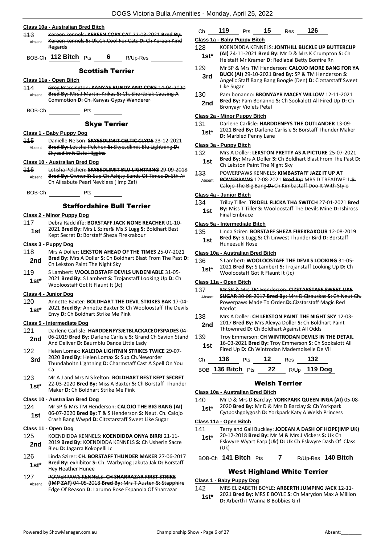|               | Class 10a - Australian Bred Bitch                                                                                                                              | Сh                 |
|---------------|----------------------------------------------------------------------------------------------------------------------------------------------------------------|--------------------|
| 113<br>Absent | Kereen kennels: KEREEN COPY CAT 22 03 2021 Bred By:<br>Kereen kennels S: Uk.Ch.Cool For Cats D: Ch Kereen Kind<br>Regards                                      | Clas<br>128        |
|               | BOB-Ch 112 Bitch Pts<br>6<br>R/Up-Res                                                                                                                          | 1.                 |
|               | <b>Scottish Terrier</b>                                                                                                                                        | 129                |
|               | Class 11a - Open Bitch                                                                                                                                         | 3                  |
| 114           | Greg Brassington: KANYAS BUNDY AND COKE 14-04-2020                                                                                                             |                    |
| Absent        | Bred By: Mrs J Martin Krikas S: Ch. Shortblak Causing A<br>Commotion D: Ch. Kanyas Gypsy Wanderer                                                              | 130<br>2           |
| BOB-Ch        | <b>Pts</b>                                                                                                                                                     | Clas               |
|               | <b>Skye Terrier</b>                                                                                                                                            | 131                |
|               | Class 1 - Baby Puppy Dog                                                                                                                                       | 1.                 |
| 115<br>Absent | Danielle Nelson: SKYESDLIMIT CELTIC CLYDE 23-12-2021<br>Bred By: Letisha Pelchen S: Skyesdlimit Blu Lightning D:                                               | <b>Clas</b>        |
|               | <b>Skyesdlimit Elsie Higgins</b>                                                                                                                               | 132                |
|               | <b>Class 10 - Australian Bred Dog</b>                                                                                                                          | 1                  |
| 116           | Letisha Pelchen: SKYESDLIMIT BLU LIGHTNING 29-09-2018                                                                                                          | 133                |
| Absent        | Bred By: Owner S: Sup Ch Ashjsy Sands Of Timec D: Sth Af<br>Ch Ailsabute Pearl Nevkless (Imp Zaf)                                                              | Ab                 |
| BOB-Ch        | Pts                                                                                                                                                            | Clas               |
|               | <b>Staffordshire Bull Terrier</b>                                                                                                                              | 134                |
|               | Class 2 - Minor Puppy Dog                                                                                                                                      | 1                  |
| 117           | Debra Radcliffe: BORSTAFF JACK NONE REACHER 01-10-                                                                                                             | <b>Clas</b>        |
| 1st           | 2021 Bred By: Mrs L Szirer& Ms S Lugg S: Boldhart Best<br>Kept Secret D: Borstaff Sheza Firekrakour                                                            | 135<br>1           |
|               | Class 3 - Puppy Dog                                                                                                                                            |                    |
| 118           | Mrs A Doller: LEKSTON AHEAD OF THE TIMES 25-07-2021<br>Bred By: Mrs A Doller S: Ch Boldhart Blast From The Past D:                                             | <b>Clas</b>        |
| 2nd           | Ch Lekston Paint The Night Sky                                                                                                                                 | 136                |
| 119           | S Lambert: WOOLOOSTAFF DEVILS UNDENIABLE 31-05-                                                                                                                | 1.                 |
| $1st*$        | 2021 Bred By: S Lambert S: Trojanstaff Looking Up D: Ch<br>Wooloostaff Got It Flaunt It (Jc)                                                                   | Clas<br>437        |
|               | Class 4 - Junior Dog                                                                                                                                           | At                 |
| 120           | Annette Baxter: BOLDHART THE DEVIL STRIKES BAK 17-04-<br>2021 Bred By: Annette Baxter S: Ch Wooloostaff The Devils                                             |                    |
| 1st*          | Envy D: Ch Boldhart Strike Me Pink                                                                                                                             | 138                |
|               | Class 5 - Intermediate Dog                                                                                                                                     | 2                  |
| 121<br>2nd    | Darlene Carlisle: HARDDENFYSJETBLACKACEOFSPADES 04-<br>06-2019 Bred By: Darlene Carlisle S: Grand Ch Savion Stand<br>And Deliver D: Baurnblu Dance Little Lady | 139                |
| 122           | Helen Lomax: KALEIDA LIGHTNIN STRIKES TWICE 29-07-                                                                                                             | 1                  |
| 3rd           | 2020 Bred By: Helen Lomax S: Sup.Ch.Neworder                                                                                                                   | Сh                 |
|               | Thundaboltn Lightning D: Charmstaff Cast A Spell On You<br>Ca                                                                                                  | BО                 |
| 123           | Mr A J and Mrs N S kelton: <b>BOLDHART BEST KEPT SECRET</b>                                                                                                    |                    |
| $1st^*$       | 22-03-2020 Bred By: Miss A Baxter S: Ch Borstaff Thunder                                                                                                       |                    |
|               | Maker <b>D:</b> Ch Boldhart Strike Me Pink                                                                                                                     | <u>Clas</u>        |
| 124           | Class 10 - Australian Bred Dog<br>Mr SP & Mrs TM Henderson: CALOJO THE BIG BANG (AI)                                                                           | 140                |
| 1st           | 06-07-2020 Bred By: T & S Henderson S: Neut. Ch. Calojo                                                                                                        | $\mathbf{1}$       |
|               | Crash Bang Wwpd D: Citzstarstaff Sweet Like Sugar<br>Class 11 - Open Dog                                                                                       | <b>Clas</b><br>141 |
| 125           | KOENDIDDA KENNELS: <b>KOENDIDDA ONYA BIRRI</b> 21-11-                                                                                                          | $\mathbf{1}$       |
| 2nd           | 2019 Bred By: KOENDIDDA KENNELS S: Ch Usherin Sacre<br>Bleu D: Jagarra Kokopelli Jc                                                                            |                    |
| 126           | Linda Szirer: CH. BORSTAFF THUNDER MAKER 27-06-2017                                                                                                            | BО                 |
| $1st^*$       | Bred By: exhibitor S: Ch. Warbydog Jakuta Jak D: Borstaff<br><b>Hey Heather Hunee</b>                                                                          |                    |
| 127           | POWERPAWS KENNELS: CH SHARRAZAR FIRST STRIKE                                                                                                                   | Clas               |
| Absent        | (IMP ZAF) 04-05-2018 Bred By: Mrs T Austen S: Stapphire<br>Edge Of Reason D: Larumo Rose Espanola Of Sharrazar                                                 | 142                |
|               |                                                                                                                                                                |                    |

| Ch | 19 | ΊS | כו | ≺es | 126 |
|----|----|----|----|-----|-----|
|    |    |    |    |     |     |

#### **Class 1a - Baby Puppy Bitch**

- 128 KOENDIDDA KENNELS: **JONTHILL BUCKLE UP BUTTERCUP** 
	- **(AI)** 24-11-2021 **Bred By:** Mr D & Mrs K Crumpton **S:** Ch **st\*** (AI) 24-11-2021 **Bred By:** Mr D & Mrs K Crumpto<br>Helstaff Mr Kramer **D:** Redlabal Betty Bonfire Rn
- Mr SP & Mrs TM Henderson: **CALOJO MORE BANG FOR YA**
- **BUCK (AI)** 29-10-2021 **Bred By:** SP & TM Henderson **S:**  Angelic Staff Bang Bang Boogie (Den) **D:** Cizstarstaff Sweet Like Sugar **3rd**
- Pam bonanno: **BRONYAYR MACEY WILLOW** 12-11-2021
- **Bred By:** Pam Bonanno **S:** Ch Sookalott All Fired Up **D:** Ch **nd Bred By:** Pam Bonanno.<br>Bronyayr Violets Petal

#### **Class 2a - Minor Puppy Bitch**

131 Darlene Carlisle: **HARDDENFYS THE OUTLANDER** 13-09- 2021 **Bred By:** Darlene Carlisle **S:** Borstaff Thunder Maker **St\*** 2021 **Bred By:** Dariene G<br>**D:** Marbled Penny Lane

#### **Class 3a - Puppy Bitch**

- 132 Mrs A Doller: **LEKSTON PRETTY AS A PICTURE** 25-07-2021
- **Bred By:** Mrs A Doller **S:** Ch Boldhart Blast From The Past **D: st 15 Brea By:** IVITS A DOILER **5:** Ch BOILER Ch Lekston Paint The Night Sky
- 133 POWERPAWS KENNELS: **KIMBASTAFF JAZZ IT UP AT**
- **POWERPAWS** 12-08-2021 **Bred By:** MRS D TREADWELL **S:**  Calojo The Big Bang **D:** Ch Kimbastaff Doo It With Style Absent

#### **Class 4a - Junior Bitch**

134 Trilby Tiller: **TRIDELL FLICKA THA SWITCH** 27-01-2021 **Bred By:** Miss T Tiller **S:** Wooloostaff The Devils Mine **D:** Ishiross **st By:** Miss I Tille<br>**Final Embrace** 

#### **Class 5a - Intermediate Bitch**

- 135 Linda Szirer: **BORSTAFF SHEZA FIREKRAKOUR** 12-08-2019
- **Bred By:** S.Lugg **S:** Ch Linwest Thunder Bird **D:** Borstaff **st bieu by:** 3. Lugg<br>
Huneesukl Rose

#### **Class 10a - Australian Bred Bitch**

| 136    | S Lambert: WOOLOOSTAFF THE DEVILS LOOKING 31-05-        |
|--------|---------------------------------------------------------|
| $1st*$ | 2021 Bred By: S Lambert S: Trojanstaff Looking Up D: Ch |
|        | Wooloostaff Got It Flaunt It (Jc)                       |

#### **Class 11a - Open Bitch**

- 137 Mr SP & Mrs TM Henderson: **CIZSTARSTAFF SWEET LIKE SUGAR** 30-08-2017 **Bred By:** Mrs D Cizauskas **S:** Ch Neut Ch. heer
- Powerpaws Made To Order **D:** Cizstarstaff Magic Red **Merlot**
- 138 Mrs A Doller: **CH LEKSTON PAINT THE NIGHT SKY** 12-03- 2017 **Bred By:** Mrs Alexya Doller **S:** Ch Boldhart Paint Thtownred **D:** Ch Boldhart Against All Odds **2nd**
- 139 Troy Emmerson: **CH WINTRODAN DEVILS IN THE DETAIL** 16-03-2021 **Bred By:** Troy Emmerson **S:** Ch Sookalott All Fired Up **D:** Ch Wintrodan Mademoiselle De Vil **1st**

| Ch 136 Pts 12 Res 132             |  |  |
|-----------------------------------|--|--|
| BOB 136 Bitch Pts 22 R/Up 119 Dog |  |  |

#### Welsh Terrier

#### **Class 10a - Australian Bred Bitch**

- 140 Mr D & Mrs D Barclay: **YORKPARK QUEEN INGA (AI)** 05-08-
- 2020 **Bred By:** Mr D & Mrs D Barclay **S:** Ch Yorkpark Qytposhgolygosh **D:** Yorkpark Katy A Welsh Princess **1st\***

#### **Class 11a - Open Bitch**

141 Terry and Gail Buckley: **JODEAN A DASH OF HOPE(IMP UK)** 20-12-2018 **Bred By:** Mr M & Mrs J Vickers **S:** Uk Ch **1st\***

Eskwyre Wyart Earp (Uk) **D:** Uk Ch Eskwyre Dash Of Class (Uk)

### BOB-Ch **141 Bitch** Pts **7** R/Up-Res **140 Bitch**

# West Highland White Terrier

#### **Class 1 - Baby Puppy Dog**

142 MRS ELIZABETH BOYLE: **ARBERTH JUMPING JACK** 12-11- 2021 **Bred By:** MRS E BOYLE **S:** Ch Marydon Max A Million **1st**\* **D:** Arberth I Wanna B Bobbies Girl **1st\* 1st\* 1st\* 1st\* 1st\* 1st\* 1st\* 1st\* 1st\* 1st\* 1st\* 1st\* 1st\* 1st\* 1st\* 1st\* 1st\* 1st\* 1st\* 1st\* 1st\* 1st\* 1st\* 1st\* 1st\* 1st**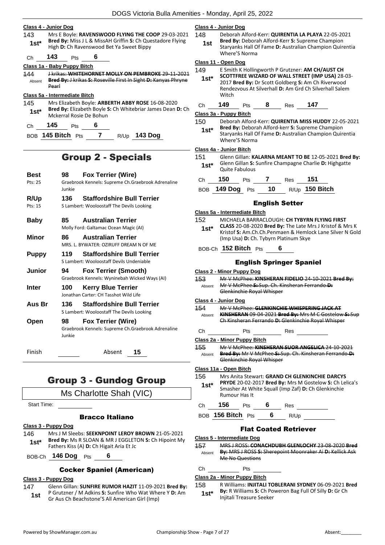#### **Class 4 - Junior Dog**

143 Mrs E Boyle: **RAVENSWOOD FLYING THE COOP** 29-03-2021 **Bred By:** Miss J L & MissAH Griffin **S:** Ch Questadore Flying **1st**\* Brea by: MISS J L & MISSAH Griffin S: Ch Que<br>High D: Ch Ravenswood Bet Ya Sweet Bippy

Ch **143** Pts **6**

#### **Class 1a - Baby Puppy Bitch**

144 J krikas: **WHITEHORNET MOLLY ON PEMBROKE** 29-11-2021 **Bred By:** J krikas **S:** Roseville First In Sight **D:** Kanyas Phryne Pearl Absent

#### **Class 5a - Intermediate Bitch**

145 Mrs Elizabeth Boyle: **ARBERTH ABBY ROSE** 16-08-2020 **Bred By:** Elizabeth Boyle **S:** Ch Whitebriar James Dean **D:** Ch Mckerral Rosie De Bohun **1st\***

Ch **145** Pts **6**

BOB **145 Bitch** Pts **7** R/Up **143 Dog**

# Group 2 - Specials

| <b>Best</b> | 98           | <b>Fox Terrier (Wire)</b>                                                       |
|-------------|--------------|---------------------------------------------------------------------------------|
| Pts: 25     | lunkie       | Graebrook Kennels: Supreme Ch.Graebrook Adrenaline                              |
| R/Up        | 136          | <b>Staffordshire Bull Terrier</b>                                               |
| Pts: 15     |              | S Lambert: Wooloostaff The Devils Looking                                       |
| Baby        | 85           | <b>Australian Terrier</b>                                                       |
|             |              | Molly Ford: Galtamac Ocean Magic (AI)                                           |
| Minor       | 86           | <b>Australian Terrier</b><br>MRS. L. BYWATER: OZIRUFF DREAM N OF ME             |
| Puppy       | 119          | <b>Staffordshire Bull Terrier</b><br>S Lambert: Wooloostaff Devils Undenjable   |
| Junior      | 94           | <b>Fox Terrier (Smooth)</b><br>Graebrook Kennels: Wyninebah Wicked Ways (AI)    |
| Inter       | 100          | <b>Kerry Blue Terrier</b><br>Jonathan Carter: CH Tasshot Wild Life              |
| Aus Br      | 136          | <b>Staffordshire Bull Terrier</b><br>S Lambert: Wooloostaff The Devils Looking  |
| Open        | 98<br>lunkie | <b>Fox Terrier (Wire)</b><br>Graebrook Kennels: Supreme Ch.Graebrook Adrenaline |
| Finish      |              | Absent<br>15                                                                    |

# Group 3 - Gundog Group

Ms Charlotte Shah (VIC)

Start Time:

#### Bracco Italiano

#### **Class 3 - Puppy Dog**

146 Mrs J M Sleebs: **SEEKNPOINT LEROY BROWN** 21-05-2021 **Bred By:** Ms R SLOAN & MR J EGGLETON **S:** Ch Hipoint My **1st\* Brea by:** IVIS K SLOAN & MK J EGGLET<br>Fathers Kiss (A) **D:** Ch Higait Aria Et Jc

BOB-Ch **146 Dog** Pts **6**

#### Cocker Spaniel (American)

#### **Class 3 - Puppy Dog**

- 147 Glenn Gillan: **SUNFIRE RUMOR HAZIT** 11-09-2021 **Bred By:** P Grutzner / M Adkins **S:** Sunfire Who Wat Where Y **D:** Am **1st** P Grutzner / M Adkins **5:** Sunfire who wat where Gr Aus Ch Beachstone'S All American Girl (Imp)
	-

#### **Class 4 - Junior Dog**

148 Deborah Alford-Kerr: **QUIRENTIA LA PLAYA** 22-05-2021

**Bred By:** Deborah Alford-Kerr **S:** Supreme Champion Staryanks Hall Of Fame **D:** Australian Champion Quirentia Where'S Norma **1st**

#### **Class 11 - Open Dog**

- 149 E Smith K Hollingworth P Grutzner: **AM CH/AUST CH SCOTTFREE WIZARD OF WALL STREET (IMP USA)** 28-03- **1st\***
	- 2017 **Bred By:** Dr Scott Goldberg **S:** Am Ch Riverwood Rendezvous At Silverhall **D:** Am Grd Ch Silverhall Salem Witch
- Ch **149** Pts **8** Res **147**

#### **Class 3a - Puppy Bitch**

150 Deborah Alford-Kerr: **QUIRENTIA MISS HUDDY** 22-05-2021 **Bred By:** Deborah Alford-kerr **S:** Supreme Champion

Staryanks Hall Of Fame **D:** Australian Champion Quirentia Where'S Norma **1st\***

#### **Class 4a - Junior Bitch**

151 Glenn Gillan: **KALARNA MEANT TO BE** 12-05-2021 **Bred By:** Glenn Gillan **S:** Sunfire Champagne Charlie **D:** Highgatte **1st**\* Glenn Gillan S:<br>Ouite Fabulous

| Ch $150$ Pts 7 |  | $\frac{1}{2}$ Res 151 |                                   |
|----------------|--|-----------------------|-----------------------------------|
|                |  |                       | BOB 149 Dog Pts 10 R/Up 150 Bitch |

|                | <b>English Setter</b>                                                                                                                                                                                         |
|----------------|---------------------------------------------------------------------------------------------------------------------------------------------------------------------------------------------------------------|
|                | Class 5a - Intermediate Bitch                                                                                                                                                                                 |
| 152<br>$1st^*$ | MICHAELA BARRACLOUGH: CH TYBYRN FLYING FIRST<br>CLASS 20-08-2020 Bred By: The Late Mrs J Kristof & Mrs K<br>Kristof S: Am.Ch.Ch.Penmaen & Hemlock Lane Silver N Gold<br>(Imp Usa) D: Ch. Tybyrn Platinum Skye |
|                | BOB-Ch 152 Bitch Pts<br>6                                                                                                                                                                                     |
|                | <b>English Springer Spaniel</b>                                                                                                                                                                               |
|                | Class 2 - Minor Puppy Dog                                                                                                                                                                                     |
| 153<br>Absent  | Mr V McPhee: KINSHERAN FIDELIO 24-10-2021 Bred By:<br>Mr V McPhee S: Sup. Ch. Kinsheran Ferrando D:<br>Glenkinchie Royal Whisper                                                                              |
|                | Class 4 - Junior Dog                                                                                                                                                                                          |
| 154<br>Absent  | Mr V McPhee: GLENKINCHIE WHISPERING JACK AT<br>KINSHERAN 09-04-2021 Bred By: Mrs M C Gostelow S: Sup<br>Ch Kinsheran Ferrando D: Glenkinchie Royal Whisper                                                    |
| Сh             | Pts<br><b>Res</b>                                                                                                                                                                                             |
|                | Class 2a - Minor Puppy Bitch                                                                                                                                                                                  |
| 155<br>Absent  | Mr V McPhee: KINSHERAN SUOR ANGELICA 24-10-2021<br>Bred By: Mr V McPhee S: Sup. Ch. Kinsheran Ferrando D:<br>Glenkinchie Royal Whisper                                                                        |
|                | Class 11a - Open Bitch                                                                                                                                                                                        |
| 156<br>1st*    | Mrs Anita Stewart: GRAND CH GLENKINCHIE DARCYS<br><b>PRYDE 20-02-2017 Bred By: Mrs M Gostelow S: Ch Lelica's</b><br>Smasher At White Squall (Imp Zaf) D: Ch Glenkinchie<br>Rumour Has It-                     |

Ch **156** Pts **6** Res

BOB **156 Bitch** Pts **6** R/Up

#### Flat Coated Retriever

**Class 5 - Intermediate Dog**

157 MRS J ROSS: **CONACHDUBH GLENLOCHY** 23-08-2020 **Bred By:** MRS J ROSS **S:** Sherepoint Moonraker Ai **D:** Kellick Ask Me No Questions Absent

#### Ch Pts

#### **Class 2a - Minor Puppy Bitch**

158 R Williams: **INJITALI TOBLERANI SYDNEY** 06-09-2021 **Bred By:** R Williams **S:** Ch Poweron Bag Full Of Silly **D:** Gr Ch **1st\* by:** K Williams **5:** Cn Po<br>Injitali Treasure Seeker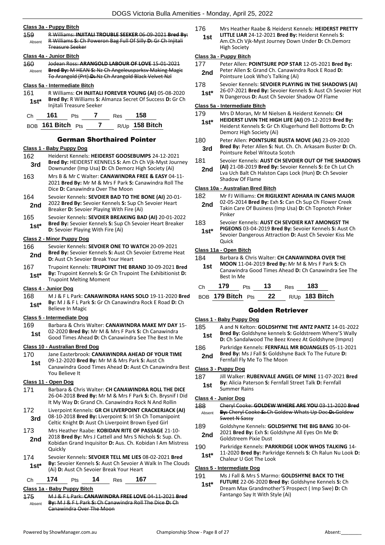#### **Class 3a - Puppy Bitch**

159 R Williams: **INJITALI TROUBLE SEEKER** 06-09-2021 **Bred By:** R Williams **S:** Ch Poweron Bag Full Of Silly **D:** Gr Ch Injitali Treasure Seeker Absent

#### **Class 4a - Junior Bitch**

160 Jodean Ross: **ARANGOLD LABOUR OF LOVE** 15-01-2021 **Bred By:** M HEAN **S:** Nz Ch Angeleusparksv Making Magic To Arangold (Prt) **D:** Nz Ch Arangold Black Velvet Nzl Absent

#### **Class 5a - Intermediate Bitch**

161 R Williams: **CH INJITALI FOREVER YOUNG (AI)** 05-08-2020 **Bred By:** R Williams **S:** Almanza Secret Of Success **D:** Gr Ch **1st\*** Bred By: R Williams S:<br>Injitali Treasure Seeker

| Ch. | 161                   | <b>Pts</b> | Res | 158              |
|-----|-----------------------|------------|-----|------------------|
|     | $ROB$ 161 Bitch $Pts$ |            |     | $R/Up$ 158 Bitch |

German Shorthaired Pointer

#### **Class 1 - Baby Puppy Dog**

- 162 Heiderst Kennels: **HEIDERST GOOSEBUMPS** 24-12-2021 **Bred By:** HEIDERST KENNELS **S:** Am Ch Ch Vjk-Myst Journey Downunder (Imp Usa) **D:** Ch Demorz High Society (Ai) **3rd**
- 163 Mrs B & Mr C Walter: **CANAWINDRA FREE & EASY** 04-11- 2021 **Bred By:** Mr M & Mrs F Park **S:** Canawindra Roll The Dice **D:** Canawindra Over The Moon
- 164 Sevoier Kennels: **SEVOIER BAD TO THE BONE (AI)** 20-01- 2022 **Bred By:** Sevoier Kennels **S:** Sup Ch Sevoier Heart **2nd** 2022 **Brea By:** Sevoier Kennels **S:** Sup Cn Breaker **D:** Sevoier Playing With Fire (Ai)
- 165 Sevoier Kennels: **SEVOIER BREAKING BAD (AI)** 20-01-2022 **Bred By:** Sevoier Kennels **S:** Sup Ch Sevoier Heart Breaker **1st\*** Bred By: Sevoier Kennels S: Sup<br>D: Sevoier Playing With Fire (Ai)

#### **Class 2 - Minor Puppy Dog**

- 166 Sevoier Kennels: **SEVOIER ONE TO WATCH** 20-09-2021 **Bred By:** Sevoier Kennels **S:** Aust Ch Sevoier Extreme Heat **2nd Direct By:** Sevoier Kenners **3:** Aust Ch **D**: Aust Ch Sevoier Break Your Heart
- 167 Trupoint Kennels: **TRUPOINT THE BRAND** 30-09-2021 **Bred By:** Trupoint Kennels **S:** Gr Ch Trupoint The Exhibitionist **D: 1st\* By:** Trupoint Kennels 5: Gr Trupoint Melting Moment

#### **Class 4 - Junior Dog**

168 M J & F L Park: **CANAWINDRA HANS SOLO** 19-11-2020 **Bred By:** M J & F L Park **S:** Gr Ch Canawindra Rock E Road **D:** Ch **1st<sup>\*</sup> By:** MJ & F L Park

#### **Class 5 - Intermediate Dog**

169 Barbara & Chris Walter: **CANAWINDRA MAKE MY DAY** 15- 02-2020 **Bred By:** Mr M & Mrs F Park **S:** Ch Canawindra **1st** DZ-2020 **Drea by:** Mr M & Mrs F Park **3:** Cn Canawindra<br>**1st** Good Times Ahead **D:** Ch Canawindra See The Best In Me

#### **Class 10 - Australian Bred Dog**

- 170 Jane Easterbrook: **CANAWINDRA AHEAD OF YOUR TIME** 09-12-2020 **Bred By:** Mr M & Mrs Park **S:** Aust Ch **1st**
	- Canawindra Good Times Ahead **D:** Aust Ch Canawindra Best You Believe It

#### **Class 11 - Open Dog**

- 171 Barbara & Chris Walter: **CH CANAWINDRA ROLL THE DICE** 26-04-2018 **Bred By:** Mr M & Mrs F Park **S:** Ch. Brysnif I Did It My Way **D:** Grand Ch. Canawindra Rock N And Rollin
- 172 Liverpoint Kennels: **GR CH LIVERPOINT CRACKERJACK (AI)** 08-10-2018 **Bred By:** Liverpoint **S:** Irl Sh Ch Tomanipoint **3rd** D8-10-2018 **Brea By:** Liverpoint **S:** in Sir Ch Tomani<br>Celtic Knight **D:** Aust Ch Liverpoint Brown Eyed Girl
- 173 Mrs Heather Raabe: **KOBIDAN RITE OF PASSAGE** 21-10-
- 2018 **Bred By:** Mrs J Cattell and Mrs S Nichols **S:** Sup. Ch. Kobidan Grand Inquisitor **D:** Aus. Ch. Kobidan I Am Mistress **Quickly 2nd**
- 174 Sevoier Kennels: **SEVOIER TELL ME LIES** 08-02-2021 **Bred By:** Sevoier Kennels **S:** Aust Ch Sevoier A Walk In The Clouds **1st**\* **Dy:** Sevoier Kennels **5:** Aust Ch Sevoier A<br>(Ai) **D:** Aust Ch Sevoier Break Your Heart

#### Ch **174** Pts **14** Res **167**

#### **Class 1a - Baby Puppy Bitch**

175 M J & F L Park: **CANAWINDRA FREE LOVE** 04-11-2021 **Bred By:** M J & F L Park **S:** Ch Canawindra Roll The Dice **D:** Ch Canawindra Over The Moon Absent

- 176 Mrs Heather Raabe & Heiderst Kennels: **HEIDERST PRETTY LITTLE LIAR** 24-12-2021 **Bred By:** Heiderst Kennels **S: 1st**
	- Am.Ch.Ch Vjk-Myst Journey Down Under **D:** Ch.Demorz High Society

#### **Class 3a - Puppy Bitch**

- 177 Peter Allen: **POINTSURE POP STAR** 12-05-2021 **Bred By:** Peter Allen **S:** Grand Ch. Canawindra Rock E Road **D:**
- **2nd** Peter Allen **S**: Grand Cn. Canawing<br>Pointsure Look Who's Talking (Ai)
- 178 Sevoier Kennels: **SEVOIER PLAYING IN THE SHADOWS (AI)**
- 26-07-2021 **Bred By:** Sevoier Kennels **S:** Aust Ch Sevoier Hot **1st** 2b-07-2021 **Bred By:** Sevoier Kennels **S:** Aust Ch Sexet **N** Dangerous **D:** Aust Ch Sevoier Shadow Of Flame

#### **Class 5a - Intermediate Bitch**

179 Mrs D Moran, Mr M Nielsen & Heiderst Kennels: **CH** 

- **HEIDERST LIVIN THE HIGH LIFE (AI)** 09-12-2019 **Bred By:** Heiderst Kennels **S:** Gr Ch Klugerhund Bell Bottoms **D:** Ch Demorz High Society (Ai) **1st\***
- 180 Peter Allen: **POINTSURE BUSTA MOVE (AI)** 23-09-2020
	- **Bred By:** Peter Allen **S:** Nut. Ch. Ch. Arkasam Buster **D:** Ch. **3rd Brea By:** Peter Allen S: Nut. Cn.<br>**Pointsure Rebel Witouta Scotch**
- 181 Sevoier Kennels: **AUST CH SEVOIER OUT OF THE SHADOWS (AI)** 21-08-2019 **Bred By:** Sevoier Kennels **S:** Ee Ch Lut Ch
	- Lva Uch Balt Ch Halston Caps Lock (Hun) **D:** Ch Sevoier Shadow Of Flame **2nd**

#### **Class 10a - Australian Bred Bitch**

- 182 Mr FJ Williams: **CH RIGILKENT ADHARA IN CANIS MAJOR**
- 02-05-2014 **Bred By:** Exh **S:** Can Ch Sup Ch Flower Creek Takin Care Of Business (Imp Usa) **D:** Ch Topnotch Pinker Pinker **2nd**
- 183 Sevoier Kennels: **AUST CH SEVOIER KAT AMONGST TH**
- **PIGEONS** 03-04-2019 **Bred By:** Sevoier Kennels **S:** Aust Ch Sevoier Dangerous Attraction **D:** Aust Ch Sevoier Kiss Me **Ouick 1st\***

#### **Class 11a - Open Bitch**

| 184<br>1st     | Barbara & Chris Walter: CH CANAWINDRA OVER THE<br><b>MOON</b> 11-04-2019 <b>Bred By:</b> Mr M & Mrs F Park S: Ch<br>Canawindra Good Times Ahead D: Ch Canawindra See The<br>Best In Me |            |    |            |     |  |  |
|----------------|----------------------------------------------------------------------------------------------------------------------------------------------------------------------------------------|------------|----|------------|-----|--|--|
| C <sub>h</sub> | 179                                                                                                                                                                                    | <b>Pts</b> | 13 | <b>Res</b> | 183 |  |  |

BOB **179 Bitch** Pts **22** R/Up **183 Bitch**

#### Golden Retriever

#### **Class 1 - Baby Puppy Dog**

- 185 A and N Kelton: **GOLDSHYNE THE ANTZ PANTZ** 14-01-2022 **Bred By:** Goldshyne kennels **S:** Goldstreem Where'S Wally **1st Bred By:** Goldshyne kennels **S:** Goldstreem Where's Wall<br>D: Ch Sandalwood The Beez Kneez At Goldshyne (Impnz)
- **Bred By:** Ms J Fall **S:** Goldshyne Back To The Future **D: 2nd Brea By:** IVIS J Fall **S**: Goldshiyi<br>**2nd** Fernfall Fly Me To The Moon

#### **Class 3 - Puppy Dog**

187 Jill Walker: **RUBENVALE ANGEL OF MINE** 11-07-2021 **Bred By:** Alicia Paterson **S:** Fernfall Street Talk **D:** Fernfall **1st By:** Alicia Pate<br>Summer Rains

#### **Class 4 - Junior Dog**

- 188 Cheryl Cooke: **GOLDEW WHERE ARE YOU** 03-11-2020 **Bred By:** Cheryl Cooke **S:** Ch Goldew Whats Up Doc **D:** Goldew Sweet N Sassy Absent
- 189 Goldshyne Kennels: **GOLDSHYNE THE BIG BANG** 30-04-
- 2021 **Bred By:** Exh **S:** Goldshyne All Eyes On Me **D: 2nd** <sup>2021</sup> Brea By: EXN S: Goldstreem Pixie Dust
- 190 Parkridge Kennels: **PARKRIDGE LOOK WHOS TALKING** 14-
- 11-2020 **Bred By:** Parkridge Kennels **S:** Ch Ralun Nu Look **D: 1st**\* II-2020 Brea By: Parkrive Chaleur U Got The Look

#### **Class 5 - Intermediate Dog**

- 191 Ms J Fall & Mrs S Marmo: **GOLDSHYNE BACK TO THE** 
	- **FUTURE** 22-06-2020 **Bred By:** Goldshyne Kennels **S:** Ch Dream Max Grandmother'S Prospect ( Imp Swe) **D:** Ch Fantango Say It With Style (Ai) **1st\***

186 Parkridge Kennels: **FERNFALL MR BOJANGLES** 05-11-2021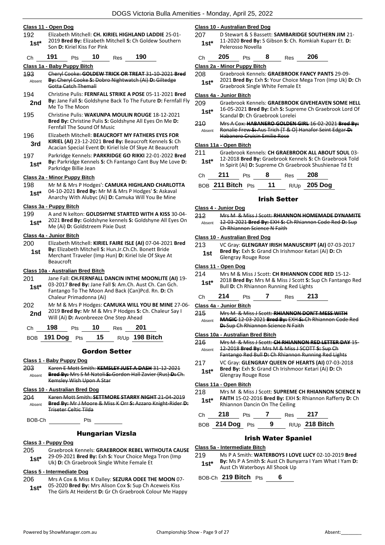#### **Class 11 - Open Dog**

192 Elizabeth Mitchell: **CH. KIRIEL HIGHLAND LADDIE** 25-01- 2019 **Bred By:** Elizabeth Mitchell **S:** Ch Goldew Southern Son **D:** Kiriel Kiss For Pink **1st\***

#### Ch **191** Pts **10** Res **190**

**Class 1a - Baby Puppy Bitch**

- 193 Cheryl Cooke: **GOLDEW TRICK OR TREAT** 31-10-2021 **Bred By:** Cheryl Cooke **S:** Dobro Nightwatch (Ai) **D:** Giltedge Gotta Catch Themall Absent
- 194 Christine Pulis: **FERNFALL STRIKE A POSE** 05-11-2021 **Bred By:** Jane Fall **S:** Goldshyne Back To The Future **D:** Fernfall Fly **2nd By:** Jane Fall **S:** GO<br>Me To The Moon
- 195 Christine Pulis: **WAKUNPA MOULIN ROUGE** 18-12-2021 **Bred By:** Christine Pulis **S:** Goldshyne All Eyes On Me **D:**  Fernfall The Sound Of Music
- 196 Elizabeth Mitchell: **BEAUCROFT MY FATHERS EYES FOR KIRIEL (AI)** 23-12-2021 **Bred By:** Beaucroft Kennels **S:** Ch **3rd KIRIEL (AI)** 23-12-2021 **Brea By:** Beaucroft Kennels S: Cracian Special Event **D:** Kiriel Isle Of Skye At Beaucroft
- 197 Parkridge Kennels: **PARKRIDGE GO RIKKI** 22-01-2022 **Bred By:** Parkridge Kennels **S:** Ch Fantango Cant Buy Me Love **D: 1st\* by:** Parkridge Kenne<br>Parkridge Billie Jean

#### **Class 2a - Minor Puppy Bitch**

198 Mr M & Mrs P Hodges': **CAMUKA HIGHLAND CHARLOTTA** 04-10-2021 **Bred By:** Mr M & Mrs P Hodges' **S:** Askaval **1st**\* U<sup>4-10-2021 **Died by:** INIT IN & INITS P HOUSES' S: Askaval<br>Anarchy With Alubyc (Ai) **D:** Camuka Will You Be Mine</sup>

#### **Class 3a - Puppy Bitch**

- 199 A and N kelton: **GOLDSHYNE STARTED WITH A KISS** 30-04-
- 2021 **Bred By:** Goldshyne kennels **S:** Goldshyne All Eyes On Me (Ai) **D:** Goldstreem Pixie Dust **1st\***

#### **Class 4a - Junior Bitch**

200 Elizabeth Mitchell: **KIRIEL FAIRE ISLE (AI)** 07-04-2021 **Bred By:** Elizabeth Mitchell **S:** Hun.Jr.Ch.Ch. Bonett Bride Merchant Traveler (Imp Hun) **D:** Kiriel Isle Of Skye At Beaucroft **1st**

#### **Class 10a - Australian Bred Bitch**

- 201 Jane Fall: **CH.FERNFALL DANCIN INTHE MOONLITE (AI)** 19- 03-2017 **Bred By:** Jane Fall **S:** Am.Ch. Aust Ch. Can Gch. Fantango To The Moon And Back (Can)Pcd. Rn. **D:** Ch Chaleur Primadonna (Ai) **1st\*** 202 Mr M & Mrs P Hodges: **CAMUKA WILL YOU BE MINE** 27-06-
- 2019 **Bred By:** Mr M & Mrs P Hodges **S:** Ch. Chaleur Say I **2nd** 2019 **Bred By:** Mr M & Mrs P Hodges **5:**<br>Will (Ai) **D:** Avonbreeze One Step Ahead
- Ch **198** Pts **10** Res **201**

| BOB 191 Dog Pts | 15 | R/Up 198 Bitch |
|-----------------|----|----------------|
|                 |    |                |

#### Gordon Setter

- **Class 1 - Baby Puppy Dog**
- 203 Karen E Mott Smith: **KEMSLEY JUST A DASH** 31-12-2021 **Bred By:** Mrs S M Natoli **S:** Gordon Hall Zavier (Rus) **D:** Ch. Kemsley Wish Upon A Star Absent

#### **Class 10 - Australian Bred Dog**

204 Karen Mott Smith: **SETTMORE STARRY NIGHT** 21-04-2019 **Bred By:** Mr J Moore & Miss K Orr **S:** Azzaro Knight-Rider **D:**  Triseter Celtic Tilda Absent

BOB-Ch Pts

#### Hungarian Vizsla

#### **Class 3 - Puppy Dog**

- 205 Graebrook Kennels: **GRAEBROOK REBEL WITHOUTA CAUSE** 29-09-2021 **Bred By:** Exh **S:** Your Choice Mega Tron (Imp
- **1st**\* 29-09-2021 **Brea By:** EXN **S:** Your Choice Ivieg<br>Uk) **D:** Ch Graebrook Single White Female Et

#### **Class 5 - Intermediate Dog**

- 206 Mrs A Cox & Miss K Dalley: **SEZURA ODEE THE MOON** 07- 05-2020 **Bred By:** Mrs Alison Cox **S:** Sup Ch Aceweis Kiss
- 1st\* US-2020 Brea by: Mrs Allson Cox S: Sup Ch Acewels Kiss<br>The Girls At Heiderst D: Gr Ch Graebrook Colour Me Happy

#### **Class 10 - Australian Bred Dog**

207 D Stewart & S Bassett: **SAMBARIDGE SOUTHERN JIM** 21- 11-2020 **Bred By:** S Gibson **S:** Ch. Romkiah Kuparr Et. **D:**  1st\* **11-2020 brea by:**<br>Pelerosso Novella

| Ch | 205 | Pts | 8 | Res | 206 |
|----|-----|-----|---|-----|-----|
|    |     |     |   |     |     |

**Class 2a - Minor Puppy Bitch**

- 208 Graebrook Kennels: **GRAEBROOK FANCY PANTS** 29-09-
- 2021 **Bred By:** Exh **S:** Your Choice Mega Tron (Imp Uk) **D:** Ch **1st\*** *LOZL* Brea By: EXN S: YOUR CHOICE Not Graebrook Single White Female Et

#### **Class 4a - Junior Bitch**

- 209 Graebrook Kennels: **GRAEBROOK GIVEHEAVEN SOME HELL** 16-05-2021 **Bred By:** Exh **S:** Supreme Ch Graebrook Lord Of **1st**\* Lo-US-2021 **Brea By:** EXN S: Supr<br>Scandal D: Ch Graebrook Lorelei
- 210 Mrs A Cox: **HABANERO GOLDEN GIRL** 16-02-2021 **Bred By:** Ronalie Frew **S:** Aus Trich [T & O] Hanafor Seint Edgar **D:**  Habanero Cruisin Emilie Rose Absent

#### **Class 11a - Open Bitch**

211 Graebrook Kennels: **CH GRAEBROOK ALL ABOUT SOUL** 03- 12-2018 **Bred By:** Graebrook Kennels **S:** Ch Graebrook Told In Spirit (Ai) **D:** Supreme Ch Graebrook Shushienae Td Et **1st\***

| Ch | 211               | <b>Pts</b> | - 8   | Res <b>208</b> | mophic (A) <b>D.</b> Supreme on Graebrook Shushielik |
|----|-------------------|------------|-------|----------------|------------------------------------------------------|
|    | BOB 211 Bitch Pts |            | $-11$ |                | R/Up <b>205 Dog</b>                                  |

#### Irish Setter

#### **Class 4 - Junior Dog**

212 Mrs M & Miss J Scott: **RHIANNON HOMEMADE DYNAMITE** 12-03-2021 **Bred By:** EXH **S:** Ch Rhiannon Code Red **D:** Sup Ch Rhiannon Science N Faith Absent

#### **Class 10 - Australian Bred Dog**

213 VC Gray: **GLENGRAY IRISH MANUSCRIPT (AI)** 07-03-2017 **Bred By:** Exh **S:** Grand Ch Irishmoor Ketari (Ai) **D:** Ch **1st** *Drea by: EXIT SI GLATER* **1st** *Glengray Rouge Rose* 

#### **Class 11 - Open Dog**

- 214 Mrs M & Miss J Scott: **CH RHIANNON CODE RED** 15-12-
- 2018 **Bred By:** Mrs M & Miss J Scott **S:** Sup Ch Fantango Red **1st**\* 2018 **Bred By:** Mrs M & Miss J Scott **S:** Star Bull **D:** Ch Rhiannon Running Red Lights

|  | 14 | ເວ |  | 'es | د ا<br>- |  |
|--|----|----|--|-----|----------|--|
|--|----|----|--|-----|----------|--|

#### **Class 4a - Junior Bitch**

215 Mrs M & Miss J Scott: **RHIANNON DON'T MESS WITH MAGIC** 12-03-2021 **Bred By:** EXH **S:** Ch Rhiannon Code Red **D:** Sup Ch Rhiannon Science N Faith Absent

#### **Class 10a - Australian Bred Bitch**

- 216 Mrs M & Miss J Scott: **CH RHIANNON RED LETTER DAY** 15- 12-2018 **Bred By:** Mrs M & Miss J SCOTT **S:** Sup Ch Absent
- Fantango Red Bull **D:** Ch Rhiannon Running Red Lights 217 VC Gray: **GLENGRAY QUEEN OF HEARTS (AI)** 07-03-2018
- **Bred By:** Exh **S:** Grand Ch Irishmoor Ketari (Ai) **D:** Ch **1st<sup>\*</sup> diengray: EXN S: Grand**<br>Glengray Rouge Rose
- 218 Mrs M & Miss J Scott: **SUPREME CH RHIANNON SCIENCE N FAITH** 15-02-2016 **Bred By:** EXH **S:** Rhiannon Rafferty **D:** Ch 1st\* **FALLH 15-02-2016 Bred By: EXH**<br>Rhiannon Dancin On The Ceiling

| Ch | 218               | <b>Pts</b> |     | Res | 217              |
|----|-------------------|------------|-----|-----|------------------|
|    | BOB $214$ Dog Pts |            | - 9 |     | $R/Up$ 218 Bitch |

#### Irish Water Spaniel

#### **Class 5a - Intermediate Bitch**

- 219 Ms P A Smith: **WATERBOYS I LOVE LUCY** 02-10-2019 **Bred**
- **By:** Ms P A Smith **S:** Aust Ch Bunyarra I Yam What I Yam **D: 1st\*** By: Ms P A Smith S: Aust Ch Buny<br>Aust Ch Waterboys All Shook Up

BOB-Ch **219 Bitch** Pts **6**

**Class 11a - Open Bitch**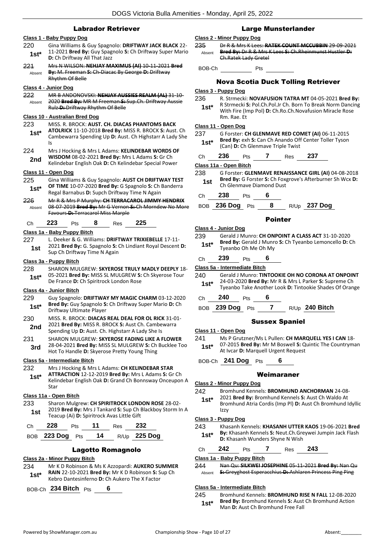#### Labrador Retriever

#### **Class 1 - Baby Puppy Dog**

- 220 Gina Williams & Guy Spagnolo: **DRIFTWAY JACK BLACK** 22- 11-2021 **Bred By:** Guy Spagnolo **S:** Ch Driftway Super Mario **1st**\* 11-2021 **Bred By:** Guy Spag<br>**D:** Ch Driftway All That Jazz
- 221 Mrs N WILSON: **NEHJAY MAXIMUS (AI)** 10-11-2021 **Bred By:** M. Freeman **S:** Ch-Diacac By George **D:** Driftway Rhythm Of Belle Absent

#### **Class 4 - Junior Dog**

222 MR B ANDONOVSKI: **NEHJAY AUSSIES REALM (AL)** 31-10- 2020 **Bred By:** MR M Freeman **S:** Sup.Ch. Driftway Aussie Rulz **D:** Driftway Rhythm Of Belle Absent

#### **Class 10 - Australian Bred Dog**

- 223 MISS. R. BROCK: **AUST. CH. DIACAS PHANTOMS BACK**
- **ATOLRICK** 11-10-2018 **Bred By:** MISS R. BROCK **S:** Aust. Ch Cambewarra Spending Up **D:** Aust. Ch Highstarr A Lady She Is **1st\***
- 224 Mrs J Hocking & Mrs L Adams: **KELINDEBAR WORDS OF WISDOM** 08-02-2021 **Bred By:** Mrs L Adams **S:** Gr Ch 2nd **WISDOM** 08-02-2021 Bred By: Mrs L Adams S: Gr Ch<br>Kelindebar English Oak D: Ch Kelindebar Special Power

#### **Class 11 - Open Dog**

225 Gina Williams & Guy Spagnolo: **AUST CH DRIFTWAY TEST OF TIME** 10-07-2020 **Bred By:** G Spagnolo **S:** Ch Banderra **1st\* DE TIRE 10-07-2020 Bred By: G Spagnolo S: Ch**<br>Regal Barnabus **D:** Supch Driftway Time N Again

226 Mr R & Mrs P Murphy: **CH TERRACAROL JIMMY HENDRIX** 08-07-2019 **Bred By:** Mr G Vernon **S:** Ch Morndew No More Favours **D:** Terracarol Miss Marple Absent

#### Ch **223** Pts **8** Res **225**

#### **Class 1a - Baby Puppy Bitch**

227 L. Deeker & G. Williams: **DRIFTWAY TRIXIEBELLE** 17-11- 2021 **Bred By:** G. Spagnolo **S:** Ch Lindiant Royal Descent **D: 1st** 2021 **Brea By:** G. Spagnolo **S:** G. Sup Ch Driftway Time N Again

#### **Class 3a - Puppy Bitch**

- 228 SHARON MULGREW: **SKYEROSE TRULY MADLY DEEPLY** 18-
- 05-2021 **Bred By:** MISS SL MULGREW **S:** Ch Skyerose Tour De France **D:** Ch Spiritrock London Rose **1st\***

#### **Class 4a - Junior Bitch**

- 229 Guy Spagnolo: **DRIFTWAY MY MAGIC CHARM** 03-12-2020 **Bred By:** Guy Spagnolo **S:** Ch Driftway Super Mario **D:** Ch Driftway Ultimate Player **1st\***
- 230 MISS. R. BROCK: **DIACAS REAL DEAL FOR OL RICK** 31-01- 2021 **Bred By:** MISS R. BROCK **S:** Aust Ch. Cambewarra **2nd** <sup>2021</sup> **Brea by:** MISS R. BROCK **S**: Aust Ch. Cambe<br>Spending Up **D:** Aust. Ch. Highstarr A Lady She Is
- 231 SHARON MULGREW: **SKYEROSE FADING LIKE A FLOWER**
- 28-04-2021 **Bred By:** MISS SL MULGREW **S:** Ch Bucklee Too **3rd** 28-04-2021 **Brea by:** MISS SL MULGREW **3:** CH<br>Hot To Handle **D:** Skyerose Pretty Young Thing

#### **Class 5a - Intermediate Bitch**

- 232 Mrs J Hocking & Mrs L Adams: **CH KELINDEBAR STAR** 
	- **ATTRACTION** 12-12-2019 **Bred By:** Mrs L Adams **S:** Gr Ch Kelindebar English Oak **D:** Grand Ch Bonnsway Onceupon A Star **1st\***

#### **Class 11a - Open Bitch**

233 Sharon Mulgrew: **CH SPIRITROCK LONDON ROSE** 28-02- 2019 **Bred By:** Mrs J Tankard **S:** Sup Ch Blackboy Storm In A **1st** *LOIP Brea by:* INTEG 1 Fankard **3:** Sup CIT<br>Teacup (Ai) **D:** Spiritrock Avas Little Gift

| 78. |     | כצי |
|-----|-----|-----|
| --- | - - | - - |

| BOB 223 Dog Pts |  | R/Up 225 Dog |
|-----------------|--|--------------|
|                 |  |              |

#### Lagotto Romagnolo

#### **Class 2a - Minor Puppy Bitch**

234 Mr K D Robinson & Ms K Azzopardi: **AUKERO SUMMER RAIN** 22-10-2021 **Bred By:** Mr K D Robinson **S:** Sup Ch Kebro Dantesinferno **D:** Ch Aukero The X Factor **1st\***

BOB-Ch **234 Bitch** Pts **6**

#### Large Munsterlander

#### **Class 2 - Minor Puppy Dog**

- 235 Dr R & Mrs K Lees: **RATEK COUNT MCCUBBIN** 29-09-2021 **Bred By:** Dr R & Mrs K Lees **S:** Ch.Rheinmunst Hustler **D:**  Ch.Ratek Lady Gretel Absent
- BOB-Ch Pts

#### Nova Scotia Duck Tolling Retriever

#### **Class 3 - Puppy Dog**

236 R. Strmecki: **NOVAFUSION TATRA MT** 04-05-2021 **Bred By:** R Strmecki **S:** Pol.Ch.Pol.Jr Ch. Born To Break Norm Dancing With Fire (Imp Pol) **D:** Ch.Ro.Ch.Novafusion Miracle Rose Rm. Rae. Et **1st\***

#### **Class 11 - Open Dog**

237 G Forster: **CH GLENMAVE RED COMET (AI)** 06-11-2015 **Bred By:** exh **S:** Can Ch Anando Off Center Toller Tyson **1st\* brea by:** exn **S:** Can Ch Anando Off (Can) **D:** Ch Glenmave Triple Twist

Ch **236** Pts **7** Res **237**

#### **Class 11a - Open Bitch**

238 G Forster: **GLENMAVE RENAISSANCE GIRL (AI)** 04-08-2018 **Bred By:** G Forster **S:** Ch Foxgrove's Afterburner Sh Wcx **D: 1st Brea By:** G Forster S: Ch Foxipped By: Ch Glenmave Diamond Dust

Ch **238** Pts **6**

BOB **236 Dog** Pts **8** R/Up **237 Dog**

#### Pointer

- **Class 4 - Junior Dog**
- 239 Gerald J Munro: **CH ONPOINT A CLASS ACT** 31-10-2020 **Bred By:** Gerald J Munro **S:** Ch Tyeanbo Lemoncello **D:** Ch **1st<sup>\*</sup> Bred By:** Gerald J Munr<br>Tyeanbo Oh Me Oh My
- Ch **239** Pts **6**
- **Class 5a - Intermediate Bitch**
- 240 Gerald J Munro: **TINTOOKIE OH NO CORONA AT ONPOINT** 24-03-2020 **Bred By:** Mr R & Mrs L Parker **S:** Supreme Ch **1st**\* 24-03-2020 **Bred By:** Mr R & Mrs L Parker S: Supreme Ch<br>Tyeanbo Take Another Look **D:** Tintookie Shades Of Orange
- Ch **240** Pts **6**
- BOB **239 Dog** Pts **7** R/Up **240 Bitch**

#### Sussex Spaniel

#### **Class 11 - Open Dog**

- 241 Ms P Grutzner/Ms L Pullen: **CH MARQUELL YES I CAN** 18-
- 07-2015 **Bred By:** Mr M Boswell **S:** Quintic The Countryman **1st**\* UP-2015 **Bred By:** MIT IVE BOSWER **5:** Q
- BOB-Ch **241 Dog** Pts **6**

#### Weimaraner

#### **Class 2 - Minor Puppy Dog**

- 242 Bromhund Kennels: **BROMHUND ANCHORMAN** 24-08-
- 2021 **Bred By:** Bromhund Kennels **S:** Aust Ch Waldo At **1st\***
- Bromhund Atria Cordis (Imp Pl) **D:** Aust Ch Bromhund Idyllic  $Izzy$

#### **Class 3 - Puppy Dog**

243 Khasanh Kennels: **KHASANH UTTER KAOS** 19-06-2021 **Bred By:** Khasanh Kennels **S:** Neut.Ch.Greywei Jumpin Jack Flash **1st\* by:** Khasanh Kennels **S:** Neut.Ch.Greanh Wunders Shyne N Wish

| Ch | 242 | Pts | Res | 243 |
|----|-----|-----|-----|-----|
|    |     |     |     |     |

#### **Class 1a - Baby Puppy Bitch**

244 Nan Qu: **SILKWEI JOSEPHINE** 05-11-2021 **Bred By:** Nan Qu Absent **S:** Greyghost Esperacchius **D:** Ashlaren Princess Ping Ping

#### **Class 5a - Intermediate Bitch**

245 Bromhund Kennels: **BROMHUND RISE N FALL** 12-08-2020 **Bred By:** Bromhund Kennels **S:** Aust Ch Bromhund Action **1st\*** Brea By: Bromhund Kennels S: Aust<br>Man D: Aust Ch Bromhund Free Fall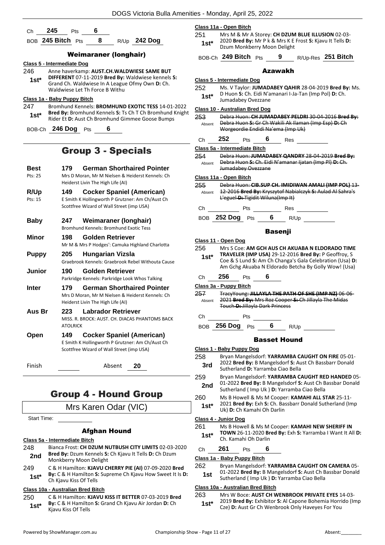| . .<br>- | $\overline{\phantom{a}}$ |  |
|----------|--------------------------|--|
|          |                          |  |

BOB **245 Bitch** Pts **8** R/Up **242 Dog**

#### Weimaraner (longhair)

#### **Class 5 - Intermediate Dog**

246 Anne haverkamp: **AUST.CH.WALDWIESE SAME BUT DIFFERENT** 07-11-2019 **Bred By:** Waldwiese kennels **S:**  Grand Ch. Waldwiese In A League Ofmy Own **D:** Ch. Waldwiese Let Th Force B Withu **1st\***

#### **Class 1a - Baby Puppy Bitch**

247 Bromhund Kennels: **BROMHUND EXOTIC TESS** 14-01-2022 **Bred By:** Bromhund Kennels **S:** Ts Ch T Ch Bromhund Knight 1st\* **Brea by:** Bromhund Kennels S: 1s Ch 1 Ch Bromhund F<br>Rider Et D: Aust Ch Bromhund Gimmee Goose Bumps

BOB-Ch **246 Dog** Pts **6**

# Group 3 - Specials

| <b>Best</b><br>Pts: 25         | <b>German Shorthaired Pointer</b><br>179<br>Mrs D Moran, Mr M Nielsen & Heiderst Kennels: Ch<br>Heiderst Livin The High Life (AI) |                                                                                                                                    |  |  |  |
|--------------------------------|-----------------------------------------------------------------------------------------------------------------------------------|------------------------------------------------------------------------------------------------------------------------------------|--|--|--|
| R/Up<br>$P$ <sup>ts</sup> : 15 | 149                                                                                                                               | <b>Cocker Spaniel (American)</b><br>E Smith K Hollingworth P Grutzner: Am Ch/Aust Ch<br>Scottfree Wizard of Wall Street (imp USA)  |  |  |  |
| <b>Baby</b>                    | 247                                                                                                                               | Weimaraner (longhair)<br>Bromhund Kennels: Bromhund Exotic Tess                                                                    |  |  |  |
| Minor                          | 198                                                                                                                               | <b>Golden Retriever</b><br>Mr M & Mrs P Hodges': Camuka Highland Charlotta                                                         |  |  |  |
| <b>Puppy</b>                   | 205                                                                                                                               | Hungarian Vizsla<br>Graebrook Kennels: Graebrook Rebel Withouta Cause                                                              |  |  |  |
| <b>Junior</b>                  | 190                                                                                                                               | <b>Golden Retriever</b><br>Parkridge Kennels: Parkridge Look Whos Talking                                                          |  |  |  |
| <b>Inter</b>                   | 179                                                                                                                               | <b>German Shorthaired Pointer</b><br>Mrs D Moran, Mr M Nielsen & Heiderst Kennels: Ch<br>Heiderst Livin The High Life (AI)         |  |  |  |
| Aus Br                         | 223<br><b>ATOLRICK</b>                                                                                                            | <b>Labrador Retriever</b><br>MISS, R. BROCK: AUST, CH. DIACAS PHANTOMS BACK                                                        |  |  |  |
| Open                           | 149                                                                                                                               | <b>Cocker Spaniel (American)</b><br>E Smith K Hollingworth P Grutzner: Am Ch/Aust Ch<br>Scottfree Wizard of Wall Street (imn LISA) |  |  |  |

cottfree Wizard of Wall Street (imp USA)

Finish Absent **20**

# Group 4 - Hound Group

### Mrs Karen Odar (VIC)

Start Time:

#### Afghan Hound

#### **Class 5a - Intermediate Bitch**

- 248 Bianca Frost: **CH DZUM NUTBUSH CITY LIMITS** 02-03-2020 **Bred By:** Dzum Kennels **S:** Ch Kjavu It Tells **D:** Ch Dzum **2nd** Brea By: Drum Kennels S:<br>Monkberry Moon Delight
- 249 C & H Hamilton: **KJAVU CHERRY PIE (AI)** 07-09-2020 **Bred By:** C & H Hamilton **S:** Supreme Ch Kjavu How Sweet It Is **D: 1st<sup>\*</sup> Dy:**  $\cup$  & H Hamilton S<br>Ch Kjavu Kiss Of Tells

#### **Class 10a - Australian Bred Bitch**

250 C & H Hamilton: **KJAVU KISS IT BETTER** 07-03-2019 **Bred By:** C & H Hamilton **S:** Grand Ch Kjavu Air Jordan **D:** Ch **1st<sup>\*</sup> by:**  $\cup$  & H Hamilto<br>**Kjavu Kiss Of Tells** 

#### **Class 11a - Open Bitch**

251 Mrs M & Mr A Storey: **CH DZUM BLUE ILLUSION** 02-03- 2020 **Bred By:** Mr P k & Mrs K E Frost **S:** Kjavu It Tells **D:**  1st<sup>\*</sup> Dzum Monkberry Moon Delight

BOB-Ch **249 Bitch** Pts **9** R/Up-Res **251 Bitch**

#### Azawakh

**Class 5 - Intermediate Dog** 252 Ms. V Taylor: **JUMADABEY QAHIR** 28-04-2019 **Bred By:** Ms. D Huon **S:** Ch. Eidi N'amanari I-Ja-Tan (Imp Pol) **D:** Ch. **1st**\* D Huon **5:** Ch. Eidi N'a<br>Jumadabey Ovezzane **Class 10 - Australian Bred Dog** 253 Debra Huon: **CH JUMADABEY PELDRI** 30-04-2016 **Bred By:** Debra Huon **S:** Gr Ch Wakili Ak Ilaman (Imp Esp) **D:** Ch Worgeordie Endidi Na'ema (Imp Uk) Absent Ch **252** Pts **6** Res **Class 5a - Intermediate Bitch** 254 Debra Huon: **JUMADABEY QANDRY** 28-04-2019 **Bred By:** Debra Huon **S:** Ch. Eidi N'amanar Ijatan (Imp Pl) **D:** Ch. Jumadabey Ovezzane Absent **Class 11a - Open Bitch** 255 Debra Huon: **CIB.SUP CH. IMIDIWAN AMALI (IMP POL)** 13- 12-2016 **Bred By:** Kryszytof Nabialczyk **S:** Aulad Al Sahra's L'eguel **D:** Tigidit Wiluna(Imp It) Absent Ch Pts Res BOB **252 Dog** Pts **6** R/Up Basenji **Class 11 - Open Dog** 256 Mrs S Coe: **AM GCH AUS CH AKUABA N ELDORADO TIME TRAVELER (IMP USA)** 29-12-2016 **Bred By:** P Geoffroy, S Coe & S Lund **S:** Am Ch Changa's Gala Celebration (Usa) **D:**  Am Gchg Akuaba N Eldorado Betcha By Golly Wow! (Usa) **1st\*** Ch **256** Pts **6 Class 3a - Puppy Bitch** 257 TracyYoung: **JILLAYLA THE PATH OF SHE (IMP NZ)** 06-06- 2021 **Bred By:** Mrs Roz Cooper **S:** Ch Jillayla The Midas Touch **D:** Jillayla Dark Princess Absent Ch Pts BOB **256 Dog** Pts **6** R/Up Basset Hound **Class 1 - Baby Puppy Dog** 258 Bryan Mangelsdorf: **YARRAMBA CAUGHT ON FIRE** 05-01- 2022 **Bred By:** B Mangelsdorf **S:** Aust Ch Bassbarr Donald **3rd** 2022 **Bred By:** B Mangelsdorf **5:** Au Sutherland **D:** Yarramba Ciao Bella 259 Bryan Mangelsdorf: **YARRAMBA CAUGHT RED HANDED** 05- 01-2022 **Bred By:** B Mangelsdorf **S:** Aust Ch Bassbar Donald **2nd** 01-2022 **Bred By:** B Mangelsdort **S:** Aust Ch B Sutherland ( Imp Uk ) **D:** Yarramba Ciao Bella 260 Ms B Howell & Ms M Cooper: **KAMAHI ALL STAR** 25-11- 2021 **Bred By:** Exh **S:** Ch. Bassbarr Donald Sutherland (Imp **1st**\*  $\left\{\n \begin{array}{cc}\n \text{LUZ1} & \text{Brea By: } \text{Exh S: Ch. Ba} \\
 \text{Uk} & \text{D: Ch Kamahi Oh Darlin}\n \end{array}\n \right\}$ **Class 4 - Junior Dog** 261 Ms B Howell & Ms M Cooper: **KAMAHI NEW SHERIFF IN TOWN** 26-11-2020 **Bred By:** Exh **S:** Yarramba I Want It All **D:**  1st\* **10WN** 26-11-2020 Br<br>Ch. Kamahi Oh Darlin Ch **261** Pts **6 Class 1a - Baby Puppy Bitch** 262 Bryan Mangelsdorf: **YARRAMBA CAUGHT ON CAMERA** 05- 01-2022 **Bred By:** B Mangelsdorf **S:** Aust Ch Bassbar Donald **1st** UL-2022 **Drea by:** B Mangelsdori **5:** Aust Cri B<br>Sutherland ( Imp Uk ) **D:** Yarramba Ciao Bella

#### **Class 10a - Australian Bred Bitch**

- 263 Mrs W Boce: **AUST CH WENBROOK PRIVATE EYES** 14-03-
- 2019 **Bred By:** Exhibitor **S:** Al Capone Bohemia Horrido (Imp Cze) **D:** Aust Gr Ch Wenbrook Only Haveyes For You **1st\***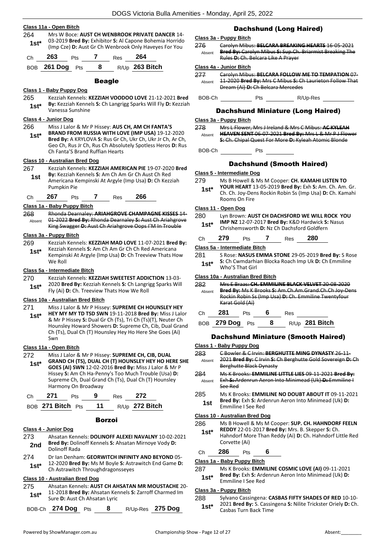#### **Class 11a - Open Bitch**

264 Mrs W Boce: **AUST CH WENBROOK PRIVATE DANCER** 14- 03-2019 **Bred By:** Exhibitor **S:** Al Capone Bohemia Horrido (Imp Cze) **D:** Aust Gr Ch Wenbrook Only Haveyes For You **1st\***



#### Beagle

#### **Class 1 - Baby Puppy Dog**

265 Kezziah Kennels: **KEZZIAH VOODOO LOVE** 21-12-2021 **Bred By:** Kezziah Kennels **S:** Ch Langrigg Sparks Will Fly **D:** Kezziah Vanessa Sunshine **1st\***

#### **Class 4 - Junior Dog**

266 Miss J Lalor & Mr P Hissey: **AUS CH, AM CH FANTA'S BRAND FROM RUSSIA WITH LOVE (IMP USA)** 19-12-2020 **Bred By:** A KRYLOVA **S:** Rus Gr Ch, Ukr Ch, Ukr Jr Ch, Ar Ch, Geo Ch, Rus Jr Ch, Rus Ch Absolutely Spotless Heros **D:** Rus Ch Fanta'S Brand Ruffian Hearts **1st\***

#### **Class 10 - Australian Bred Dog**

- 267 Kezziah Kennels: **KEZZIAH AMERICAN PIE** 19-07-2020 **Bred By:** Kezziah Kennels **S:** Am Ch Am Gr Ch Aust Ch Red Americana Kempinski At Argyle (Imp Usa) **D:** Ch Kezziah Pumpkin Pie **1st**
- Ch **267** Pts **7** Res **266**

#### **Class 1a - Baby Puppy Bitch**

268 Rhonda Dearnaley: **ARIAHGROVE CHAMPAGNE KISSES** 14- 01-2022 **Bred By:** Rhonda Dearnaley **S:** Aust Ch Ariahgrove King Swagger **D:** Aust Ch Ariahgrove Oops I'M In Trouble Absent

#### **Class 3a - Puppy Bitch**

269 Kezziah Kennels: **KEZZIAH MAD LOVE** 11-07-2021 **Bred By:** Kezziah Kennels **S:** Am Ch Am Gr Ch Ch Red Americana Kempinski At Argyle (Imp Usa) **D:** Ch Treeview Thats How We Roll **1st\***

#### **Class 5a - Intermediate Bitch**

270 Kezziah Kennels: **KEZZIAH SWEETEST ADDICTION** 13-03- 2020 **Bred By:** Kezziah Kennels **S:** Ch Langrigg Sparks Will **1st** 2020 **Bred By:** Kezzian Kennels **5:** Ch Langrian Fig. (Ai) **D:** Ch. Treeview Thats How We Roll

#### **Class 10a - Australian Bred Bitch**

- 271 Miss J Lalor & Mr P Hissey: **SUPREME CH HOUNSLEY HEY**
- **HEY MY MY TD TSD SWN** 19-11-2018 **Bred By:** Miss J Lalor & Mr P Hissey **S:** Dual Gr Ch (Ts), Tri Ch (Ts)(T), Neuter Ch Hounsley Howard Showers **D:** Supreme Ch, Cib, Dual Grand Ch (Ts), Dual Ch (T) Hounsley Hey Ho Here She Goes (Ai) Swn **1st\***

#### **Class 11a - Open Bitch**

272 Miss J Lalor & Mr P Hissey: **SUPREME CH, CIB, DUAL GRAND CH (TS), DUAL CH (T) HOUNSLEY HEY HO HERE SHE GOES (AI) SWN** 12-02-2016 **Bred By:** Miss J Lalor & Mr P Hissey **S:** Am Ch Ha-Penny's Too Much Trouble (Usa) **D:**  Supreme Ch, Dual Grand Ch (Ts), Dual Ch (T) Hounsley Harmony On Broadway **1st\***

|  | $\sim$ | - | __ | . . |
|--|--------|---|----|-----|
|  |        |   |    |     |

| R/Up 272 Bitch<br>BOB 271 Bitch Pts<br>11 |  |
|-------------------------------------------|--|
|-------------------------------------------|--|

# Borzoi

#### **Class 4 - Junior Dog**

- 273 Ahsatan Kennels: **DOLINOFF ALEXEI NAVALNY** 10-02-2021 **Bred By:** Dolinoff Kennels **S:** Ahsatan Mirnoye Vody **D: 2nd Bred By: Dolli**<br>Dolinoff Rada
- 274 Dr Ian Denham: **GEORWITCH INFINITY AND BEYOND** 05- 12-2020 **Bred By:** Ms M Boyle **S:** Astrawitch End Game **D: 1st**\* 12-2020 Bred By: Ms M Boyle S: Astr<br>Ch Astrawitch Throughdragonsseyes

#### **Class 10 - Australian Bred Dog**

- 275 Ahsatan Kennels: **AUST CH AHSATAN MR MOUSTACHE** 20- 11-2018 **Bred By:** Ahsatan Kennels **S:** Zarroff Charmed Im **1st\*** 11-2018 Bred By: Ahsatan Kei<br>Sure D: Aust Ch Ahsatan Lyric
- BOB-Ch **274 Dog** Pts **8** R/Up-Res **275 Dog**

# Dachshund (Long Haired)

#### **Class 3a - Puppy Bitch**

276 Carolyn Mibus: **BELCARA BREAKING HEARTS** 16-05-2021 **Bred By:** Carolyn Mibus **S:** Sup.Ch. Briarmist Breaking The Rules **D:** Ch. Belcara Like A Prayer Absent

#### **Class 4a - Junior Bitch**

277 Carolyn Mibus: **BELCARA FOLLOW ME TO TEMPATION** 07- 11-2020 **Bred By:** Mrs C Mibus **S:** Ch Laurieton Follow That Dream (Ai) **D:** Ch Belcara Mercedes Absent

BOB-Ch Pts R/Up-Res

#### Dachshund Miniature (Long Haired)

#### **Class 3a - Puppy Bitch**

- 278 Mrs L Flower, Mrs J Ireland & Mrs C Mibus: **AC KYLEAH HEAVEN SENT** 06-07-2021 **Bred By:** Mrs L & Mr P J Flower **S:** Ch. Chipal Quest For More **D:** Kyleah Atomic Blonde Absent
- BOB-Ch Pts

#### Dachshund (Smooth Haired)

- **Class 5 - Intermediate Dog**
- 279 Ms B Howell & Ms M Cooper: **CH. KAMAHI LISTEN TO YOUR HEART** 13-05-2019 **Bred By:** Exh **S:** Am. Ch. Am. Gr. **1st\***
- Ch. Ch. Joy-Dens Rockin Robin Ss (Imp Usa) **D:** Ch. Kamahi Rooms On Fire

#### **Class 11 - Open Dog**

- 280 Lyn Brown: **AUST CH DACHSFORD WE WILL ROCK YOU IMP NZ** 12-07-2017 **Bred By:** K&D Hardwick **S:** Nasus **1st\*** IWP NZ 12-07-2017 Brea By: K&D Hardwick S<br>Chrishemsworth D: Nz Ch Dachsford Goldfern
- Ch **279** Pts **7** Res **280 Class 5a - Intermediate Bitch**
	-
	- 281 S Rose: **NASUS EMMA STONE** 29-05-2019 **Bred By:** S Rose **S:** Ch Cwmdarhian Blocka Roach Imp Uk **D:** Ch Emmiline Who'S That Girl **1st\***

#### **Class 10a - Australian Bred Bitch**

| 282    |         | Mrs E Braas: CH. EMMILINE BLACK VELVET 20-08-2020            |  |     |                  |  |  |  |  |
|--------|---------|--------------------------------------------------------------|--|-----|------------------|--|--|--|--|
| Absent |         | <b>Bred By:</b> Ms K Brooks S: Am.Ch.Am.Grand.Ch.Ch Joy-Dens |  |     |                  |  |  |  |  |
|        |         | Rockin Robin Ss (Imp Usa) D: Ch. Emmiline Twentyfour         |  |     |                  |  |  |  |  |
|        |         | Karat Gold (Ai)                                              |  |     |                  |  |  |  |  |
| C.h    | 281     | Pts.                                                         |  | Res |                  |  |  |  |  |
|        |         |                                                              |  |     |                  |  |  |  |  |
|        | 279 Doq | Pts                                                          |  |     | $R/10$ 281 Bitch |  |  |  |  |

#### Dachshund Miniature (Smooth Haired)

#### **Class 1 - Baby Puppy Dog**

- 283 C Bowler & C Irvin: **BERGHUTTE MING DYNASTY** 26-11- 2021 **Bred By:** C Irvin **S:** Ch Berghutte Gold Sovereign **D:** Ch Berghutte Black Dynasty Absent
- 284 Ms K Brooks: **EMMILINE LITTLE LIES** 09-11-2021 **Bred By:** Exh **S:** Ardenrun Aeron Into Minimead (Uk) **D:** Emmiline I See Red Absent
- 285 Ms K Brooks: **EMMILINE NO DOUBT ABOUT IT** 09-11-2021
- **Bred By:** Exh **S:** Ardenrun Aeron Into Minimead (Uk) **D: 1st Emmiline I** See Red

#### **Class 10 - Australian Bred Dog**

286 Ms B Howell & Ms M Cooper: **SUP. CH. HAHNDORF FEELN** 

**REDDY** 22-01-2017 **Bred By:** Mrs. B. Skepper **S:** Ch. Hahndorf More Than Reddy (Ai) **D:** Ch. Hahndorf Little Red Corvette (Ai) **1st\***

#### Ch **286** Pts **6**

#### **Class 1a - Baby Puppy Bitch**

- 287 Ms K Brooks: **EMMILINE COSMIC LOVE (AI)** 09-11-2021
- **Bred By:** Exh **S:** Ardenrun Aeron Into Minimead (Uk) **D: 1st\* Brea By:** Exn S: Ard<br>**Emmiline I See Red**

#### **Class 3a - Puppy Bitch**

288 Sylvano Cassingena: **CASBAS FIFTY SHADES OF RED** 10-10- 2021 **Bred By:** S. Cassingena **S:** Nilite Trickster Oriely **D:** Ch. 1st<sup>\*</sup> <sup>2021</sup> Brea By: S. Cassin<br>Casbas Turn Back Time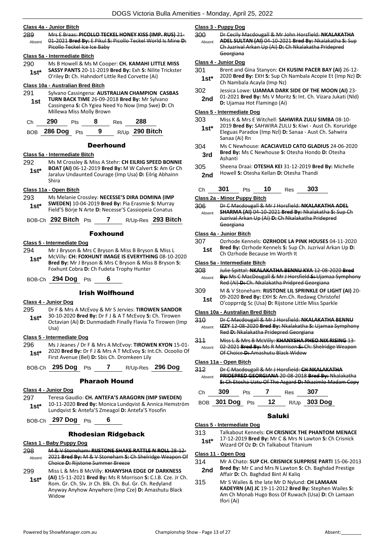#### **Class 4a - Junior Bitch**

289 Mrs E Braas: **PICOLLO TECKEL HONEY KISS (IMP. RUS)** 21- 01-2021 **Bred By:** E Pikul **S:** Picollo Teckel World Is Mine **D:**  Picollo Teckel Ice Ice Baby Absent

#### **Class 5a - Intermediate Bitch**

290 Ms B Howell & Ms M Cooper: **CH. KAMAHI LITTLE MISS SASSY PANTS** 20-11-2019 **Bred By:** Exh **S:** Nilite Trickster **1st BASST PANTS 20-11-2019 BIED BY: EXITS: NIIItE** O'riley **D**: Ch. Hahndorf Little Red Corvette (Ai)

#### **Class 10a - Australian Bred Bitch**

291 Sylvano Cassingena: **AUSTRALIAN CHAMPION CASBAS TURN BACK TIME** 26-09-2018 **Bred By:** Mr Sylvano Cassingena **S:** Ch Ygiea Need Yo Now (Imp Swe) **D:** Ch Millewa Miss Molly Brown **1st**

| Ch | $290$ Pts         | 8 | Res <b>288</b> |                |
|----|-------------------|---|----------------|----------------|
|    | BOB $286$ Dog Pts |   |                | R/Up 290 Bitch |

#### **Deerhound**

#### **Class 5a - Intermediate Bitch**

292 Ms M Crossley & Miss A Stehr: **CH EILRIG SPEED BONNIE BOAT (AI)** 06-12-2019 **Bred By:** M W Calvert **S:** Am Gr Ch Jaraluv Undaunted Courage (Imp Usa) **D:** Eilrig Abhainn Shira **1st\***

#### **Class 11a - Open Bitch**

293 Ms Melanie Crossley: **NECESSE'S DIRA DOMINA (IMP SWEDEN)** 10-04-2019 **Bred By:** Pia Erasmie **S:** Murray Field'S Börje N Arte **D:** Necesse'S Cassiopeia Conatus **1st\***

BOB-Ch **292 Bitch** Pts **7** R/Up-Res **293 Bitch**

#### Foxhound

#### **Class 5 - Intermediate Dog**

294 Mr J Bryson & Mrs C Bryson & Miss B Bryson & Miss L McVilly: **CH: FOXHUNT IMAGE IS EVERYTHING** 08-10-2020 **Bred By:** Mr J Bryson & Mrs C Bryson & Miss B Bryson **S:**  Foxhunt Cobra **D:** Ch Fudeta Trophy Hunter **1st\***

BOB-Ch **294 Dog** Pts **6**

#### Irish Wolfhound

#### **Class 4 - Junior Dog**

- 295 Dr F & Mrs A McEvoy & Mr S Jervies: **TIROWEN SANDOR**
- 30-10-2020 **Bred By:** Dr F J & A T McEvoy **S:** Ch. Tirowen Octavian (Ai) **D:** Dunmadadh Finally Flavia To Tirowen (Imp Usa) **1st\***

#### **Class 5 - Intermediate Dog**

296 Ms J Jeanes / Dr F & Mrs A McEvoy: **TIROWEN KYON** 15-01- 2020 **Bred By:** Dr F J & Mrs A T McEvoy **S:** Int.Ch. Ocoolio Of First Avenue (Bel) **D:** Sbis Ch. Dromkeen Lily **1st\***

BOB-Ch **295 Dog** Pts **7** R/Up-Res **296 Dog**

#### Pharaoh Hound

#### **Class 4 - Junior Dog**

- 297 Teresa Gaudio: **CH. ANTEFA'S ARAGORN (IMP SWEDEN)**
- 10-11-2020 **Bred By:** Monica Lundqvist & Annica Hemström Lundqvist **S:** Antefa'S Zmeagol **D:** Antefa'S Yosofin **1st\***

BOB-Ch **297 Dog** Pts **6**

#### Rhodesian Ridgeback

#### **Class 1 - Baby Puppy Dog**

- 298 M & V Stoneham: **RIJSTONE SHAKE RATTLE N ROLL** 28-12- 2021 **Bred By:** M & V Stoneham **S:** Ch Shelridge Weapon Of Choice **D:** Rijstone Summer Breeze Absent
- 299 Miss L & Mrs B McVilly: **KHANYSHA EDGE OF DARKNESS (AI)** 15-11-2021 **Bred By:** Ms R Morrison **S:** C.I.B. Cze. Jr Ch. Rom. Gr. Ch. Slv. Jr Ch. Blk. Ch. Bul. Gr. Ch. Redyland Anyway Anyhow Anywhere (Imp Cze) **D:** Amashutu Black Widow **1st\***

#### **Class 3 - Puppy Dog**

| 300    | Dr Cecily Macdougall & Mr John Horsfield: NKALAKATHA   |
|--------|--------------------------------------------------------|
| Absent | ADEL SULTAN (AI) 04-10-2021 Bred By: Nkalakatha S: Sup |
|        | Ch Juzrival Arkan Up (Ai) D: Ch Nkalakatha Pridepred   |
|        | Georgiana                                              |
|        | Class 4 - Junior Dog                                   |

#### **Class 4 - Junior Dog**

- 301 Brent and Gina Stanyon: **CH KUSINI PACER BAY (AI)** 26-12- 2020 **Bred By:** EXH **S:** Sup Ch Nambala Acopie Et (Imp Nz) **D: 1st**\* **2020 Bred By: EXH S:** Sup Ch<br>Ch Nambala Acayla (Imp Nz)
- 302 Jessica Lowe: **UJAMAA DARK SIDE OF THE MOON (AI)** 23- 01-2021 **Bred By:** Ms V Moritz **S:** Int. Ch. Vizara Jukati (Nld) **2nd D**: Ujamaa Hot Flamingo (Ai)

#### **Class 5 - Intermediate Dog**

- 303 Miss K & Mrs E Witchell: **SAHWIRA ZULU SIMBA** 08-10- 2019 **Bred By:** SAHWIRA ZULU **S:** Kiwi - Aust Ch. Koruridge Eleguas Paradox (Imp Nzl) **D:** Sanaa - Aust Ch. Sahwira Sanaa (Ai) Rn **1st\***
- 304 Ms C Newhouse: **ACACIAVELD CATO GLADIUS** 24-06-2020 **Bred By:** Ms C Newhouse **S:** Otesha Hondo **D:** Otesha **3rd Brea By**<br>Ashanti
- 305 Sheena Draai: **OTESHA KEI** 31-12-2019 **Bred By:** Michelle Howell **S:** Otesha Kellan **D:** Otesha Thandi **2nd**

| Ch | 301 | Pts | 10 | Res | <b>303</b> |
|----|-----|-----|----|-----|------------|
|    |     |     |    |     |            |

#### **Class 2a - Minor Puppy Bitch**

306 Dr C Macdougall & Mr J Horsfield: **NKALAKATHA ADEL SHARMA (AI)** 04-10-2021 **Bred By:** Nkalakatha **S:** Sup Ch Juzrival Arkan Up (Ai) **D:** Ch Nkalakatha Pridepred Georgiana Absent

#### **Class 4a - Junior Bitch**

| 307 | Ozrhode Kennels: OZRHODE LA PINK HOUSES 04-11-2020              |
|-----|-----------------------------------------------------------------|
| 1st | <b>Bred By:</b> Ozrhode Kennels S: Sup Ch. Juzrival Arkan Up D: |
|     | Ch Ozrhode Because Im Worth It                                  |

#### **Class 5a - Intermediate Bitch**

- 308 Julie Spittal: **NKALAKATHA BENNU KYA** 12-08-2020 **Bred By:** Ms C MacDougall & Mr J Horsfield **S:** Ujamaa Symphony Red (Ai) **D:** Ch. Nkalakatha Pridpred Georgiana Absent
- 309 M & V Stoneham: **RIJSTONE LIL SPRINKLE OF LIGHT (AI)** 20- 09-2020 **Bred By:** EXH **S:** Am.Ch. Redawg Christofel
- **1st** O'9-2020 **Bred By:** EXH **S:** Am.Ch. Redawg Christore D'copprrdg Sc (Usa) **D:** Rijstone Little Miss Sparkle

#### **Class 10a - Australian Bred Bitch**

310 Dr C Macdougall & Mr J Horsfield: **NKALAKATHA BENNU IZZY** 12-08-2020 **Bred By:** Nkalakatha **S:** Ujamaa Symphony Red **D:** Nkalakatha Pridepred Georgiana Absent 311 Miss L & Mrs B McVilly: **KHANYSHA PHEO NIX RISING** 13- 02-2021 **Bred By:** Ms R Morrison **S:** Ch: Shelridge Weapon Of Choice **D:** Amashutu Black Widow Absent

#### **Class 11a - Open Bitch**

| 312    |                    | Dr C Macdougall & Mr J Horsfield: CH NKALAKATHA    |                  |     |                                                        |  |  |  |  |
|--------|--------------------|----------------------------------------------------|------------------|-----|--------------------------------------------------------|--|--|--|--|
| Absent |                    | PRIDEPRED GEORGIANA 20-08-2018 Bred By: Nkalakatha |                  |     |                                                        |  |  |  |  |
|        |                    |                                                    |                  |     | S: Ch Etosha Uatu Of The Asgard D: Nkazimlo Madam Copy |  |  |  |  |
| Ch     | 309                | <b>Pts</b>                                         |                  | Res | 307                                                    |  |  |  |  |
|        | <b>BOB</b> 301 Dog | <b>Pts</b>                                         | 12 <sup>12</sup> |     | R/Up 303 Dog                                           |  |  |  |  |

#### Saluki

#### **Class 5 - Intermediate Dog**

- 313 Talkabout Kennels: **CH CRISNICK THE PHANTOM MENACE**
- 17-12-2019 **Bred By:** Mr C & Mrs N Lawton **S:** Ch Crisnick Wizard Of Oz **D:** Ch Talkabout Titanium **1st\***
- **Class 11 - Open Dog**
- 314 Mr A Chato: **SUP CH. CRISNICK SURPRISE PARTI** 15-06-2013
- **Bred By:** Mr C and Mrs N Lawton **S:** Ch. Baghdad Prestige **2nd** Brea By: Mr C and Mrs N Lawton S<br>Affair D: Ch. Baghdad Bint Al Kaliq
- 315 Mr S Wailes & the late Mr D Nylund: **CH LAMAAN KADEYRN (AI) JC** 19-11-2012 **Bred By:** Stephen Wailes **S:**  Am Ch Monab Hugo Boss Of Ruwach (Usa) **D:** Ch Lamaan Ifori (Ai)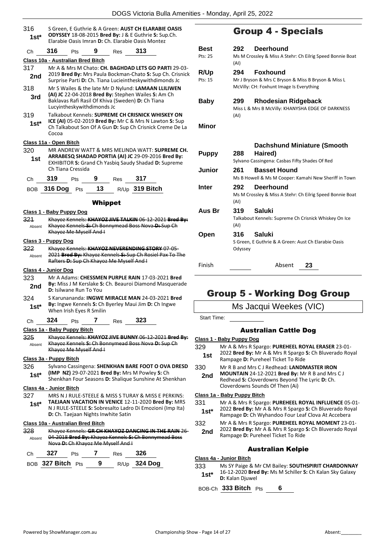|                |                          |                                          |         |                                          | <b>DOGS Victoria Bulla Amenities -</b>                                                                                                                            |                 |
|----------------|--------------------------|------------------------------------------|---------|------------------------------------------|-------------------------------------------------------------------------------------------------------------------------------------------------------------------|-----------------|
| 316<br>1st*    |                          |                                          |         |                                          | S Green, E Guthrie & A Green: AUST CH ELARABIE OASIS<br>ODYSSEY 18-08-2015 Bred By: J & E Guthrie S: Sup.Ch.<br>Elarabie Oasis Imran D: Ch. Elarabie Oasis Montez |                 |
| Сh             | 316                      | Pts                                      | 9       | <b>Res</b>                               | 313                                                                                                                                                               | В١              |
|                |                          | Class 10a - Australian Bred Bitch        |         |                                          |                                                                                                                                                                   | Pt:             |
| 317            |                          |                                          |         |                                          | Mr A & Mrs M Chato: CH. BAGHDAD LETS GO PARTI 29-03-                                                                                                              |                 |
| 2nd            |                          |                                          |         |                                          | 2019 Bred By: Mrs Paula Bockman-Chato S: Sup Ch. Crisnick                                                                                                         | R,              |
|                |                          |                                          |         |                                          | Surprise Parti D: Ch. Tiana Lucieintheskywithdimonds Jc                                                                                                           | Pt:             |
| 318            |                          |                                          |         |                                          | Mr S Wailes & the late Mr D Nylund: LAMAAN LLILIWEN                                                                                                               |                 |
| 3rd            |                          |                                          |         |                                          | (AI) JC 22-04-2018 Bred By: Stephen Wailes S: Am Ch<br>Baklavas Rafi Rasil Of Khiva (Sweden) D: Ch Tiana                                                          | B               |
|                |                          | Lucyintheskywithdimonds Jc               |         |                                          |                                                                                                                                                                   |                 |
| 319            |                          |                                          |         |                                          | Talkabout Kennels: SUPREME CH CRISNICK WHISKEY ON                                                                                                                 |                 |
| $1st*$         | Cocoa                    |                                          |         |                                          | ICE (AI) 05-02-2019 Bred By: Mr C & Mrs N Lawton S: Sup<br>Ch Talkabout Son Of A Gun D: Sup Ch Crisnick Creme De La                                               | М               |
|                |                          |                                          |         |                                          |                                                                                                                                                                   |                 |
| 320            | Class 11a - Open Bitch   |                                          |         |                                          | MR ANDREW WATT & MRS MELINDA WATT: SUPREME CH.                                                                                                                    |                 |
| 1st            |                          |                                          |         |                                          | ARRABESQ SHADAD PORTIA (AI) JC 29-09-2016 Bred By:                                                                                                                | P۱              |
|                |                          |                                          |         |                                          | EXHIBITOR S: Grand Ch Yasbiq Saudy Shadad D: Supreme                                                                                                              |                 |
|                |                          | Ch Tiana Cressida                        |         |                                          |                                                                                                                                                                   | Jι              |
| Ch             | 319                      | Pts                                      |         | 9 Res 317                                |                                                                                                                                                                   |                 |
|                | $_{\rm BOB}$ 316 Dog     | Pts                                      |         |                                          | 13 R/Up 319 Bitch                                                                                                                                                 | In              |
|                |                          |                                          |         |                                          |                                                                                                                                                                   |                 |
|                |                          |                                          | Whippet |                                          |                                                                                                                                                                   |                 |
|                | Class 1 - Baby Puppy Dog |                                          |         |                                          |                                                                                                                                                                   | A               |
| 321<br>Absent  |                          |                                          |         |                                          | Khayoz Kennels: KHAYOZ JIVE TALKIN 06-12-2021 Bred By:<br>Khayoz Kennels S: Ch Bonnymead Boss Nova D: Sup Ch                                                      |                 |
|                |                          | Khayoz Me Myself And I                   |         |                                          |                                                                                                                                                                   | O               |
|                | Class 3 - Puppy Dog      |                                          |         |                                          |                                                                                                                                                                   |                 |
| 322            |                          |                                          |         |                                          | Khayoz Kennels: KHAYOZ NEVERENDING STORY 07-05-                                                                                                                   |                 |
| Absent         |                          |                                          |         |                                          | 2021 Bred By: Khayoz Kennels S: Sup Ch Rosiel Pax To The                                                                                                          |                 |
|                |                          |                                          |         | Rafters D: Sup Ch Khayoz Me Myself And I |                                                                                                                                                                   | Fii             |
|                | Class 4 - Junior Dog     |                                          |         |                                          |                                                                                                                                                                   |                 |
| 323            |                          |                                          |         |                                          | Mr A Adams: CHESSMEN PURPLE RAIN 17-03-2021 Bred<br>By: Miss J M Kerslake S: Ch. Beauroi Diamond Masquerade                                                       |                 |
| 2nd            |                          | D: Isilwane Run To You                   |         |                                          |                                                                                                                                                                   |                 |
| 324            |                          |                                          |         |                                          | S Karunananda: <b>INGWE MIRACLE MAN</b> 24-03-2021 Bred                                                                                                           |                 |
| $1st^*$        |                          |                                          |         |                                          | By: Ingwe Kennels S: Ch Byerley Maui Jim D: Ch Ingwe                                                                                                              |                 |
|                |                          | When Irish Eyes R Smilin                 |         |                                          |                                                                                                                                                                   | S               |
| Ch             | 324                      | Pts                                      |         | 7 Res                                    | 323                                                                                                                                                               |                 |
|                |                          | Class 1a - Baby Puppy Bitch              |         |                                          |                                                                                                                                                                   |                 |
| 325.<br>Absent |                          |                                          |         |                                          | Khayoz Kennels: KHAYOZ JIVE BUNNY 06-12-2021 Bred By:<br>Khayoz Kennels S: Ch Bonnymead Boss Nova D: Sup Ch                                                       | <u>Cla</u>      |
|                |                          | Khayoz Me Myself And I                   |         |                                          |                                                                                                                                                                   | 329             |
|                | Class 3a - Puppy Bitch   |                                          |         |                                          |                                                                                                                                                                   |                 |
| 326            |                          |                                          |         |                                          | Sylvano Cassingena: SHENKHAN BARE FOOT O OVA DRESD                                                                                                                | 330             |
| 1st*           |                          |                                          |         |                                          | (IMP NZ) 29-07-2021 Bred By: Mrs M Powley S: Ch                                                                                                                   | 2               |
|                |                          |                                          |         |                                          | Shenkhan Four Seasons D: Shalique Sunshine At Shenkhan                                                                                                            |                 |
|                | Class 4a - Junior Bitch  |                                          |         |                                          |                                                                                                                                                                   |                 |
| 327            |                          |                                          |         |                                          | MRS N J RULE-STEELE & MISS S TURAY & MISS E PERKINS:<br>TAEJAAN VACATION IN VENICE 12-11-2020 Bred By: MRS                                                        | Cla:            |
| $1st^*$        |                          |                                          |         |                                          | N J RULE-STEELE S: Sobresalto Ladro Di Emozioni (Imp Ita)                                                                                                         | 33 <sup>′</sup> |
|                |                          |                                          |         | D: Ch. Taejaan Nights Inwhite Satin      |                                                                                                                                                                   |                 |
|                |                          | <b>Class 10a - Australian Bred Bitch</b> |         |                                          |                                                                                                                                                                   | 332             |
| 328            |                          |                                          |         |                                          | Khayoz Kennels: GR CH KHAYOZ DANCING IN THE RAIN 26-                                                                                                              | 2               |
| Absent         |                          |                                          |         | Nova D: Ch Khayoz Me Myself And I        | 04 2018 Bred By: Khayoz Kennels S: Ch Bonnymead Boss                                                                                                              |                 |
|                |                          |                                          |         |                                          |                                                                                                                                                                   |                 |
| Сh             | 327                      | Pts                                      | 7       | Res                                      | 326                                                                                                                                                               | Cla:            |
|                | <sub>BOB</sub> 327 Bitch | Pts                                      | 9       | R/Up                                     | <b>324 Dog</b>                                                                                                                                                    | 333             |

# Group 4 - Specials

| <b>Best</b><br>Pts: 25 | <b>Deerhound</b><br>292<br>Ms M Crossley & Miss A Stehr: Ch Eilrig Speed Bonnie Boat<br>(AI)                              |
|------------------------|---------------------------------------------------------------------------------------------------------------------------|
| R/Up<br>Pts: 15        | <b>Foxhound</b><br>294<br>Mr J Bryson & Mrs C Bryson & Miss B Bryson & Miss L<br>McVilly: CH: Foxhunt Image Is Everything |
| Baby                   | <b>Rhodesian Ridgeback</b><br>299<br>Miss L & Mrs B McVilly: KHANYSHA EDGE OF DARKNESS<br>(AI)                            |
| Minor                  |                                                                                                                           |
|                        | <b>Dachshund Miniature (Smooth</b>                                                                                        |
| <b>Puppy</b>           | Haired)<br>288<br>Sylvano Cassingena: Casbas Fifty Shades Of Red                                                          |
| Junior                 | <b>Basset Hound</b><br>261<br>Ms B Howell & Ms M Cooper: Kamahi New Sheriff in Town                                       |
| Inter                  | 292<br>Deerhound<br>Ms M Crossley & Miss A Stehr: Ch Eilrig Speed Bonnie Boat<br>(AI)                                     |
| Aus Br                 | <b>Saluki</b><br>319<br>Talkabout Kennels: Supreme Ch Crisnick Whiskey On Ice<br>(AI)                                     |
| Open                   | Saluki<br>316<br>S Green, E Guthrie & A Green: Aust Ch Elarabie Oasis<br>Odyssey                                          |
| Finish                 | Absent<br>23                                                                                                              |

# Group 5 - Working Dog Group

Ms Jacqui Weekes (VIC)

tart Time:

#### Australian Cattle Dog

#### **Class 1 - Baby Puppy Dog**

- 329 Mr A & Mrs R Spargo: **PUREHEEL ROYAL ERASER** 23-01-
	- 2022 **Bred By:** Mr A & Mrs R Spargo **S:** Ch Bluverado Royal **1st** 2022 **Brea By:** IVIT A & IVITS K Spargo Rampage **D:** Pureheel Ticket To Ride
- 330 Mr R B and Mrs C J Redhead: **LANDMASTER IRON**
- **MOUNTAIN** 24-12-2021 **Bred By:** Mr R B and Mrs C J Redhead **S:** Cloverdowns Beyond The Lyric **D:** Ch. Cloverdowns Sounds Of Then (Ai) **2nd**

#### **Class 1a - Baby Puppy Bitch**

- 331 Mr A & Mrs R Spargo: **PUREHEEL ROYAL INFLUENCE** 05-01- 2022 **Bred By:** Mr A & Mrs R Spargo **S:** Ch Bluverado Royal **St\*** 2022 **Bred By:** Mr A & Mrs R Spargo S: Ch Bluverado Roy<br> Rampage **D:** Ch Wyhandoo Four Leaf Clova At Accebera
- 332 Mr A & Mrs R Spargo: **PUREHEEL ROYAL MOMENT** 23-01- 2022 **Bred By:** Mr A & Mrs R Spargo **S:** Ch Bluverado Royal **2nd** 2022 Bred By: Mr A & Mrs R Spargo<br>Rampage D: Pureheel Ticket To Ride

#### Australian Kelpie

**Class 4a - Junior Bitch**

333 Ms SY Paige & Mr CM Bailey: **SOUTHSPIRIT CHARDONNAY** 16-12-2020 **Bred By:** Ms M Schiller **S:** Ch Kalan Sky Galaxy **1st**\* 1<sup>b-12-2020</sup> Bred<br>**D:** Kalan Djuwel

BOB-Ch **333 Bitch** Pts **6**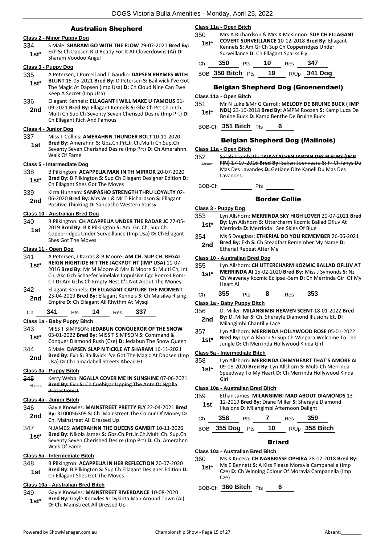#### Australian Shepherd

#### **Class 2 - Minor Puppy Dog**

334 S Male: **SHARAM GO WITH THE FLOW** 29-07-2021 **Bred By:** Exh **S:** Ch Dapsen R U Ready For It At Cloverdowns (Ai) **D: 1st**\* Exn **S**: Ch Dapsen R U P<br>Sharam Voodoo Angel

#### **Class 3 - Puppy Dog**

- 335 A Petersen, J Purcell and T Gaudio: **DAPSEN RHYMES WITH BLUNT** 15-05-2021 **Bred By:** D Petersen **S:** Bailiwick I've Got The Magic At Dapsen (Imp Usa) **D:** Ch Cloud Nine Can Ewe Keep A Secret (Imp Usa) **1st\***
- 336 Ellagant Kennels: **ELLAGANT I WILL MAKE U FAMOUS** 01-
- 09-2021 **Bred By:** Ellagant Kennels **S:** Gbz Ch Prt Ch Jr Ch Multi Ch Sup Ch Seventy Seven Cherised Desire (Imp Prt) **D:**  Ch Ellagant Rich And Famous **2nd**

#### **Class 4 - Junior Dog**

- 337 Miss T Collins: **AMERAHNN THUNDER BOLT** 10-11-2020
- **Bred By:** Amerahnn **S:** Gbz.Ch.Prt.Jr.Ch.Multi Ch.Sup.Ch Seventy Seven Cherished Desire (Imp Prt) **D:** Ch Amerahnn Walk Of Fame **1st**

#### **Class 5 - Intermediate Dog**

- 338 B Pilkington: **ACAPPELIA MAN IN TH MIRROR** 20-07-2020 **Bred By:** B Pilkington **S:** Sup Ch Ellagant Designer Edition **D: 1st\*** Bred By: B Pilkington S: Sup Ch Ellagant Shes Got The Moves
- 339 Kirra Hunnam: **SANPASHO STRENGTH THRU LOYALTY** 02- 06-2020 **Bred By:** Mrs W J & Mr T Richardson **S:** Ellagant Positive Thinking **D:** Sanpasho Western Stussy **2nd**

#### **Class 10 - Australian Bred Dog**

340 B Pilkington: **CH ACAPPELIA UNDER THE RADAR JC** 27-05- 2019 **Bred By:** B K Pilkington **S:** Am. Gr. Ch. Sup Ch. Copperridges Under Surveillance (Imp Usa) **D:** Ch Ellagant Shes Got The Moves **1st**

#### **Class 11 - Open Dog**

- 341 A Petersen, J Karras & B Moore: **AM CH. SUP CH. REGAL REIGN HIGHTIDE HIT THE JACKPOT HT (IMP USA)** 11-07- **1st\***
- 2016 **Bred By:** Mr M Moore & Mrs B Moore **S:** Multi Ch, Int Ch, Akc Gch Schaefer Vinelake Impulsive Cgc Romx-I Rom-C-I **D:** Am Gchs Ch Empty Nest It's Not About The Money 342 Ellagant Kennels: **CH ELLAGANT CAPTURE THE MOMENT**
- 23-04-2019 **Bred By:** Ellagant Kennels **S:** Ch Maisilva Rising **2nd** 23-04-2019 **Bred By:** Ellagant Kennels S: Chempire **D:** Chempian All Rhythm At Mysql

Ch **341** Pts **14** Res **337**

#### **Class 1a - Baby Puppy Bitch**

- 343 MISS T SIMPSON: **JEDABUN CONQUEROR OF THE SNOW** 03-01-2022 **Bred By:** MISS T SIMPSON **S:** Command &
- **1st**\* U3-01-2022 **Bred By:** MISS T SIMPSON **S:** Command & Conquer Diamond Rush (Cze) **D:** Jedabun The Snow Queen 344 S Male: **DAPSEN SLAP N TICKLE AT SHARAM** 16-11-2021
- **Bred By:** Exh **S:** Bailiwick I've Got The Magic At Dapsen (Imp **2nd** Bred By: Exh S: Balliwick I've Got The Ma<br>Usa) **D:** Ch Lamadabell Streets Ahead Ht

#### **Class 3a - Puppy Bitch**

| 345    | Kerry Webb: NGALLA COVER ME IN SUNSHINE 07-06-2021           |
|--------|--------------------------------------------------------------|
| Absent | <b>Bred By:</b> Exh-S: Ch Cuebiyar Upping The Ante-D: Ngalla |
|        | <b>Protectionist</b>                                         |

#### **Class 4a - Junior Bitch**

- 346 Gayle Knowles: **MAINSTREET PRETTY FLY** 22-04-2021 **Bred By:** 3100056309 **S:** Ch. Mainstreet The Colour Of Money **D: 2nd By:** 3100056309 S: Ch. Mainstreet All Dressed Up
- 347 N JAMES: **AMERAHNN THE QUEENS GAMBIT** 10-11-2020 **Bred By:** Nikola James **S:** Gbz.Ch.Prt.Jr.Ch.Multi Ch. Sup.Ch Seventy Seven Cherished Desire (Imp Prt) **D:** Ch. Amerahnn Walk Of Fame **1st\***

#### **Class 5a - Intermediate Bitch**

348 B Pilkington: **ACAPPELIA IN HER REFLECTION** 20-07-2020 **Bred By:** B Pilkington **S:** Sup Ch Ellagant Designer Edition **D: 1st Bred By:** B Pilkington **S:** Sup Ch Ellagant Shes Got The Moves

#### **Class 10a - Australian Bred Bitch**

349 Gayle Knowles: **MAINSTREET RIVERDANCE** 10-08-2020 **Bred By:** Gayle Knowles **S:** Dykinta Man Around Town (Ai) **1st\*** Bred By: Gayle Knowles S: Dykint<br>D: Ch. Mainstreet All Dressed Up

#### **Class 11a - Open Bitch**

350 Mrs A Richardson & Mrs K McKinnon: **SUP CH ELLAGANT COVERT SURVEILLANCE** 10-12-2018 **Bred By:** Ellagant

Kennels **S:** Am Gr Ch Sup Ch Copperridges Under Surveillance **D:** Ch Ellagant Sparks Fly **1st\***

| Ch. | 350                     | Pts | 10 | Res   | 347     |
|-----|-------------------------|-----|----|-------|---------|
|     | $DCD = 350$ Ritch $Dto$ |     | 10 | D/1 h | 341 Doc |

BOB **350 Bitch** Pts **19** R/Up **341 Dog**

#### Belgian Shepherd Dog (Groenendael)

#### **Class 11a - Open Bitch**

351 Mr N Luke &Mr G Carroll: **MELODY DE BRUINE BUCK ( IMP NDL)** 23-10-2018 **Bred By:** AMPM Roozen **S:** Kamp Luca De **1st\* NDLI** 23-10-2018 **Bred By:** AMPM Roozen S:<br>Bruine Buck **D:** Kamp Benthe De Bruine Buck

BOB-Ch **351 Bitch** Pts **6**

#### Belgian Shepherd Dog (Malinois)

#### **Class 11a - Open Bitch**

352 Sarah Trembath: **TAIKATALVEN JARDIN DES FLEURS (IMP FIN)** 17-07-2016 **Bred By:** Sakari Joenvaara **S:** Fr Ch Ianys Du Mas Des Lavandes **D:** Getiane Dite Kaneli Du Mas Des Lavandes Absent

BOB-Ch Pts

#### Border Collie

#### **Class 3 - Puppy Dog**

| 353    | Lyn Allshorn: MERRINDA SKY HIGH LOVER 20-07-2021 Bred |
|--------|-------------------------------------------------------|
| $1st*$ | By: Lyn Allshorn S: Uttercharm Kozmic Ballad Ofluv At |
|        | Merrinda D: Merrinda I See Skies Of Blue              |

354 Ms S Douglass: **ETHERIAL DO YOU REMEMBER** 26-06-2021 **Bred By:** Exh **S:** Ch Steadfast Remember My Name **D: 2nd** Brea By: Exn S: Ch Steadh<br>Etherial Repeat After Me

#### **Class 10 - Australian Bred Dog**

355 Lyn Allshorn: **CH UTTERCHARM KOZMIC BALLAD OFLUV AT MERRINDA AI** 15-02-2020 **Bred By:** Miss J Symonds **S:** Nz **1st\***

Ch Waveney Kozmic Eclipse -Sem **D:** Ch Merrinda Girl Of My Heart Ai

### Ch **355** Pts **8** Res **353**

#### **Class 1a - Baby Puppy Bitch**

- 356 D. Miller: **MILANGIMBI HEAVEN SCENT** 18-01-2022 **Bred By:** D. Miller **S:** Ch. Sherayle Diamond Illusions Et. **D:**
- **2nd By:** D. Miller S: Ch. Sheray<br>Milangimbi Chantilly Lace
- 357 Lyn Allshorn: **MERRINDA HOLLYWOOD ROSE** 05-01-2022 **Bred By:** Lyn Allshorn **S:** Sup Ch Winpara Welcome To The **1st\*** Bred By: Lyn Allshorn S: Sup Ch Winpara We<br>Jungle D: Ch Merrinda Hollywood Kinda Girl

#### **Class 5a - Intermediate Bitch**

- 
- Speedway To My Heart **D:** Ch Merrinda Hollywood Kinda Girl **1st\***

#### **Class 10a - Australian Bred Bitch**

359 Ethan James: **MILANGIMBI MAD ABOUT DIAMONDS** 13- 12-2019 **Bred By:** Diane Miller **S:** Sherayle Diamond **1st** 12-2019 **Bred By:** Diane Miller S: Sherayle<br>**1st** Illusions **D**: Milangimbi Afternoon Delight

| Ch 358 Pts 7 Res 359 |  |                                     |
|----------------------|--|-------------------------------------|
|                      |  | BOB 355 Dog Pts 10 $R/Up$ 358 Bitch |

# Briard

#### **Class 10a - Australian Bred Bitch**

- 360 Ms K Kucera: **CH NARBRISSE OPHIRA** 28-02-2018 **Bred By:** Ms E Bennett **S:** A Kiss Please Moravia Campanella (Imp
	- Cze) **D:** Ch Winning Colour Of Moravia Campanella (Imp Cze) **1st\***

BOB-Ch **360 Bitch** Pts **6**

358 Lyn Allshorn: **MERRINDA OHMYHEART THAT'S AMORE AI** 09-08-2020 **Bred By:** Lyn Allshorn **S:** Multi Ch Merrinda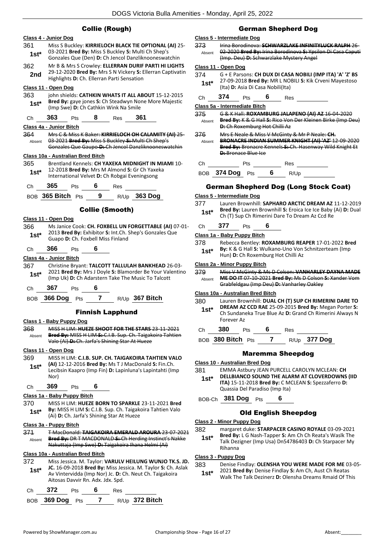#### Collie (Rough)



|  | Ch 372 Pts 6 |  | <b>Res</b> |                                  |
|--|--------------|--|------------|----------------------------------|
|  |              |  |            | BOB 369 Dog Pts 7 R/Up 372 Bitch |

#### German Shepherd Dog

#### **Class 5 - Intermediate Dog**

373 Irina Borodinova: **SCHWARZLAKE INFINITYLUCK RALPH** 26- 02-2020 **Bred By:** Irina Borodinova **S:** Ypsilon Di Casa Caputi (Imp. Deu) **D:** Schwarzlake Mystery Angel Absent

#### **Class 11 - Open Dog**

374 G + E Parsons: **CH DUX DI CASA NOBILI (IMP ITA) 'A' 'Z' BS** 27-09-2018 **Bred By:** MR L NOBILI **S:** Kik Crveni Mayestoso (Ita) **D:** Asia Di Casa Nobili(Ita) **1st\***

| Ch | 374 | Pts |  | Res |  |
|----|-----|-----|--|-----|--|
|----|-----|-----|--|-----|--|

**Class 5a - Intermediate Bitch**

375 G & K Hall: **ROXAMBURG JALAPENO (AI) AZ** 16-04-2020 **Bred By:** K & G Hall **S:** Rico Von Der Kleinen Birke (Imp Deu) **D:** Ch Roxemburg Hot Chilli Az Absent

376 Mrs E Neale & Miss V McGinty & Mr P Neale: **CH. BRONACRE INDIAN SUMMER KNIGHT (AI) 'AZ'** 12-09-2020 **Bred By:** Bronacre Kennels **S:** Ch. Hasenway Wild Knight Et **D:** Bronace Blue Ice Absent

Ch Pts Res BOB **374 Dog** Pts **6** R/Up

# German Shepherd Dog (Long Stock Coat)

#### **Class 5 - Intermediate Dog**

377 Lauren Brownhill: **SAPHARO ARCTIC DREAM AZ** 11-12-2019 **Bred By:** Lauren Brownhill **S:** Eroica Ice Ice Baby (Ai) **D:** Dual **1st\*** Brea By: Lauren Brownhill Strate and the ICB Read of the Ch (T) Sup Ch Rimerini Dare To Dream Az Ccd Re

#### Ch **377** Pts **6**

#### **Class 1a - Baby Puppy Bitch**

378 Rebecca Bentley: **ROXAMBURG REAPER** 17-01-2022 **Bred By:** K & G Hall **S:** Wulkano-Uno Von Schnitzerteam (Imp **1st\* By:** K & G Hall **S:** Wulkano-Uno Von<br>Hun) **D:** Ch Roxemburg Hot Chilli Az

#### **Class 2a - Minor Puppy Bitch**

379 Miss V McGinty & Ms D Colson: **VANHARLEY DAYNA MADE ME DO IT** 07-10-2021 **Bred By:** Ms D Colson **S:** Xander Vom Grabfeldgau (Imp Deu) **D:** Vanharley Oakley Absent

#### **Class 10a - Australian Bred Bitch**

380 Lauren Brownhill: **DUAL CH (T) SUP CH RIMERINI DARE TO DREAM AZ CCD RAE** 25-09-2015 **Bred By:** Megan Porter **S:**  Ch Sundaneka True Blue Az **D:** Grand Ch Rimerini Always N Forever Az **1st\***

Ch **380** Pts **6** Res

BOB **380 Bitch** Pts **7** R/Up **377 Dog**

#### Maremma Sheepdog

#### **Class 10 - Australian Bred Dog**

381 EMMA Astbury JEAN PURCELL CAROLYN MCLEAN: **CH DELLBIANCO SOUND THE ALARM AT CLOVERDOWNS (IID ITA)** 15-11-2018 **Bred By:** C MCLEAN **S:** Spezzaferro **D:**  Quassia Del Paradiso (Imp Ita) **1st\***

BOB-Ch **381 Dog** Pts **6**

#### Old English Sheepdog

#### **Class 2 - Minor Puppy Dog**

382 margaret duke: **STARPACER CASINO ROYALE** 03-09-2021

**Bred By:** L G Nash-Tapper **S:** Am Ch Ch Reata's Waslk The Talk Dezigner (Imp Usa) Dn54786403 **D:** Ch Starpacer My Rihanna **1st\***

#### **Class 3 - Puppy Dog**

#### 383 Denise Findlay: **OLENSHA YOU WERE MADE FOR ME** 03-05-

2021 **Bred By:** Denise Findlay **S:** Am Ch, Aust Ch Reatas Walk The Talk Dezinerz **D:** Olensha Dreams Rmaid Of This **1st\***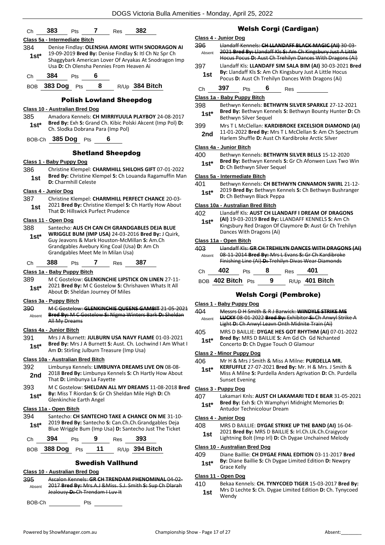|                   | 382<br>383<br>7<br>Pts<br>Res                                                                                                                                      |            | Class 4 - Junior Dog                                                                                                                                                                                           |
|-------------------|--------------------------------------------------------------------------------------------------------------------------------------------------------------------|------------|----------------------------------------------------------------------------------------------------------------------------------------------------------------------------------------------------------------|
|                   | Class 5a - Intermediate Bitch                                                                                                                                      | 396        | Llandaff Kennels: CH LLANDAFF BLACK MAGIC (AI) 30-03-                                                                                                                                                          |
| 384<br>$1st*$     | Denise Findlay: OLENSHA AMORE WITH SNODRAGON AI<br>19-09-2019 Bred By: Denise Findlay S: Itl Ch Nz Spr Ch<br>Shaggybark American Lover Of Aryakas At Snodragon Imp | Absent     | 2021 Bred By: Llandaff Kls-S: Am Ch Kingsbury Just A Little<br>Hocus Pocus D: Aust Ch Trehilyn Dances With Dragons (Ai)                                                                                        |
|                   | Usa D: Ch Olensha Pennies From Heaven Ai                                                                                                                           | 397<br>1st | Llandaff Kls: LLANDAFF SIM SALA BIM (AI) 30-03-2021 Bred<br>By: Llandaff Kls S: Am Ch Kingsbury Just A Little Hocus                                                                                            |
| Ch                | 384<br>6<br>Pts<br>BOB 383 Dog Pts 8<br>R/Up 384 Bitch                                                                                                             |            | Pocus D: Aust Ch Trehilyn Dances With Dragons (Ai)                                                                                                                                                             |
|                   |                                                                                                                                                                    | Ch         | Pts 6 Res<br>397                                                                                                                                                                                               |
|                   | <b>Polish Lowland Sheepdog</b>                                                                                                                                     |            | Class 1a - Baby Puppy Bitch                                                                                                                                                                                    |
|                   | Class 10 - Australian Bred Dog                                                                                                                                     | 398        | Bethwyn Kennels: BETHWYN SILVER SPARKLE 27-12-2021<br>Bred By: Bethwyn Kennels S: Bethwyn Bounty Hunter D: Ch                                                                                                  |
| 385               | Amadora Kennels: CH MIRRIYUULA PLAYBOY 24-08-2017                                                                                                                  | $1st*$     | Bethwyn Silver Sequel                                                                                                                                                                                          |
| $1st^*$           | Bred By: Exh S: Grand Ch. Kibic Polski Akcent (Imp Pol) D:<br>Ch. Slodka Dobrana Para (Imp Pol)                                                                    | 399<br>2nd | Mrs T L McClellan: KARDIBROKE EXCELSIOR DIAMOND (AI)<br>11-01-2022 Bred By: Mrs T L McClellan S: Am Ch Spectrum                                                                                                |
|                   | BOB-Ch 385 Dog Pts                                                                                                                                                 |            | Harlem Shuffle D: Aust Ch Kardibroke Arctic Silver                                                                                                                                                             |
|                   | <b>Shetland Sheepdog</b>                                                                                                                                           |            | Class 4a - Junior Bitch                                                                                                                                                                                        |
|                   |                                                                                                                                                                    | 400        | Bethwyn Kennels: BETHWYN SILVER BELLS 15-12-2020                                                                                                                                                               |
| 386               | Class 1 - Baby Puppy Dog<br>Christine Klempel: CHARMHILL SHILOHS GIFT 07-01-2022                                                                                   | $1st*$     | Bred By: Bethwyn Kennels S: Gr Ch Afonwen Luvs Two Win<br>D: Ch Bethwyn Silver Sequel                                                                                                                          |
| 1st               | Bred By: Christine Klempel S: Ch Louanda Ragamuffin Man                                                                                                            |            | Class 5a - Intermediate Bitch                                                                                                                                                                                  |
|                   | D: Charmhill Celeste                                                                                                                                               | 401        | Bethwyn Kennels: CH BETHWYN CINNAMON SWIRL 21-12-                                                                                                                                                              |
|                   | Class 4 - Junior Dog                                                                                                                                               | $1st*$     | 2019 Bred By: Bethwyn Kennels S: Ch Bethwyn Bushranger<br>D: Ch Bethwyn Black Peppa                                                                                                                            |
| 387               | Christine Klempel: CHARMHILL PERFECT CHANCE 20-03-                                                                                                                 |            |                                                                                                                                                                                                                |
| 1st               | 2021 Bred By: Christine Klempel S: Ch Hartly How About<br>That D: Hillswick Purfect Prudence                                                                       |            | Class 10a - Australian Bred Bitch                                                                                                                                                                              |
|                   |                                                                                                                                                                    | 402        | Llandaff Kls: AUST CH LLANDAFF I DREAM OF DRAGONS<br>(AI) 19-03-2019 Bred By: LLANDAFF KENNELS S: Am Ch                                                                                                        |
|                   | Class 11 - Open Dog<br>Santecho: AUS CH CAN CH GRANDGABLES DEJA BLUE                                                                                               | $1st*$     | Kingsbury Red Dragon Of Claymore D: Aust Gr Ch Trehilyn                                                                                                                                                        |
| 388               | WRIGGLE BUM (IMP USA) 24-03-2016 Bred By: J Quirk,                                                                                                                 |            | Dances With Dragons (Ai)                                                                                                                                                                                       |
| $1st*$            | Guy Jeavons & Mark Houston-McMillan S: Am.Ch                                                                                                                       |            | Class 11a - Open Bitch                                                                                                                                                                                         |
|                   | Grandgables Avebury King Coal (Usa) D: Am Ch                                                                                                                       | 403        | <b>Handaff KIs: GR CH TREHILYN DANCES WITH DRAGONS (AI)</b>                                                                                                                                                    |
|                   | Grandgables Meet Me In Milan Usa)                                                                                                                                  | Absent     | 08-11-2014 Bred By: Mrs L Evans S: Gr Ch Kardibroke                                                                                                                                                            |
| Ch                | 387<br>388<br>Pts 7<br>Res                                                                                                                                         |            | Finishing Line (Ai) D: Trehilyn Divas Wear Diamonds                                                                                                                                                            |
|                   | Class 1a - Baby Puppy Bitch                                                                                                                                        | Ch         | 402<br>8<br>401<br>Pts<br>Res                                                                                                                                                                                  |
| 389<br>$1st^*$    | M C Gostelow: GLENKINCHIE LIPSTICK ON LINEN 27-11-<br>2021 Bred By: M C Gostelow S: Chrishaven Whats It All                                                        |            | BOB 402 Bitch Pts 9<br>R/Up 401 Bitch                                                                                                                                                                          |
|                   | About D: Sheldan Journey Of Miles                                                                                                                                  |            | <b>Welsh Corgi (Pembroke)</b>                                                                                                                                                                                  |
|                   | Class 3a - Puppy Bitch                                                                                                                                             |            | Class 1 - Baby Puppy Dog                                                                                                                                                                                       |
| 390               | M C Gostelow: GLENKINCHIE QUEENS GAMBIT 21-05-2021<br>Bred By: M C Gostelow S: Nigma Winters Bark D: Sheldan                                                       | 404        | Messrs D H Smith & R J Barwick: WINDYLE STRIKE ME                                                                                                                                                              |
| Absent            | All My Dreams                                                                                                                                                      | Absent     | <b>LUCKY</b> 08-01-2022 Bred By: Exhibitor S: Ch Anwyl Strike A<br>Light D: Ch Anwyl Leavn Onth Midnite Train (Ai)                                                                                             |
|                   | Class 4a - Junior Bitch                                                                                                                                            | 405        | MRS D BAILLIE: DYGAE HES GOT RHYTHM (AI) 07-01-2022                                                                                                                                                            |
| 391               | Mrs J A Burnett: JULBURN USA NAVY FLAME 01-03-2021                                                                                                                 |            |                                                                                                                                                                                                                |
|                   | Bred By: Mrs J A Burnett S: Aust. Ch. Lochwind I Am What I                                                                                                         | $1st*$     | Bred By: MRS D BAILLIE S: Am Gd Ch Gd Nchanted<br>Concerto D: Ch Dygae Touch O Glamour                                                                                                                         |
| $1st*$            | Am D: Stirling Julburn Treasure (Imp Usa)                                                                                                                          |            | <b>Class 2 - Minor Puppy Dog</b>                                                                                                                                                                               |
|                   | Class 10a - Australian Bred Bitch                                                                                                                                  | 406        | Mr H & Mrs J Smith & Miss A Milne: <b>PURDELLA MR.</b>                                                                                                                                                         |
|                   | Limbunya Kennels: LIMBUNYA DREAMS LIVE ON 08-08-                                                                                                                   |            | KERFUFFLE 27-07-2021 Bred By: Mr. H & Mrs. J Smith &                                                                                                                                                           |
| 2nd               | 2018 Bred By: Limbunya Kennels S: Ch Hartly How About<br>That D: Limbunya La Fayette                                                                               | $1st*$     | <b>Sunset Evening</b>                                                                                                                                                                                          |
|                   | M C Gostelow: SHELDAN ALL MY DREAMS 11-08-2018 Bred                                                                                                                |            | Class 3 - Puppy Dog                                                                                                                                                                                            |
| $1st*$            | By: Miss T Riordan S: Gr Ch Sheldan Mile High D: Ch                                                                                                                | 407        |                                                                                                                                                                                                                |
|                   | Glenkinchie Earth Angel                                                                                                                                            |            | Bred By: Exh S: Ch Wamphyri Midnight Memories D:                                                                                                                                                               |
|                   | Class 11a - Open Bitch                                                                                                                                             | $1st*$     | Antudor Technicolour Dream                                                                                                                                                                                     |
|                   | Santecho: CH SANTECHO TAKE A CHANCE ON ME 31-10-                                                                                                                   |            | Class 4 - Junior Dog                                                                                                                                                                                           |
| $1st*$            | 2019 Bred By: Santecho S: Can.Ch.Ch.Grandgables Deja                                                                                                               | 408        | MRS D BAILLIE: DYGAE STRIKE UP THE BAND (AI) 16-04-                                                                                                                                                            |
|                   | Blue Wriggle Bum (Imp Usa) D: Santecho Just The Ticket                                                                                                             | 1st        | 2021 Bred By: MRS D BAILLIE S: Irl.Ch.Uk.Ch.Craigycor                                                                                                                                                          |
| Ch                | 393<br>394<br>9<br>Pts<br>Res                                                                                                                                      |            | Miss A Milne S: Purdella Anders Agrivation D: Ch. Purdella<br>Lakamari Knls: AUST CH LAKAMARI TED E BEAR 31-05-2021<br>Lightning Bolt (Imp Irl) D: Ch Dygae Unchained Melody<br>Class 10 - Australian Bred Dog |
| <b>BOB</b>        | 11<br>R/Up 394 Bitch<br>388 Dog Pts                                                                                                                                | 409        | Diane Baillie: CH DYGAE FINAL EDITION 03-11-2017 Bred                                                                                                                                                          |
| 392<br>393<br>394 | <b>Swedish Vallhund</b>                                                                                                                                            | $1st^*$    | By: Diane Baillie S: Ch Dygae Limited Edition D: Newpry                                                                                                                                                        |
|                   | Class 10 - Australian Bred Dog                                                                                                                                     |            | Grace Kelly                                                                                                                                                                                                    |
| 395<br>Absent     | Ascalon Kennels: GR CH TRENDAM PHENOMINAL 04 02<br>2017 Bred By: Mrs.A.J & Miss. S.J. Smith S: Sup Ch Dlarah                                                       | 410        | Class 11 - Open Dog<br>Bekaa Kennels: CH. TYNYCOED TIGER 15-03-2017 Bred By:                                                                                                                                   |

BOB-Ch \_\_\_\_\_\_\_\_\_\_ Pts \_\_\_\_\_\_\_\_\_

# digan)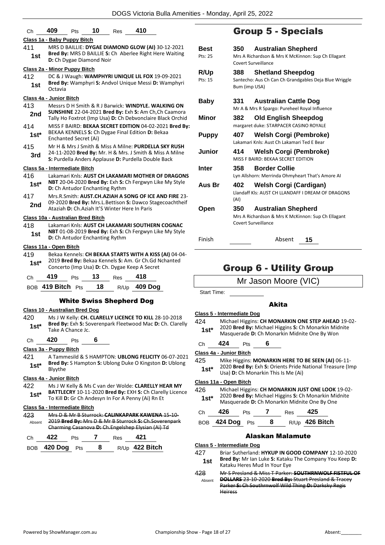|                         |                                                                                                                |                                   |                                       |                                               | <b>DUGS VICIONA DUIA AMÉMI</b> N                                                                                    |  |  |
|-------------------------|----------------------------------------------------------------------------------------------------------------|-----------------------------------|---------------------------------------|-----------------------------------------------|---------------------------------------------------------------------------------------------------------------------|--|--|
| Сh                      | 409                                                                                                            | Pts                               | 10                                    | Res                                           | 410                                                                                                                 |  |  |
|                         |                                                                                                                | Class 1a - Baby Puppy Bitch       |                                       |                                               |                                                                                                                     |  |  |
| 411                     | MRS D BAILLIE: DYGAE DIAMOND GLOW (AI) 30-12-2021                                                              |                                   |                                       |                                               |                                                                                                                     |  |  |
| 1st                     | Bred By: MRS D BAILLIE S: Ch Aberlee Right Here Waiting<br>D: Ch Dygae Diamond Noir                            |                                   |                                       |                                               |                                                                                                                     |  |  |
|                         |                                                                                                                | Class 2a - Minor Puppy Bitch      |                                       |                                               |                                                                                                                     |  |  |
| 412                     |                                                                                                                |                                   |                                       |                                               | DC & J Waugh: WAMPHYRI UNIQUE LIL FOX 19-09-2021                                                                    |  |  |
| 1st                     | Octavia                                                                                                        |                                   |                                       |                                               | Bred By: Wamphyri S: Andvol Unique Messi D: Wamphyri                                                                |  |  |
| Class 4a - Junior Bitch |                                                                                                                |                                   |                                       |                                               |                                                                                                                     |  |  |
| 413                     |                                                                                                                |                                   |                                       |                                               | Messrs D H Smith & R J Barwick: WINDYLE, WALKING ON                                                                 |  |  |
| 2nd                     |                                                                                                                |                                   |                                       |                                               | SUNSHINE 22-04-2021 Bred By: Exh S: Am Ch, Ch Caamora<br>Tally Ho Foxtrot (Imp Usa) D: Ch Debvonclaire Black Orchid |  |  |
| 414                     |                                                                                                                |                                   |                                       |                                               | MISS F BAIRD: BEKAA SECRET EDITION 04-02-2021 Bred By:                                                              |  |  |
| 1st*                    |                                                                                                                | Enchanted Secret (Ai)             |                                       |                                               | BEKAA KENNELS S: Ch Dygae Final Edition D: Bekaa                                                                    |  |  |
| 415                     |                                                                                                                |                                   |                                       |                                               | Mr H & Mrs J Smith & Miss A Milne: PURDELLA SKY RUSH                                                                |  |  |
| 3rd                     | 24-11-2020 Bred By: Mr. H & Mrs. J Smith & Miss A Milne<br>S: Purdella Anders Applause D: Purdella Double Back |                                   |                                       |                                               |                                                                                                                     |  |  |
|                         |                                                                                                                | Class 5a - Intermediate Bitch     |                                       |                                               |                                                                                                                     |  |  |
| 416                     |                                                                                                                |                                   |                                       |                                               | Lakamari Knls: AUST CH LAKAMARI MOTHER OF DRAGONS                                                                   |  |  |
| 1st*                    |                                                                                                                |                                   | <b>D:</b> Ch Antudor Enchanting Rythm |                                               | NBT 20-04-2020 Bred By: Exh S: Ch Fergwyn Like My Style                                                             |  |  |
| 417                     |                                                                                                                |                                   |                                       |                                               | Mrs.R.Smith: AUST.CH.AZIAH A SONG OF ICE AND FIRE 23-                                                               |  |  |
| 2nd                     |                                                                                                                |                                   |                                       | Ataziah D: Ch.Aziah It'S Winter Here In Paris | 09-2020 Bred By: Mrs.L.Bettison S: Dawco Stagecoachtheif                                                            |  |  |
|                         |                                                                                                                | Class 10a - Australian Bred Bitch |                                       |                                               |                                                                                                                     |  |  |
| 418                     |                                                                                                                |                                   |                                       |                                               | Lakamari Knls: AUST CH LAKAMARI SOUTHERN COGNAC                                                                     |  |  |
| 1st                     |                                                                                                                |                                   | <b>D:</b> Ch Antudor Enchanting Rythm |                                               | NBT 01-08-2019 Bred By: Exh S: Ch Fergwyn Like My Style                                                             |  |  |
| Class 11a - Open Bitch  |                                                                                                                |                                   |                                       |                                               |                                                                                                                     |  |  |
| 419                     |                                                                                                                |                                   |                                       |                                               | Bekaa Kennels: CH BEKAA STARTS WITH A KISS (AI) 04-04-                                                              |  |  |
| 1st*                    |                                                                                                                |                                   |                                       |                                               | 2019 Bred By: Bekaa Kennels S: Am. Gr Ch.Gd Nchanted<br>Concerto (Imp Usa) D: Ch. Dygae Keep A Secret               |  |  |
| Сh                      | 419                                                                                                            | Pts                               | 13                                    | Res                                           | 418                                                                                                                 |  |  |
|                         | BOB 419 Bitch Pts                                                                                              |                                   | 18                                    |                                               | R/Up 409 Dog                                                                                                        |  |  |
|                         |                                                                                                                |                                   |                                       | <b>White Swiss Shepherd Dog</b>               |                                                                                                                     |  |  |
|                         |                                                                                                                | Class 10 - Australian Bred Dog    |                                       |                                               |                                                                                                                     |  |  |
| 420                     |                                                                                                                |                                   |                                       |                                               | Ms J W Kelly: CH. CLARELLY LICENCE TO KILL 28-10-2018                                                               |  |  |
|                         |                                                                                                                |                                   |                                       |                                               | <b>Rrad Ry:</b> Exh S: Soverennark Fleetwood Mac D: Ch. Clarelly                                                    |  |  |

- **Bred By:** Exh **S:** Soverenpark Fleetwood Mac **D:** Ch. Clarelly **1st\* Died by:** Exit **5:** 50<br>Take A Chance Jc.
- Ch **420** Pts **6**

#### **Class 3a - Puppy Bitch**

421 A Tammesild & S HAMPTON: **UBLONG FELICITY** 06-07-2021 **Bred By:** S Hampton **S:** Ublong Duke O Kingston **D:** Ublong **1st\* Bred By**<br>Blyythe

#### **Class 4a - Junior Bitch**

422 Ms J W Kelly & Ms C van der Wolde: **CLARELLY HEAR MY BATTLECRY** 10-11-2020 **Bred By:** EXH **S:** Ch Clarelly Licence **1st**\* BATTLECRY 10-11-2020 Brea By: EXH S: Ch Clarell<br>To Kill D: Gr Ch Andesyn In For A Penny (Ai) Rn Et

#### **Class 5a - Intermediate Bitch**

| 423    |                    |            |   |     | Mrs D & Mr B Sturrock: CALINKAPARK KAWENA 15-10-      |  |
|--------|--------------------|------------|---|-----|-------------------------------------------------------|--|
| Absent |                    |            |   |     | 2019 Bred By: Mrs D & Mr B Sturrock S: Ch.Soverenpark |  |
|        |                    |            |   |     | Charming Casanova-D:-Ch.Engelshep Elysian (Ai) Td     |  |
| C.h    | 477                | Pts        |   | Res |                                                       |  |
|        | <b>BOB</b> 420 Dog | <b>Pts</b> | 8 |     | R/Up 422 Bitch                                        |  |

# Group 5 - Specials

| <b>Best</b><br>Pts: 25 | 350                  | <b>Australian Shepherd</b><br>Mrs A Richardson & Mrs K McKinnon: Sup Ch Ellagant<br>Covert Surveillance |
|------------------------|----------------------|---------------------------------------------------------------------------------------------------------|
| <b>R/Up</b><br>Pts: 15 | 388<br>Bum (imp USA) | <b>Shetland Sheepdog</b><br>Santecho: Aus Ch Can Ch Grandgables Deja Blue Wriggle                       |
| Baby                   | 331                  | <b>Australian Cattle Dog</b><br>Mr A & Mrs R Spargo: Pureheel Royal Influence                           |
| Minor                  | 382                  | <b>Old English Sheepdog</b><br>margaret duke: STARPACER CASINO ROYALE                                   |
| <b>Puppy</b>           | 407                  | <b>Welsh Corgi (Pembroke)</b><br>Lakamari Knls: Aust Ch Lakamari Ted E Bear                             |
| Junior                 | 414                  | <b>Welsh Corgi (Pembroke)</b><br>MISS F BAIRD: BEKAA SECRET EDITION                                     |
| Inter                  | 358                  | <b>Border Collie</b><br>Lyn Allshorn: Merrinda Ohmyheart That's Amore AI                                |
| Aus Br                 | 402<br>(AI)          | Welsh Corgi (Cardigan)<br>Llandaff Kls: AUST CH LLANDAFF I DREAM OF DRAGONS                             |
| Open                   | 350                  | <b>Australian Shepherd</b><br>Mrs A Richardson & Mrs K McKinnon: Sup Ch Ellagant<br>Covert Surveillance |

#### Finish Absent **15**

# Group 6 - Utility Group

Mr Jason Moore (VIC)

Start Time:

#### Akita

|        | Class 5 - Intermediate Dog                           |
|--------|------------------------------------------------------|
| 424    | Michael Higgins: CH MONARKIN ONE STEP AHEAD 19-02-   |
| $1st*$ | 2020 Bred By: Michael Higgins S: Ch Monarkin Midnite |

- **Masquerade D: Ch Monarkin Midnite One By Won**
- Ch **424** Pts **6**

#### **Class 4a - Junior Bitch**

- 425 Mike Higgins: **MONARKIN HERE TO BE SEEN (AI)** 06-11-
	- 2020 **Bred By:** Exh **S:** Orients Pride National Treasure (Imp **1st**\* 2020 **Bred By:** Exh **S:** Orients Pride is Me (Ai) **15th** Usa) **D:** Ch Monarkin This Is Me (Ai)

#### **Class 11a - Open Bitch**

- 426 Michael Higgins: **CH MONARKIN JUST ONE LOOK** 19-02- 2020 **Bred By:** Michael Higgins **S:** Ch Monarkin Midnite
- 1st\* 2020 Bred By: Michael Higgins S: Ch Monarkin Mi<br>Masquerade D: Ch Monarkin Midnite One By One

| Ch | 426             | <b>Pts</b> | Res | 425            |
|----|-----------------|------------|-----|----------------|
|    | BOB 424 Dog Pts |            |     | R/Up 426 Bitch |

#### Alaskan Malamute

#### **Class 5 - Intermediate Dog**

427 Briar Sutherland: **HYKUP IN GOOD COMPANY** 12-10-2020 **Bred By:** Mr Ian Luke **S:** Kataku The Company You Keep **D:** 

- **1st Bred By:** Mr Ian Luke **S:** Kataku Heres Mud In Your Eve
- 428 Mr S Presland & Miss T Parker: **SOUTHRNWOLF FISTFUL OF DOLLARS** 23-10-2020 **Bred By:** Stuart Presland & Tracey Parker **S:** Ch Southrnwolf Wild Thing **D:** Darksky Regis Heiress Absent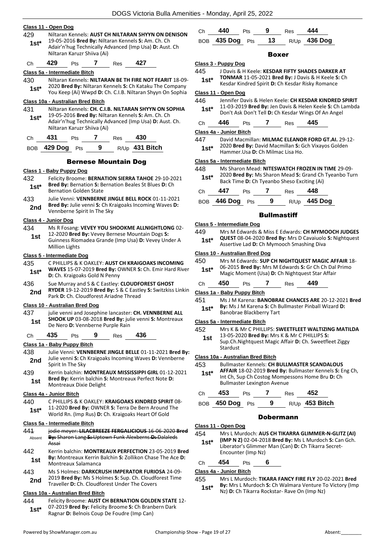#### **Class 11 - Open Dog** 429 Niltaran Kennels: **AUST CH NILTARAN SHYYN ON DENISON** 19-05-2016 **Bred By:** Niltaran Kennels **S:** Am. Ch. Ch Adair'n'hug Technically Advanced (Imp Usa) **D:** Aust. Ch Niltaran Karuzr Shiiva (Ai) **1st\*** Ch **429** Pts **7** Res **427 Class 5a - Intermediate Bitch** 430 Niltaran Kennels: **NILTARAN BE TH FIRE NOT FEARIT** 18-09- 2020 **Bred By:** Niltaran Kennels **S:** Ch Kataku The Company You Keep (Ai) Wwpd **D:** Ch. C.I.B. Niltaran Shyyn On Sophia **1st\* Class 10a - Australian Bred Bitch** 431 Niltaran Kennels: **CH. C.I.B. NILTARAN SHYYN ON SOPHIA** 19-05-2016 **Bred By:** Niltaran Kennels **S:** Am. Ch. Ch Adair'n'hug Technically Advanced (Imp Usa) **D:** Aust. Ch. Niltaran Karuzr Shiiva (Ai) **1st\*** Ch **431** Pts **7** Res **430** BOB **429 Dog** Pts **9** R/Up **431 Bitch** Bernese Mountain Dog **Class 1 - Baby Puppy Dog** 432 Felicity Broome: **BERNATION SIERRA TAHOE** 29-10-2021 **Bred By:** Bernation **S:** Bernation Beales St Blues **D:** Ch **1st\* Brea By:** Bernation **S:** Bernation Golden State 433 Julie Venni: **VENNBERNE JINGLE BELL ROCK** 01-11-2021 **Bred By:** Julie venni **S:** Ch Kraigoaks Incoming Waves **D: 2nd** Brea By: Julie venni S: Ch Kr<br>Vennberne Spirit In The Sky **Class 4 - Junior Dog** 434 Ms R Fosang: **VEVEY YOU SHOOKME ALLNIGHTLONG** 02- 12-2020 **Bred By:** Vevey Bernese Mountain Dogs **S:**  Guinness Riomadea Grande (Imp Usa) **D:** Vevey Under A Million Lights **1st Class 5 - Intermediate Dog** 435 C PHILLIPS & K OAKLEY: **AUST CH KRAIGOAKS INCOMING WAVES** 15-07-2019 **Bred By:** OWNER **S:** Ch. Emir Hard River **1st\* WAVES** 15-07-2019 **Brea By:** CD: Ch. Kraigoaks Gold N Penny 436 Sue Murray and S & C Eastley: **CLOUDFOREST GHOST RYDER** 19-12-2019 **Bred By:** S & C Eastley **S:** Switzkiss Linkin **2nd RYDER 19-12-2019 Brea By: 5 & C Easting**<br>Park D: Ch. Cloudforest Ariadne Thread **Class 10 - Australian Bred Dog**

437 julie venni and Josephine lancaster: **CH. VENNBERNE ALL SHOOK UP** 03-08-2018 **Bred By:** julie venni **S:** Montreaux **1st SHOOK UP 03-08-2018 Bred By: July 1958**<br>De Nero **D:** Vennberne Purple Rain

Ch **435** Pts **9** Res **436**

#### **Class 1a - Baby Puppy Bitch**

- 438 Julie Venni: **VENNBERNE JINGLE BELLE** 01-11-2021 **Bred By:** Julie venni **S:** Ch Kraigoaks Incoming Waves **D:** Vennberne **2nd** Spirit In The Sky
- 439 Kerrin balchin: **MONTREAUX MISSISSIPPI GIRL** 01-12-2021 **Bred By:** Kerrin balchin **S:** Montreaux Perfect Note **D:**  Montreaux Dixie Delight **1st**

#### **Class 4a - Junior Bitch**

440 C PHILLIPS & K OAKLEY: **KRAIGOAKS KINDRED SPIRIT** 08- 11-2020 **Bred By:** OWNER **S:** Terra De Bern Around The World Rn. (Imp Rus) **D:** Ch. Kraigoaks Heart Of Gold **1st\***

#### **Class 5a - Intermediate Bitch**

| 441        | jodie meyer: LILACBREEZE FERGALICIOUS 16-06-2020 Bred                                                                                    |
|------------|------------------------------------------------------------------------------------------------------------------------------------------|
| Absent     | By: Sharon Lang S: Uptown Funk Alexberns D: Dalaleds<br>Assai                                                                            |
| 442<br>1st | Kerrin balchin: MONTREAUX PERFECTION 23-05-2019 Bred<br>By: Montreaux Kerrin Balchin S: Zollikon Chase The Ace D:<br>Montreaux Salamanca |
| 443        | Ms S Holmes: DARKCRUSH IMPERATOR FURIOSA 24-09-<br>2010 Bush But Me Citatuses C. Cup. Ch. Claudfound Time                                |

2019 **Bred By:** Ms S Holmes **S:** Sup. Ch. Cloudforest Time 2nd <sup>2019</sup> Brea by: MS 5 Holmes 5: Sup. Cn. Cloudforest Under The Covers

#### **Class 10a - Australian Bred Bitch**

444 Felicity Broome: **AUST CH BERNATION GOLDEN STATE** 12- 07-2019 **Bred By:** Felicity Broome **S:** Ch Branbern Dark Ragnar **D:** Belnois Coup De Foudre (Imp Can) **1st\***

| Ch <b>440</b>   | <b>Pts</b> | - 9 | Res <b>444</b> |                   |
|-----------------|------------|-----|----------------|-------------------|
| BOB 435 Dog Pts |            |     |                | 13 $R/Up$ 436 Dog |

#### Boxer

#### **Class 3 - Puppy Dog**

- 445 J Davis & H Keele: **KESDAR FIFTY SHADES DARKER AT TONMAR** 11-05-2021 **Bred By:** J Davis & H Keele **S:** Ch
	- Kesdar Kindred Spirit **D:** Ch Kesdar Risky Romance **1st\***

### **Class 11 - Open Dog**

- 446 Jennifer Davis & Helen Keele: **CH KESDAR KINDRED SPIRIT** 11-03-2019 **Bred By:** Jen Davis & Helen Keele **S:** Ch Lambda **1St** 11-03-2019 **Bred By:** Jen Davis & Helen Keele S: Ch L<br>Don't Ask Don't Tell D: Ch Kesdar Wings Of An Angel
- Ch **446** Pts **7** Res **445**

**Class 4a - Junior Bitch**

447 David Macmillan: **MILMAC ELEANOR FORD GT.AI.** 29-12- 2020 **Bred By:** David Macmillan **S:** Gch Vixayos Golden Hammer.Usa **D:** Ch Milmac Lisa Ho. **1st\***

#### **Class 5a - Intermediate Bitch**

|        | Back Time D: Ch Tyeanbo Sheso Exciting (Ai)           |
|--------|-------------------------------------------------------|
| $1st*$ | 2020 Bred By: Ms Sharon Mead S: Grand Ch Tyeanbo Turn |
| 448    | Ms Sharon Mead: NITESWATCH FROZEN IN TIME 29-09-      |

| Ch | 447             | <b>Pts</b> | Res | 448                 |
|----|-----------------|------------|-----|---------------------|
|    | BOB 446 Dog Pts |            |     | R/Up <b>445 Dog</b> |

#### **Bullmastiff**

#### **Class 5 - Intermediate Dog**

449 Mrs M Edwards & Miss E Edwards: **CH MYMOOCH JUDGES QUEST** 08-04-2020 **Bred By:** Mrs D Cavaiuolo **S:** Nightquest Assertive Lad **D:** Ch Mymooch Smashing Diva **1st\***

#### **Class 10 - Australian Bred Dog**

| 450    | Mrs M Edwards: SUP CH NIGHTQUEST MAGIC AFFAIR 18-    |
|--------|------------------------------------------------------|
| $1st*$ | 06-2015 Bred By: Mrs M Edwards S: Gr Ch Ch Dal Primo |
|        | Magic Moment (Usa) D: Ch Nightquest Star Affair      |

| Ch | 450 | Pts | Res | 449 |
|----|-----|-----|-----|-----|
|    |     |     |     |     |

#### **Class 1a - Baby Puppy Bitch**

- 451 Ms J M Karena: **BANOBRAE CHANCES ARE** 20-12-2021 **Bred By:** Ms J M Karena **S:** Ch Bullmaster Pinball Wizard **D:**
- **1st\* By:** MS J M Karena S: Ch B<br>Banobrae Blackberry Tart

#### **Class 5a - Intermediate Bitch**

| 452 | Mrs K & Mr C PHILLIPS: SWEETFLEET WALTIZING MATILDA |
|-----|-----------------------------------------------------|
|-----|-----------------------------------------------------|

13-05-2020 **Bred By:** Mrs K & Mr C PHILLIPS **S:**  Sup.Ch.Nightquest Magic Affair **D:** Ch. Sweetfleet Ziggy Stardust **1st**

#### **Class 10a - Australian Bred Bitch**

- 453 Bullmaster Kennels: **CH BULLMASTER SCANDALOUS** 
	- **AFFAIR** 18-02-2019 **Bred By:** Bullmaster Kennels **S:** Eng Ch, Int Ch, Sup Ch Costog Mompessons Home Bru **D:** Ch Bullmaster Lexington Avenue **1st\***

| C.h | 453 |  | -52 |
|-----|-----|--|-----|
|     |     |  |     |

| BOB 450 Dog Pts |  | $R/Up$ 453 Bitch |
|-----------------|--|------------------|
|                 |  |                  |

#### Dobermann

#### **Class 11 - Open Dog**

- 454 Mrs L Murdoch: **AUS CH TIKARRA GLIMMER-N-GLITZ (AI) (IMP N Z)** 02-04-2018 **Bred By:** Ms L Murdoch **S:** Can Gch. **1st\***
	- Liberator's Glimmer Man (Can) **D:** Ch Tikarra Secret-Encounter (Imp Nz)

#### Ch **454** Pts **6**

#### **Class 4a - Junior Bitch**

#### 455 Mrs L Murdoch: **TIKARA FANCY FIRE FLY** 20-02-2021 **Bred By:** Mrs L Murdoch **S:** Ch Walmara Venture To Victory (Imp Nz) **D:** Ch Tikarra Rockstar- Rave On (Imp Nz) **1st\***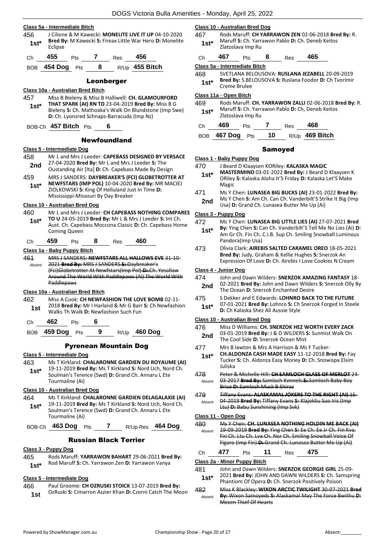|  | Class 5a - Intermediate Bitch |  |
|--|-------------------------------|--|
|  |                               |  |

456 J Cilione & M Kawecki: **MONELITE LIVE IT UP** 04-10-2020 **Bred By:** M Kawecki **S:** Fireax Little War Hero **D:** Monelite Eclipse **1st\***



#### Leonberger

#### **Class 10a - Australian Bred Bitch** 457 Miss B Bieleny & Miss B Halliwell: **CH. GLAMOURFORD THAT SPARK (AI) RN TD** 23-04-2019 **Bred By:** Miss B G Bieleny **S:** Ch. Mathoaka's Walk On Blundstone (Imp Swe) **D:** Ch. Lyonzred Schnaps-Barracuda (Imp Nz) **1st\***

BOB-Ch **457 Bitch** Pts **6**

#### Newfoundland

#### **Class 5 - Intermediate Dog**

- 458 Mr L and Mrs J Leeder: **CAPEBASS DESIGNED BY VERSACE** 27-04-2020 **Bred By:** Mr L and Mrs J Leeder **S:** The **2nd** 27-04-2020 **Brea By:** WITE and WITS J Leeder **S:** The Oustanding Air [Ita] **D:** Ch. Capebass Made By Design 459 MRS J SANDERS: **DAYBREAKER'S (FCI) GLOBETROTTER AT NEWFSTARS (IMP POL)** 10-04-2020 **Bred By:** MR MACIEJ ZIOLKOWSKI **S:** King Of Helluland Just In Time **D:**  Mississippi-Missouri By Day Breaker **1st\* Class 10 - Australian Bred Dog** 460 Mr L and Mrs J Leeder: **CH CAPEBASS NOTHING COMPARES TO U** 24-05-2019 **Bred By:** Mr L & Mrs J Leeder **S:** Int Ch. Aust. Ch. Capebass Moccona Classic **D:** Ch. Capebass Home Coming Queen **1st\*** Ch **459** Pts **8** Res **460 Class 1a - Baby Puppy Bitch**
- 461 MRS J SANDERS: **NEWFSTARS ALL HALLOWS EVE** 31-10- 2021 **Bred By:** MRS J SANDERS **S:** Daybreaker's (Fci)Globetrotter At Newfstars(Imp Pol) **D:** Ch. Yesallaw Around The World With Paddlepaws (Ai) The World With Paddlepaws Absent

#### **Class 10a - Australian Bred Bitch**

- 462 Miss A Cook: **CH NEWFASHION THE LOVE BOMB** 02-11- 2018 **Bred By:** Mr I Harland & Mr G Barr **S:** Ch Newfashion **1st** 2018 **Bred By:** Mr I Harland & Mr G Barr<br>Walks Th Walk **D:** Newfashion Such Fun
- Ch **462** Pts **6**

BOB **459 Dog** Pts **9** R/Up **460 Dog**

#### Pyrenean Mountain Dog

#### **Class 5 - Intermediate Dog**

- 463 Ms T Kirkland: **CHALARONNE GARDIEN DU ROYAUME (AI)** 19-11-2019 **Bred By:** Ms T Kirkland **S:** Nord Uch, Nord Ch. **1st\***
- Soulman's Terence (Swd) **D:** Grand Ch. Annaru L Ete Tourmaline (Ai)

#### **Class 10 - Australian Bred Dog**

- 464 Ms T Kirkland: **CHALARONNE GARDIEN DELAGALAXIE (AI)** 19-11-2019 **Bred By:** Ms T Kirkland **S:** Nord Uch, Nord Ch. **1st\***
- Soulman's Terence (Swd) **D:** Grand Ch. Annaru L Ete Tourmaline (Ai)

BOB-Ch **463 Dog** Pts **7** R/Up-Res **464 Dog**

#### Russian Black Terrier

#### **Class 3 - Puppy Dog**

465 Rods Maruff: **YARRAWON BAHART** 29-06-2021 **Bred By:** Rod Maruff **S:** Ch. Yarrawon Zen **D:** Yarrawon Vanya **1st\***

#### **Class 5 - Intermediate Dog**

466 Paul Groome: **CH OZRUSKI STOICK** 13-07-2019 **Bred By:** OzRuski **S:** Cimarron Aszier Khan **D:** Czorni Catch The Moon **1st**

#### **Class 10 - Australian Bred Dog**

467 Rods Maruff: **CH YARRAWON ZEN** 02-06-2018 **Bred By:** R. Maruff **S:** Ch. Yarrawon Pablo **D:** Ch. Deneb Keitos **1st**\* I<sup>vidium</sup> 3. Cil. Tall

| Ch | 467 | Pts | 8 | <b>Res</b> | 465 |
|----|-----|-----|---|------------|-----|
|    |     |     |   |            |     |

**Class 5a - Intermediate Bitch**

468 SVETLANA BELOUSOVA: **RUSLANA JEZABELL** 20-09-2019 **Bred By:** S.BELOUSOVA **S:** Ruslana Foodor **D:** Ch Tvorimir **1st\* Brea By:** S.BEI

#### **Class 11a - Open Bitch**

469 Rods Maruff: **CH. YARRAWON ZALLI** 02-06-2018 **Bred By:** R. Maruff **S:** Ch. Yarrawon Pablo **D:** Ch, Deneb Keitos **1st**\* Maruff S: Ch. Yarri Zlatoslava Imp Ru

| Ch. | 469                              | <b>Pts</b> | Res | 468            |
|-----|----------------------------------|------------|-----|----------------|
|     | BOB $467$ Dog $P_{\text{ts}}$ 10 |            |     | R/Up 469 Bitch |

#### Samoyed

- **Class 1 - Baby Puppy Dog**
- 470 J Beard D Klaaysen KORiley: **KALASKA MAGIC**
- **MASTERMIND** 03-01-2022 **Bred By:** J Beard D Klaaysen K ORiley **S:** Kalaska Aloha It'S Friday **D:** Kalaska Let'S Make Magic **1st\***
- 471 Ms Y Chen: **LUNASEA BIG BUCKS (AI)** 23-01-2022 **Bred By:** Ms Y Chen **S:** Am Ch. Can Ch. Vanderbilt'S Strike It Big (Imp **2nd** Ms Y Chen **S:** Am Ch. Can Ch. Vanderbilt'S Str<br>Usa) **D:** Grand Ch. Lunasea Butter Me Up (Ai)

#### **Class 3 - Puppy Dog**

- 472 Ms Y Chen: **LUNASEA BIG LITTLE LIES (AI)** 27-07-2021 **Bred**
- **By:** Ying Chen **S:** Can Ch. Vanderbilt'S Tell Me No Lies (Ai) **D:**  Am Gr Ch. Fin Ch. C.I.B. Sup Ch. Smiling Snowball Luminous Pandora(Imp Usa) **1st\***
- 473 Olivia Clark: **AIREBIS SALTED CARAMEL OREO** 18-05-2021 **Bred By:** Judy, Graham & Kellie Hughes **S:** Snerzok An Expression Of Love **D:** Ch. Airebis I Love Cookies N Cream

#### **Class 4 - Junior Dog**

- 474 John and Dawn Wilders: **SNERZOK AMAZING FANTASY** 18- 02-2021 **Bred By:** John and Dawn Wilders **S:** Snerzok Olly By **2nd** D2-2021 **Bred By:** John and Dawn Wilder<br>The Ocean D: Snerzok Enchanted Desire
- 475 S Dekker and E Edwards: **LOHNRO BACK TO THE FUTURE** 07-01-2021 **Bred By:** Lohnro **S:** Ch Snerzok Forged In Steele **1st**\* U/-01-2021 Brea By: Lonnro S: Cn<br>**D:** Ch Kalaska Shez All Aussie Style

#### **Class 10 - Australian Bred Dog**

- 476 Miss D Williams: **CH. SNERZOK HEZ WORTH EVERY ZACK** 03-01-2019 **Bred By:** J & D WILDERS **S:** Sunmist Walk On 2nd 03-01-2019 Brea By: J & D WILDERS 3<br>The Cool Side D: Snerzok Ocean Mist
- 477 Mrs B lawton & Mrs A Harrison & Ms F Tucker:
- **CH.ALDONZA CASH MADE EASY** 11-12-2018 **Bred By:** Fay Tucker **S:** Ch. Aldonza Easy Money **D:** Ch. Snowispa Elsim Juliska **1st\***
- 478 Peter & Michelle Hill: **CH SAMLOCH GLASS OF MERLOT** 24- 03-2017 **Bred By:** Samloch Kennels **S:** Samloch Baby Boy Brice **D:** Samloch Musk B Shiraz Absent
- 479 Tiffany Evans: **ALASKAMAL JOKERS TO THE RIGHT (AI)** 15- 04-2019 **Bred By:** Tiffany Evans **S:** Klajokliu Suo Iris (Imp Ltu) **D:** Babu Sunshining (Imp Svk) Absent

#### **Class 11 - Open Dog**

480 Ms Y Chen: **CH. LUNASEA NOTHING HOLDIN ME BACK (AI)** 19-09-2019 **Bred By:** Ying Chen **S:** Ee Ch. Ee Jr Ch. Fin Kva. Fin Ch. Ltu Ch. Lva Ch. Nor Ch. Smiling Snowball Voice Of Figaro (Imp Fin) **D:** Grand Ch. Lunasea Butter Me Up (Ai) Absent

Ch **477** Pts **11** Res **475**

#### **Class 2a - Minor Puppy Bitch**

- 481 John and Dawn Wilders: **SNERZOK GEORGIE GIRL** 25-09-
- 2021 **Bred By:** JOHN AND DAWN WILDERS **S:** Ch. Samspring Phantiom Of Opera **D:** Ch. Snerzok Positively Poison **1st\***
- 482 Miss K Blackley: **WIXON ARCTIC TWILIGHT** 30-07-2021 **Bred By:** Wixon Samoyeds **S:** Alaskamal May The Force Bwithu **D:**  Mezen Thief Of Hearts Absent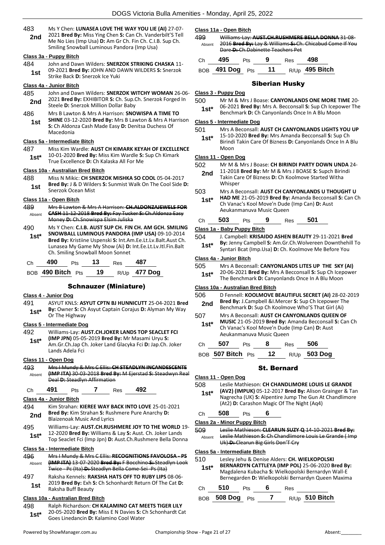483 Ms Y Chen: **LUNASEA LOVE THE WAY YOU LIE (AI)** 27-07- 2021 **Bred By:** Miss Ying Chen **S:** Can Ch. Vanderbilt'S Tell Me No Lies (Imp Usa) **D:** Am Gr Ch. Fin Ch. C.I.B. Sup Ch. Smiling Snowball Luminous Pandora (Imp Usa) **2nd**

#### **Class 3a - Puppy Bitch**

- 484 John and Dawn Wilders: **SNERZOK STRIKING CHASKA** 11-
	- 09-2021 **Bred By:** JOHN AND DAWN WILDERS **S:** Snerzok **1st** US-2021 **Drea by:** JOHN AND D<br>Strike Back **D:** Snerzok Ice Yuki

#### **Class 4a - Junior Bitch**

- 485 John and Dawn Wilders: **SNERZOK WITCHY WOMAN** 26-06- 2021 **Bred By:** EXHIBITOR **S:** Ch. Sup.Ch. Snerzok Forged In **2nd** 2021 **Bred By:** EXHIBITOR S: Ch. Sup.
- 486 Mrs B Lawton & Mrs A Harrison: **SNOWISPA A TIME TO SHINE** 03-12-2020 **Bred By:** Mrs B Lawton & Mrs A Harrison **S:** Ch Aldonza Cash Made Easy **D:** Denitsa Duchess Of Macedonia **1st**

#### **Class 5a - Intermediate Bitch**

487 Miss Kim Wardle: **AUST CH KIMARK KEYAH OF EXCELLENCE** 10-01-2020 **Bred By:** Miss Kim Wardle **S:** Sup Ch Kimark **1st** 10-01-2020 **Bred By:** MISS KIM Wardle **5:**<br>True Excellence **D:** Ch Kalaska All For Me

#### **Class 10a - Australian Bred Bitch**

- 488 Miss N Mikic: **CH SNERZOK MISHKA SO COOL** 05-04-2017
	- **Bred By:** J & D Wilders **S:** Sunmist Walk On The Cool Side **D: 1st Brea By:** J & D Wilde<br>Snerzok Ocean Mist

#### **Class 11a - Open Bitch**

- 489 Mrs B Lawton & Mrs A Harrison: **CH.ALDONZAJEWELS FOR CASH** 11-12-2018 **Bred By:** Fay Tucker **S:** Ch.Aldonza Easy Money **D:** Ch.Snowispa Elsim Juliska Absent
- 490 Ms Y Chen: **C.I.B. AUST SUP CH. FIN CH. AM GCH. SMILING SNOWBALL LUMINOUS PANDORA (IMP USA)** 09-10-2014 **Bred By:** Kristiine Uspenski **S:** Int.Am.Ee.Lt.Lv.Balt.Aust Ch. Lunasea My Game My Show (Ai) **D:** Int.Ee.Lt.Lv.Itl.Fin.Balt Ch. Smiling Snowball Moon Sonnet **1st\***

| Ch | 490                   | Pts $\overline{13}$ | Res | 487                 |
|----|-----------------------|---------------------|-----|---------------------|
|    | BOB $490$ Bitch $Pts$ | - 19                |     | R/Up <b>477 Dog</b> |

#### Schnauzer (Miniature)

#### **Class 4 - Junior Dog**

- 491 ASYUT KNLS: **ASYUT CPTN BJ HUNNICUTT** 25-04-2021 **Bred By:** Owner **S:** Ch Asyut Captain Corajus **D:** Alyman My Way
- **1st<sup>\*</sup> by:** UWREF **5:** UNDER **1st**<sup>\*</sup> **Or** The Highway

#### **Class 5 - Intermediate Dog**

492 Williams-Lay: **AUST.CH.JOKER LANDS TOP SEACLET FCI (IMP JPN)** 05-05-2019 **Bred By:** Mr Masami Uryu **S:**  Am.Gr.Ch.Jap Ch. Joker Land Glacyka Fci **D:** Jap.Ch. Joker Lands Adela Fci **1st\***

#### **Class 11 - Open Dog**

493 Mrs I Mundy & Mrs C Ellis: **CH STEADLYN INCANDESCENTE (IMP ITA)** 30-03-2018 **Bred By:** M Ejerstad **S:** Steadwyn Real Deal **D:** Steadlyn Affirmation Absent

#### Ch **491** Pts **7** Res **492**

#### **Class 4a - Junior Bitch**

- 494 Kim Strahan: **KIEREE WAY BACK INTO LOVE** 25-01-2021 **Bred By:** Kim Strahan **S:** Rushmere Pure Anarchy **D: 2nd Brea By:** Kim Strahan S: Rus<br>Blaizenoak Music And Lyrics
- 495 Williams-Lay: **AUST.CH.RUSHMERE JOY TO THE WORLD** 19- 12-2020 **Bred By:** Williams & Lay **S:** Aust. Ch. Joker Lands Top Seaclet Fci (Imp Jpn) **D:** Aust.Ch.Rushmere Bella Donna **1st\***

# **Class 5a - Intermediate Bitch**

- 496 Mrs I Mundy & Mrs C Ellis: **RECOGNITIONS FAVOLOSA - PS (IMP ITA)** 13-07-2020 **Bred By:** F Bocchino **S:** Steadlyn Look Twice - Pc (Ita) **D:** Steadlyn Bella Come-Sei -Ps (Ita) Absent
- 497 Raksha Kennels: **RAKSHA HATS OFF TO RUBY LIPS** 08-06- 2019 **Bred By:** Exh **S:** Ch Schonhardt Return Of The Cat **D: 1st** <sup>2019</sup> Brea by: Exn :<br>Raksha Buff Beauty

#### **Class 10a - Australian Bred Bitch**

498 Ralph Richardson: **CH KALAMINO CAT MEETS TIGER LILY** 20-05-2020 **Bred By:** Miss E N Davies **S:** Ch Schonhardt Cat Goes Linedancin **D:** Kalamino Cool Water **1st\***

#### **Class 11a - Open Bitch**

499 Williams-Lay: **AUST.CH.RUSHMERE BELLA DONNA** 31-08- 2016 **Bred By:** Lay & Williams **S:** Ch. Chicabud Come If You Dare **D:** Ch.Dabinette Teachers Pet Absent

| Ch — | 495                | <b>Pts</b> | - 9 | Res <b>498</b> |                |
|------|--------------------|------------|-----|----------------|----------------|
|      | BOB 491 Dog Pts 11 |            |     |                | R/Up 495 Bitch |

#### Siberian Husky

#### **Class 3 - Puppy Dog**

500 Mr M & Mrs J Boase: **CANYONLANDS ONE MORE TIME** 20- 06-2021 **Bred By:** Mrs A. Becconsall **S:** Sup Ch Icepower The **1st**\* Ub-2021 **Bred By:** Mrs A. Becconsall S: Sup Ch Icepo<br>Benchmark D: Ch Canyonlands Once In A Blu Moon

#### **Class 5 - Intermediate Dog**

- 501 Mrs A Beconsall: **AUST CH CANYONLANDS LIGHTS YOU UP**
	- 15-10-2020 **Bred By:** Mrs Amanda Becconsall **S:** Sup Ch Birindi Takin Care Of Bizness **D:** Canyonlands Once In A Blu Moon **1st\***

#### **Class 11 - Open Dog**

- 502 Mr M & Mrs J Boase: **CH BIRINDI PARTY DOWN UNDA** 24-
	- 11-2018 **Bred By:** Mr M & Mrs J BOASE **S:** Supch Birindi Takin Care Of Bizness **D:** Ch Koolmove Started Witha **Whisner 2nd**
- 503 Mrs A Beconsall: **AUST CH CANYONLANDS U THOUGHT U** 
	- **HAD ME** 21-05-2019 **Bred By:** Amanda Becconsall **S:** Can Ch Ch Vanac's Kool Move'n Dude (Imp Can) **D:** Aust Aeukanmanuva Music Queen **1st\***

#### Ch **503** Pts **9** Res **501**

#### **Class 1a - Baby Puppy Bitch**

- 504 J. Campbell: **KRISAIDO ASHEN BEAUTY** 29-11-2021 **Bred By:** Jenny Campbell **S:** Am.Gr.Ch.Wolvereen Downthehill To **1st\*** By: Jenny Campbell S: Am.Gr.Ch. Wolvereen Downtheni<br>Syntari Bcat (Imp.Usa) D: Ch. Koolmove Me Before You
	-

#### **Class 4a - Junior Bitch**

- 505 Mrs A Beconsall: **CANYONLANDS LITES UP THE SKY (AI)**
	- 20-06-2021 **Bred By:** Mrs A Becconsall **S:** Sup Ch Icepower **1st**\* 20-06-2021 **Bred By:** Mrs A Becconsall **S:** Sup Ch Icep<br>The Benchmark **D:** Canyonlands Once In A Blu Moon

#### **Class 10a - Australian Bred Bitch**

| 506     | D Fennell: KOOLMOVE BEAUTIFUL SECRET (AI) 28-02-2019                              |  |  |  |  |
|---------|-----------------------------------------------------------------------------------|--|--|--|--|
| 2nd     | Bred By: J.Campbell &I.Mercer S: Sup Ch Icepower The                              |  |  |  |  |
|         | Benchmark D: Sup Ch Koolmove Who'S That Girl (Ai)                                 |  |  |  |  |
| $-\sim$ | $\mathbf{H}$ , a compared as a construction of the second second and $\mathbf{H}$ |  |  |  |  |

507 Mrs A Beconsall: **AUST CH CANYONLANDS QUEEN OF MUSIC** 21-05-2019 **Bred By:** Amanda Becconsall **S:** Can Ch Ch Vanac's Kool Move'n Dude (Imp Can) **D:** Aust Aeukanmanuva Music Queen **1st\***

| Ch $507$ Pts      | 8 | Res 506 |                 |
|-------------------|---|---------|-----------------|
| BOB 507 Bitch Pts |   |         | 12 R/Up 503 Dog |

#### St. Bernard

**Class 11 - Open Dog** 508 Leslie Mathieson: **CH CHANDLIMORE LOUIS LE GRANDE (AV2) (IMPUK)** 05-12-2017 **Bred By:** Alison Grainger & Tan Nagrecha (UK) **S:** Alpentire Jump The Gun At Chandlimore (At2) **D:** Carashon Magic Of The Night (Aq4) **1st\*** Ch **508** Pts **6 Class 2a - Minor Puppy Bitch** 509 Leslie Mathieson: **CLEARUN SUZY Q** 14-10-2021 **Bred By:** Leslie Mathieson **S:** Ch Chandlimore Louis Le Grande ( Imp Uk) **D:** Clearun Big Girls Don'T Cry Absent **Class 5a - Intermediate Bitch** 510 Lesley Jehu & Denise Alders: **CH. WIELKOPOLSKI BERNARDYN CATTLEYA (IMP POL)** 25-06-2020 **Bred By:** Magdalena Kubacha **S:** Wielkopolski Bernardyn Wall-E Bernegarden **D:** Wielkopolski Bernardyn Queen Maxima **1st\***

| Ch | 10<br> | ເວ | п | 'es<br>__ |  |
|----|--------|----|---|-----------|--|
|----|--------|----|---|-----------|--|

|  | BOB 508 Dog Pts |  |  |  | $R/Up$ 510 Bitch |
|--|-----------------|--|--|--|------------------|
|--|-----------------|--|--|--|------------------|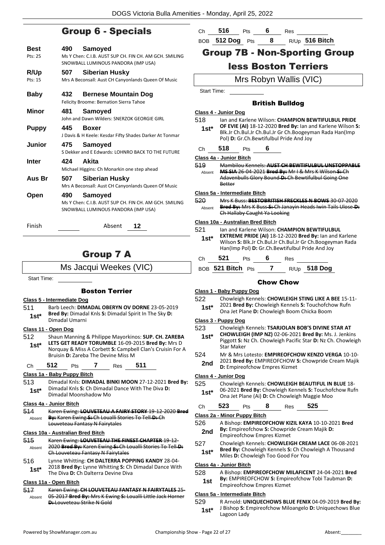# Group 6 - Specials

| Best         | 490 | Samoved                                                                                                  |
|--------------|-----|----------------------------------------------------------------------------------------------------------|
| Pts: 25      |     | Ms Y Chen: C.I.B. AUST SUP CH. FIN CH. AM GCH. SMILING<br>SNOWBALL LUMINOUS PANDORA (IMP USA)            |
| R/Up         | 507 | Siberian Husky                                                                                           |
| Pts: 15      |     | Mrs A Beconsall: Aust CH Canyonlands Queen Of Music                                                      |
| <b>Baby</b>  | 432 | <b>Bernese Mountain Dog</b><br>Felicity Broome: Bernation Sierra Tahoe                                   |
| Minor        | 481 | Samoyed<br>John and Dawn Wilders: SNERZOK GEORGIE GIRL                                                   |
| <b>Puppy</b> | 445 | <b>Boxer</b><br>J Davis & H Keele: Kesdar Fifty Shades Darker At Tonmar                                  |
| Junior       | 475 | Samoyed<br>S Dekker and E Edwards: LOHNRO BACK TO THE FUTURE                                             |
| <b>Inter</b> |     | 424 Akita<br>Michael Higgins: Ch Monarkin one step ahead                                                 |
| Aus Br       | 507 | Siberian Husky<br>Mrs A Beconsall: Aust CH Canyonlands Queen Of Music                                    |
| Open         | 490 | Samoyed<br>Ms Y Chen: C.I.B. AUST SUP CH. FIN CH. AM GCH. SMILING<br>SNOWBALL LUMINOUS PANDORA (IMP USA) |
| Finish       |     | Absent<br>12                                                                                             |

# Group 7 A

Ms Jacqui Weekes (VIC)

Start Time:

#### Boston Terrier

#### **Class 5 - Intermediate Dog**

511 Barb Leech: **DIMADAL OBERYN OV DORNE** 23-05-2019 **Bred By:** Dimadal Knls **S:** Dimadal Spirit In The Sky **D: 1st<sup>\*</sup> Brea By:** Dimada<br>Dimadal Umarni

**Class 11 - Open Dog**

512 Shaun Manning & Philippe Mayorkinos: **SUP. CH. ZAREBA LETS GET READY TORUMBLE** 16-09-2015 **Bred By:** Mrs D Norquay & Miss A Corbett **S:** Campbell Clan's Cruisin For A Bruisin **D:** Zareba The Devine Miss M **1st\***

Ch **512** Pts **7** Res **511**

#### **Class 1a - Baby Puppy Bitch**

513 Dimadal Knls: **DIMADAL BINKI MOON** 27-12-2021 **Bred By:** Dimadal Knls **S:** Ch Dimadal Dance With The Diva **D: 1st**\* Dimadal Khis S: Ch Dimada<br>Dimadal Moonshadow Mo

#### **Class 4a - Junior Bitch**

514 Karen Ewing: **LOUVETEAU A FAIRY STORY** 19-12-2020 **Bred By:** Karen Ewing **S:** Ch Loualli Stories To Tell **D:** Ch Louveteau Fantasy N Fairytales Absent

#### **Class 10a - Australian Bred Bitch**

- 515 Karen Ewing: **LOUVETEAU THE FINEST CHAPTER** 19-12- 2020 **Bred By:** Karen Ewing **S:** Ch Loualli Stories To Tell **D:**  Ch Louveteau Fantasy N Fairytales Absent
- 516 Lynne Whitting: **CH DALTERRA POPPING KANDY** 28-04- 2018 **Bred By:** Lynne Whitting **S:** Ch Dimadal Dance With **1st**\* *LOIS* brea by: Lynne Whitting S: Ch<br>The Diva D: Ch Dalterra Devine Diva

#### **Class 11a - Open Bitch**

517 Karen Ewing: **CH LOUVETEAU FANTASY N FAIRYTALES** 25- 05-2017 **Bred By:** Mrs K Ewing **S:** Loualli Little Jack Horner **D:** Louveteau Strike N Gold Absent

| Ch | 516             | <b>Pts</b> | Res              |
|----|-----------------|------------|------------------|
|    | BOB 512 Dog Pts |            | $R/Up$ 516 Bitch |

# Group 7B - Non-Sporting Group

# less Boston Terriers

Mrs Robyn Wallis (VIC)

Start Time:

#### British Bulldog

#### **Class 4 - Junior Dog**

518 Ian and Karlene Wilson: **CHAMPION BEWTIFULBUL PRIDE OF EVIE (AI)** 18-12-2020 **Bred By:** Ian and Karlene Wilson **S:**  Blk.Jr Ch.Bul.Jr Ch.Bul.Jr Gr Ch.Boogeyman Rada Han(Imp Pol) **D:** Gr.Ch.Bewtifulbul Pride And Joy **1st\*** Ch **518** Pts **6**

#### **Class 4a - Junior Bitch**

| 519<br>Absent | Mambilou Kennels: AUST CH BEWTIFULBUL UNSTOPPABLE<br>MS SIA 26 04 2021 Bred By: Mr I & Mrs K Wilson S: Ch<br>Adavenbulls Glory Bound D: Ch Bewtifulbul Going One<br><b>Better</b> |
|---------------|-----------------------------------------------------------------------------------------------------------------------------------------------------------------------------------|
|               | Class 5a - Intermediate Bitch                                                                                                                                                     |

#### 520 Mrs K Buss: **BESTOBRITISH FRECKLES N BOWS** 30-07-2020 **Bred By:** Mrs K Buss **S:** Ch Janayin Heads Iwin Tails Ulose **D:**  Ch Hallaby Caught Ya Looking Absent

#### **Class 10a - Australian Bred Bitch**

521 Ian and Karlene Wilson: **CHAMPION BEWTIFULBUL EXTREME PRIDE (AI)** 18-12-2020 **Bred By:** Ian and Karlene **1st\***

Wilson **S:** Blk.Jr Ch.Bul.Jr Ch.Bul.Jr Gr Ch.Boogeyman Rada Han(Imp Pol) **D:** Gr.Ch.Bewtifulbul Pride And Joy Ch **521** Pts **6** Res

| BOB 521 Bitch Pts |  | R/Up 518 Dog |
|-------------------|--|--------------|

#### Chow Chow

#### **Class 1 - Baby Puppy Dog**

- 522 Chowleigh Kennels: **CHOWLEIGH STING LIKE A BEE** 15-11-
- 2021 **Bred By:** Chowleigh Kennels **S:** Touchofchow Rufn
	- **1st** 2021 **Bred By:** Chowleigh Kennels **S:** Touchotche<br>Ona Jet Plane **D:** Chowleigh Boom Chicka Boom

#### **Class 3 - Puppy Dog**

- 523 Chowleigh Kennels: **TSARJOLAN BOB'S DIVINE STAR AT**
- **CHOWLEIGH (IMP NZ)** 02-06-2021 **Bred By:** Ms. J. Jenkins Piggott **S:** Nz Ch. Chowleigh Pacific Star **D:** Nz Ch. Chowleigh Star Maker **1st\***
- 524 Mr & Mrs Lotesto: **EMPIREOFCHOW KENZO VERGA** 10-10- 2021 **Bred By:** EMPIREOFCHOW **S:** Chowpride Cream Majik
- **2nd** <sup>2021</sup> Brea By: EMPIREOFCHOW 3<br>**D:** Empireofchow Empres Kizmet

#### **Class 4 - Junior Dog**

- 525 Chowleigh Kennels: **CHOWLEIGH BEAUTIFUL IN BLUE** 18-
	- 06-2021 **Bred By:** Chowleigh Kennels **S:** Touchofchow Rufn **1st** Ub-2021 **Bred By:** Chowleigh Kennels **S:** Touchot Ona Jet Plane (Ai) **D:** Ch Chowleigh Maggie Moo
- Ch **523** Pts **8** Res **525**

#### **Class 2a - Minor Puppy Bitch**

#### 526 A Bishop: **EMPIREOFCHOW KIZIL KAYA** 10-10-2021 **Bred By:** Empireofchow **S:** Chowpride Cream Majik **D:**

- **2nd By:** Empireofchow **5:** Chowprich
- 527 Chowleigh Kennels: **CHOWLEIGH CREAM LACE** 06-08-2021 **Bred By:** Chowleigh Kennels **S:** Ch Chowleigh A Thousand **1st\*** Bred By: Chowleigh Kennels S: Ch Chowleigh Too Good For You

#### **Class 4a - Junior Bitch**

#### 528 A Bishop: **EMPIREOFCHOW MILAFICENT** 24-04-2021 **Bred By:** EMPIREOFCHOW **S:** Empireofchow Tobi Taubman **D:**

**1st By:** ENIPIREOFCHOW S: Empire<br>
Empireofchow Empres Kizmet

#### **Class 5a - Intermediate Bitch**

529 R Arnold: **UNIQUECHOWS BLUE FENIX** 04-09-2019 **Bred By:** J Bishop **S:** Empireofchow Miloangelo **D:** Uniquechows Blue Lagoon Lady **1st\***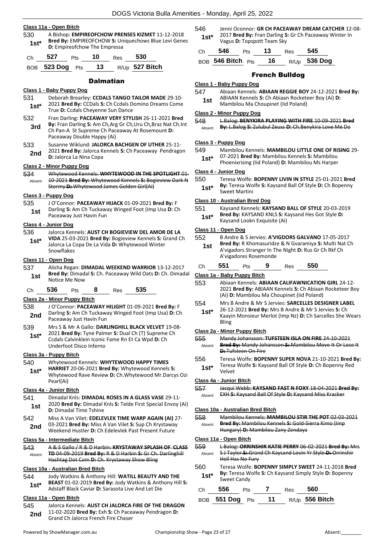#### **Class 11a - Open Bitch**

530 A Bishop: **EMPIREOFCHOW PRENSES KIZMET** 11-12-2018 **Bred By:** EMPIREOFCHOW **S:** Uniquechows Blue Levi Genes **1st\* Dieu by:** EWIPINEOFCHOW **5:** 01

| Ch 527 Pts 10 Res 530 |  |                                     |
|-----------------------|--|-------------------------------------|
|                       |  | BOB 523 Dog Pts 13 $R/Up$ 527 Bitch |

#### **Dalmatian**

#### **Class 1 - Baby Puppy Dog**

- 531 Deborah Brearley: **CCDALS TANGO TAILOR MADE** 29-10- 2021 **Bred By:** CCDals **S:** Ch Ccdals Domino Dreams Come
- **1st\* Digital Divides By:** CCDals S: Cn Ccdals D<br>True **D:** Ccdals Cheyenne Sun Dance 532 Fran Darling: **PACEAWAY VERY STYLISH** 26-11-2021 **Bred By:** Fran Darling **S:** Am Ch,Arg Gr Ch,Uru Ch,Braz Nat Ch.Int **3rd**
- Ch Pan-A St Supreme Ch Paceaway At Rosemount **D:**  Paceaway Double Happy (Ai)
- 533 Susanne Wiklund: **JALORCA BACHGEN OF UTHER** 25-11- 2021 **Bred By:** Jalorca Kennels **S:** Ch Paceaway Pendragon **2nd D:** Jalorca La Nina Copa

#### **Class 2 - Minor Puppy Dog**

534 Whytewood Kennels: **WHYTEWOOD IN THE SPOTLIGHT** 01- 10-2021 **Bred By:** Whytewood Kennels **S:** Bogieview Dark N Stormy **D:** Whytewood James Golden Girl(Ai) Absent

#### **Class 3 - Puppy Dog**

535 J O'Connor: **PACEAWAY HIJACK** 01-09-2021 **Bred By:** F Darling **S:** Am Ch Tuckaway Winged Foot (Imp Usa **D:** Ch **1st** Darling **3:** Alli Cit Tuckaway Just Havin Fun

#### **Class 4 - Junior Dog**

536 Jalorca Kennels: **AUST CH BOGIEVIEW DEL AMOR DE LA VIDA** 25-03-2021 **Bred By:** Bogieview Kennels **S:** Grand Ch Jalorca La Copa De La Vida **D:** Whytewood Winter Snowflakes **1st\***

#### **Class 11 - Open Dog**

- 537 Alisha Regan: **DIMADAL WEEKEND WARRIOR** 13-12-2017
	- **Bred By:** Dimadal **S:** Ch. Paceaway Wild Oats **D:** Ch. Dimadal **1st Brea By:** Dimada<br>Notice Me Now
- Ch **536** Pts **8** Res **535**

#### **Class 2a - Minor Puppy Bitch**

- 538 J O'Connor: **PACEAWAY HILIGHT** 01-09-2021 **Bred By:** F Darling **S:** Am Ch Tuckaway Winged Foot (Imp Usa) **D:** Ch **2nd** Darling S: Am Ch Tuckawa<br>Paceaway Just Havin Fun
- 539 Mrs S & Mr A Gallo: **DARLINGHILL BLACK VELVET** 19-08- 2021 **Bred By:** Tyne Palmer **S:** Dual Ch (T) Supreme Ch Ccdals Calvinklein Iconic Fame Rn Et Ca Wpd **D:** Ch Underfoot Disco Inferno **1st\***

#### **Class 3a - Puppy Bitch**

#### 540 Whytewood Kennels: **WHYTEWOOD HAPPY TIMES**

**HARRIET** 20-06-2021 **Bred By:** Whytewood Kennels **S:**  Whytewood Rave Review **D:** Ch.Whytewood Mr.Darcys Ozi Pearl(Ai) **1st\***

#### **Class 4a - Junior Bitch**

- 541 Dimadal Knls: **DIMADAL ROSES IN A GLASS VASE** 29-11- 2020 **Bred By:** Dimadal Knls **S:** Telde First Special Envoy (Ai) **1st** <sup>2020</sup> Bred By: Dimadal<br>**D:** Dimadal Time Tshine
- 542 Miss A Van Vilet: **EDELEVLEK TIME WARP AGAIN (AI)** 27- 03-2021 **Bred By:** Miss A Van Vilet **S:** Sup Ch Krystaway 2nd U3-2021 Brea By: Miss A van Vilet S: Sup Ch Krystawa<br>Weekend Hustler D: Ch Edelevlek Past Present Future

#### **Class 5a - Intermediate Bitch**

543 A & S Gallo / R & D Harbin: **KRYSTAWAY SPLASH OF CLASS TD** 04-09-2019 **Bred By:** R & D Harbin **S:** Gr Ch. Darlinghill Hashtag Dot Com **D:** Ch. Krystaway Show Bling Absent

#### **Class 10a - Australian Bred Bitch**

- 544 Jody Watkins & Anthony Hill: **WATILL BEAUTY AND THE BEAST** 01-02-2019 **Bred By:** Jody Watkins & Anthony Hill **S:**
- **1st\*** BEAST 01-02-2019 Bred By: Jody Watkins & Antr<br>Adstaff Black Caviar D: Sarasota Live And Let Die

#### **Class 11a - Open Bitch**

545 Jalorca Kennels: **AUST CH JALORCA FIRE OF THE DRAGON** 11-02-2020 **Bred By:** Exh **S:** Ch Paceaway Pendragon **D: 2nd** II-02-2020 **Bred By:** Exh S: Ch Pacea<br>Grand Ch Jalorca French Fire Chaser

546 Jenni Oconnor: **GR CH PACEAWAY DREAM CATCHER** 12-08- 2017 **Bred By:** Fran Darling **S:** Gr Ch Paceaway Winter In **1st\*** 2017 Bred By: Fran Darling S<br>Vagus D: Topspott Team Sky

| Ch | 546                  | <b>Pts</b> | 13 | Res | - 545          |
|----|----------------------|------------|----|-----|----------------|
|    | BOB 546 Bitch Pts 16 |            |    |     | $R/Up$ 536 Dog |

#### French Bulldog

#### **Class 1 - Baby Puppy Dog**

547 Abiaan Kennels: **ABIAAN REGGIE BOY** 24-12-2021 **Bred By:** ABIAAN Kennels **S:** Ch Abiaan Rocketeer Boy (Ai) **D: 1st** ABIAAN Kennels **5:** Ch Abiaan Rockete<br>Mambilou Ma Choupinet (Iid Poland)

#### **Class 2 - Minor Puppy Dog**

| 548 | L.Balog: <b>BENIVKIDA DI AVING MITH EIDE</b> 10-09-2021 <b>Brod</b> |
|-----|---------------------------------------------------------------------|
|     | <del>coulds, beliefining centrify with the 10°09°2021 BICU</del>    |

Absent **By:** L.Balog **S:** Zulubul Zeuss **D:** Ch.Benykira Love Me Do

#### **Class 3 - Puppy Dog**

- 549 Mambilou Kennels: **MAMBILOU LITTLE ONE OF RISING** 29-
- 07-2021 **Bred By:** Mambilou Kennels **S:** Mambilou
- **1st**\* U/-2021 **Brea By:** Mambilou Kennels **5:** Mambilou Phoenixrising (Iid Poland) **D:** Mambilou Ms Harper

# **Class 4 - Junior Dog**

- 550 Teresa Wolfe: **BOPENNY LIVIN IN STYLE** 25-01-2021 **Bred** 
	- **By:** Teresa Wolfe **S:** Kaysand Ball Of Style **D:** Ch Bopenny **1st\* by: 1eresa** Wo

#### **Class 10 - Australian Bred Dog**

- 551 Kaysand Kennels: **KAYSAND BALL OF STYLE** 20-03-2019
- **Bred By:** KAYSAND KNLS **S:** Kaysand Hes Got Style **D: 1st\* Dieu by:** Kaysand Lookn Exquisite (Ai)

#### **Class 11 - Open Dog**

| 552 | B Andre & S Jervies: A'VIGDORS GALVANO 17-05-2017            |
|-----|--------------------------------------------------------------|
| 1st | <b>Bred By:</b> R Khomasuridze & N Gvaramiya S: Multi Nat Ch |
|     | Abdenders Chronopolis The Night D. Due Cr Ch Dhf Ch          |

- A'vigadors Stranger In The Night **D:** Rus Gr Ch Rkf Ch A'vigadores Rosemonde
- Ch **551** Pts **9** Res **550**

#### **Class 1a - Baby Puppy Bitch**

- 553 Abiaan Kennels: **ABIAAN CALIFAWNICATION GIRL** 24-12- 2021 **Bred By:** ABIAAN Kennels **S:** Ch Abiaan Rocketeer Boy (Ai) **D:** Mambilou Ma Choupinet (Iid Poland)
- 554 Mrs B Andre & Mr S Jervies: **SARCELLES DESIGNER LABEL** 26-12-2021 **Bred By:** Mrs B Andre & Mr S Jervies **S:** Ch Kaayin Monsieur Merlot (Imp Nz) **D:** Ch Sarcelles She Wears **1st\***

#### **Class 2a - Minor Puppy Bitch**

- 555 Mandy Johansson: **TUFSTEEN ISLA ON FIRE** 24-10-2021 **Bred By:** Mandy Johansson **S:** Mambilou Move It Or Lose It **D: Tufsteen On Fire** Absent
- 556 Teresa Wolfe: **BOPENNY SUPER NOVA** 21-10-2021 **Bred By:**
- Teresa Wolfe **S:** Kaysand Ball Of Style **D:** Ch Bopenny Red Velvet **1st\***

#### **Class 4a - Junior Bitch**

557 Jacqui Webb: **KAYSAND FAST N FOXY** 18-04-2021 **Bred By:** Absent EXH **S:** Kaysand Ball Of Style **D:** Kaysand Miss Kracker

#### **Class 10a - Australian Bred Bitch**

558 Mambilou Kennels: **MAMBILOU STIR THE POT** 02-03-2021 **Bred By:** Mambilou Kennels **S:** Gold-Sierra Kimo (Imp Hungary) **D:** Mambilou Zany Zendaya Absent

#### **Class 11a - Open Bitch**

| 559    | L Balog: ORRINSHIR KATIE PERRY 06 02 2021 Bred By: Mrs     |
|--------|------------------------------------------------------------|
| Absent | S J Taylor S: Grand Ch Kaysand Lovin Yr Style D: Orrinshir |
|        | Hell Has No Fury                                           |

560 Teresa Wolfe: **BOPENNY SIMPLY SWEET** 24-11-2018 **Bred By:** Teresa Wolfe **S:** Ch Kaysand Simply Style **D:** Bopenny 1st<sup>\*</sup> By: Teresa w<br>Sweet Candy

| Ch 556            | <b>Pts</b> | Res 560 |                            |
|-------------------|------------|---------|----------------------------|
| BOB $551$ Dog Pts |            |         | 11 $_{\rm R/Up}$ 556 Bitch |

- 
- Bling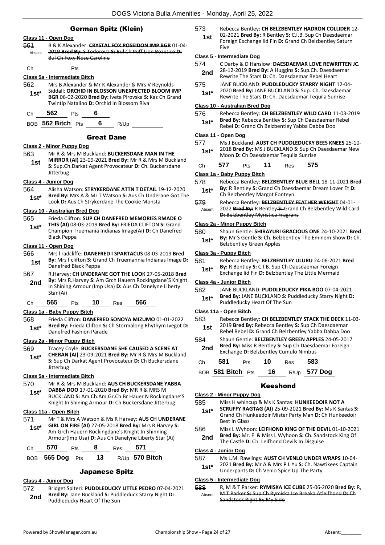#### German Spitz (Klein)

- **Class 11 - Open Dog** 561 B & K Alexander: **CRYSTAL FOX POSEIDON IMP BGR** 01-04- 2019 **Bred By:** S Todorova **S:** Bul Ch Puff Lion Bozetice **D:**  Bul Ch Foxy Nose Caroline Absent Ch Pts **Class 5a - Intermediate Bitch** 562 Mrs B Alexander & Mr K Alexander & Mrs V Reynolds-Siddall: **ORCHID IN BLOSSON UNEXPECTED BLOOM IMP BGR** 06-02-2020 **Bred By:** Iveta Pirovska **S:** Kaz Ch Grand Twintip Natalino **D:** Orchid In Blossom Riva **1st\*** Ch **562** Pts **6** BOB **562 Bitch** Pts **6** R/Up Great Dane **Class 2 - Minor Puppy Dog** 563 Mr R & Mrs M Buckland: **BUCKERSDANE MAN IN THE MIRROR (AI)** 23-09-2021 **Bred By:** Mr R & Mrs M Buckland **S:** Sup.Ch.Darkat Agent Provocateur **D:** Ch. Buckersdane Jitterbug **1st Class 4 - Junior Dog** 564 Alisha Watson: **STRYKERDANE ATTN T DETAIL** 19-12-2020 **Bred By:** Mrs A & Mr T Watson **S:** Aus Ch Underane Got The **1st**\* Brea By: MIS A & MIT I Watson **S**: Aus Ch Under<br>Look **D**: Aus Ch Strykerdane The Cookie Monsta **Class 10 - Australian Bred Dog** 565 Frieda Clifton: **SUP CH DANEFRED MEMORIES RMADE O THIS (AI)** 08-03-2019 **Bred By:** FRIEDA CLIFTON **S:** Grand Champion Truemania Indianas Image(Ai) **D:** Ch Danefred Black Peppa **1st\* Class 11 - Open Dog** 566 Mrs l radcliffe: **DANEFRED I SPARTACUS** 08-03-2019 **Bred By:** Mrs f clifton **S:** Grand Ch Truemannia Indianas Image **D: 1st By:** INITS T CITTON **5:** GTa<br>Danefred Black Peppa 567 R.Harvey: **CH UNDERANE GOT THE LOOK** 27-05-2018 **Bred By:** Mrs R.Harvey **S:** Am Grch Hauern Rockingdane'S Knight In Shining Armour (Imp Usa) **D:** Aus Ch Danelyne Liberty Star (Ai) **2nd** Ch **565** Pts **10** Res **566 Class 1a - Baby Puppy Bitch** 568 Frieda Clifton: **DANEFRED SONOYA MIZUMO** 01-01-2022 **Bred By:** Frieda Clifton **S:** Ch Stormalong Rhythym Ivegot **D: 1st\* Brea By:** Frieda Clifton S:<br>Danefred Fashion Parade **Class 2a - Minor Puppy Bitch** 569 Tracey Coyle: **BUCKERSDANE SHE CAUSED A SCENE AT CHERAN (AI)** 23-09-2021 **Bred By:** Mr R & Mrs M Buckland **S:** Sup Ch Darkat Agent Provocateur **D:** Ch Buckersdane Jitterbug **1st\* Class 5a - Intermediate Bitch** 570 Mr R & Mrs M Buckland: **AUS CH BUCKERSDANE YABBA** 
	- **DABBA DOO** 17-01-2020 **Bred By:** MR R & MRS M BUCKLAND **S:** Am.Ch.Am.Gr.Ch.Br Hauer N Rockingdane'S Knight In Shining Armour **D:** Ch Buckersdane Jitterbug **1st\***

#### **Class 11a - Open Bitch**

571 Mr T & Mrs A Watson & Ms R Harvey: **AUS CH UNDERANE GIRL ON FIRE (AI)** 27-05-2018 **Bred By:** Mrs R Harvey **S:**  Am.Grch Hauern Rockingdane's Knight In Shinning Armour(Imp Usa) **D:** Aus Ch Danelyne Liberty Star (Ai) **1st\***

| Ch | 570 | Pts | Res | 571 |  |
|----|-----|-----|-----|-----|--|
|    |     |     |     |     |  |

#### BOB **565 Dog** Pts **13** R/Up **570 Bitch**

#### Japanese Spitz

#### **Class 4 - Junior Dog**

572 Bridget Spiteri: **PUDDLEDUCKY LITTLE PEDRO** 07-04-2021 **Bred By:** Jane Buckland **S:** Puddleduck Starry Night **D: 2nd Pred By:** Jane Buckland **3:** Puddleducky Heart Of The Sun

- 573 Rebecca Bentley: **CH BELZBENTLEY HADRON COLLIDER** 12-
	- 02-2021 **Bred By:** R Bentley **S:** C.I.B. Sup Ch Daesdaemar Foreign Exchange Iid Fin **D:** Grand Ch Belzbentley Saturn Five **1st**

#### **Class 5 - Intermediate Dog**

- 574 C Darby & D Hanslow: **DAESDAEMAR LOVE REWRITTEN JC.** 28-12-2019 **Bred By:** A Huggins **S:** Sup.Ch. Daesdaemar **2nd** 28-12-2019 **Died by:** A Huggins **3:** Sup.Cn. Daesda<br>Rewrite The Stars **D:** Ch. Daesdaemar Rebel Heart
- 575 JANE BUCKLAND: **PUDDLEDUCKY STARRY NIGHT** 12-04-
- 2020 **Bred By:** JANE BUCKLAND **S:** Sup. Ch. Daesdaemar **1st**\* 2020 **Bred By:** JANE BUCKLAND **S:** Sup. Ch. Daesdaem<br>Rewrite The Stars **D:** Ch. Daesdaemar Tequila Sunrise

#### **Class 10 - Australian Bred Dog**

576 Rebecca Bentley: **CH BELZBENTLEY WILD CARD** 11-03-2019 **Bred By:** Rebecca Bentley **S:** Sup Ch Daesdaemar Rebel **1st\*** Bred By: Rebecca Bentley S: Sup Ch Daesdaemar<br>Rebel D: Grand Ch Belzbentley Yabba Dabba Doo

#### **Class 11 - Open Dog**

577 Ms J Buckland: **AUST CH PUDDLEDUCKY BEES KNEES** 25-10- 2018 **Bred By:** MS J BUCKLAND **S:** Sup Ch Daesdaemar New **1st**\* 2018 Bred By: MS J BUCKLAND S: Sup Ch<br>Moon D: Ch Daesdaemar Tequila Sunrise

| Ch | 577 | Pts | 11 | Res | 575 |
|----|-----|-----|----|-----|-----|
|    |     |     |    |     |     |

#### **Class 1a - Baby Puppy Bitch**

578 Rebecca Bentley: **BELZBENTLEY BLUE BELL** 18-11-2021 **Bred By:** R Bentley **S:** Grand Ch Daesdaemar Dream Lover Et **D: 1st\* By: R** Bentley S: Grand Cn Daesdentley Margot Fonteyn

#### 579 Rebecca Bentley: **BELZBENTLEY FEATHER WEIGHT** 04-01-

2022 **Bred By:** R Bentley **S:** Grand Ch Belzbentley Wild Card **D:** Belzbentley Myristica Fragrans Absent

#### **Class 2a - Minor Puppy Bitch**

580 Shaun Gentle: **SHIRAYURI GRACIOUS ONE** 24-10-2021 **Bred By:** Mr S Gentle **S:** Ch. Belzbentley The Eminem Show **D:** Ch. **1st\* by:** IVII 5 Gentie **5:** Ch. Bel:<br>Belzbentley Green Apples

#### **Class 3a - Puppy Bitch**

| 581 | Rebecca Bentley: BELZBENTLEY ULURU 24-06-2021 Bred       |
|-----|----------------------------------------------------------|
|     | <b>By:</b> R Bentley S: C.I.B. Sup Ch Daesdaemar Foreign |

Exchange Iid Fin **D:** Belzbentley The Little Mermaid **1st\***

#### **Class 4a - Junior Bitch**

- 582 JANE BUCKLAND: **PUDDLEDUCKY PIKA BOO** 07-04-2021 **Bred By:** JANE BUCKLAND **S:** Puddleducky Starry Night **D:** 
	- **1st\* brea by:** JANE BUCKLAND **5:** Puddleducky Heart Of The Sun

#### **Class 11a - Open Bitch**

- 583 Rebecca Bentley: **CH BELZBENTLEY STACK THE DECK** 11-03- 2019 **Bred By:** Rebecca Bentley **S:** Sup Ch Daesdaemar
- **1st** 2019 **Bred By:** Rebecca Bentley S: Sup Ch Daesdaemar<br>Rebel Rebel **D:** Grand Ch Belzbentley Yabba Dabba Doo
- 584 Shaun Gentle: **BELZBENTLEY GREEN APPLES** 24-05-2017 **Bred By:** Miss R Bentley **S:** Sup Ch Daesdaemar Foreign **2nd Brea By:** MISS R Bentley **3:** Sup Cff Daesda<br>**Exchange D:** Belzbentley Cumulo Nimbus

| Сh | - 581            | 10 | Res  | 583     |
|----|------------------|----|------|---------|
|    | non 581 Ritch nu |    | D  E | 577 Dog |

| OB <b>381 BIICN</b> Pts | - 10 | R/Up <b>377 DOG</b> |  |
|-------------------------|------|---------------------|--|
|                         |      |                     |  |

#### Keeshond

#### **Class 2 - Minor Puppy Dog**

- 585 Miss H whincup & Ms K Santas: **HUNKEEDOIR NOT A SCRUFFY RAGTAG (AI)** 25-09-2021 **Bred By:** Ms K Santas **S:** 
	- Grand Ch Hunkeedoir Mister Party Man **D:** Ch Hunkeedoir Best In Glass **1st\***
- 586 Miss L Wyhoon: **LEIFHOND KING OF THE DEVIL** 01-10-2021 **Bred By:** Mr. F & Miss L Wyhoon **S:** Ch. Sandstock King Of
	- 2nd Brea by: MIT. P. & WISS L WYHOON 3. CH. Sand<br>The Castle D: Ch. Leifhond Devils In Disguise

#### **Class 4 - Junior Dog**

- 587 Ms L.M. Rawlings: **AUST CH VENLO UNDER WRAPS** 10-04- 2021 **Bred By:** Mr A & Mrs P L Yu **S:** Ch. Nawtikees Captain
	- **1st**\* 2021 **Brea By:** Mr A & Mrs P L Yu **S**: Ch. Naw<br>Underpants **D**: Ch Venlo Spice Up The Party

#### **Class 5 - Intermediate Dog**

588 R, M & T Parker: **RYMISKA ICE CUBE** 25-06-2020 **Bred By:** R, M T Parker **S:** Sup Ch Rymiska Ice Breaka Atleifhond **D:** Ch Sandstock Right By My Side Absent

BOB **581 Bitch** Pts **16** R/Up **577 Dog**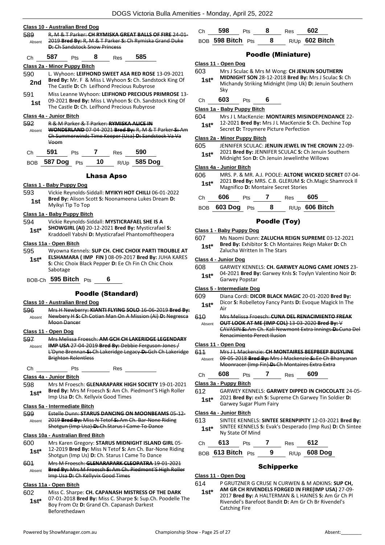| Class 10 - Australian Bred Dog |                                                        |                                                          |    |            |                                                                 |  |
|--------------------------------|--------------------------------------------------------|----------------------------------------------------------|----|------------|-----------------------------------------------------------------|--|
| 589                            | R, M & T Parker: CH RYMISKA GREAT BALLS OF FIRE 24     |                                                          |    |            |                                                                 |  |
| Absent                         | 2019 Bred By: R, M & T Parker S: Ch Rymiska Grand Duke |                                                          |    |            |                                                                 |  |
|                                | <b>D:</b> Ch Sandstock Snow Princess                   |                                                          |    |            |                                                                 |  |
| Сh                             | 587                                                    | Pts                                                      | 8  | <b>Res</b> | 585                                                             |  |
|                                | Class 2a - Minor Puppy Bitch                           |                                                          |    |            |                                                                 |  |
| 590                            |                                                        |                                                          |    |            | L. Wyhoon: LEIFHOND SWEET ASA RED ROSE 13-09-2021               |  |
| 2nd                            |                                                        |                                                          |    |            | Bred By: Mr. F & Miss L Wyhoon S: Ch. Sandstock King Of         |  |
|                                |                                                        | The Castle D: Ch Leifhond Precious Rubyrose              |    |            |                                                                 |  |
| 591                            |                                                        |                                                          |    |            | Miss Leanne Wyhoon: LEIFHOND PRECIOUS PRIMROSE 13-              |  |
| 1st                            |                                                        |                                                          |    |            | 09-2021 Bred By: Miss L Wyhoon S: Ch. Sandstock King Of         |  |
|                                |                                                        |                                                          |    |            | The Castle D: Ch. Leifhond Precious Rubyrose                    |  |
|                                | Class 4a - Junior Bitch                                |                                                          |    |            |                                                                 |  |
| 592                            |                                                        | <b>R &amp; M Parker &amp; T Parker: RYMISKA ALICE IN</b> |    |            |                                                                 |  |
| Absent                         |                                                        |                                                          |    |            | <b>WONDERLAND 07-04-2021 Bred By: R, M &amp; T Parker S: Am</b> |  |
|                                |                                                        |                                                          |    |            | Ch Summerwinds Time Keeper (Usa) D: Sandstock Va Va             |  |
|                                | Voom                                                   |                                                          |    |            |                                                                 |  |
| Сh                             | 591                                                    | Pts                                                      |    | Res        | 590                                                             |  |
| <b>BOB</b>                     | <b>587 Dog</b>                                         | Pts                                                      | 10 | R/Up       | 585 Dog                                                         |  |
| Lhasa Apso                     |                                                        |                                                          |    |            |                                                                 |  |

#### **Class 1 - Baby Puppy Dog**

593 Vickie Reynolds-Siddall: **MYIKYI HOT CHILLI** 06-01-2022 **Bred By:** Alison Scott **S:** Noonameena Lukes Dream **D: 1st Brea By:** Alison Sc<br>Myikyi Tip To Top

#### **Class 1a - Baby Puppy Bitch**

- 594 Vickie Reynolds-Siddall: **MYSTICRAFAEL SHE IS A SHOWGIRL (AI)** 20-12-2021 **Bred By:** Mysticrafael **S: 1st\*** SHOWGIKL (AI) 20-12-2021 Brea by: Mysticrafael S:<br>Kraddoell Yabshi D: Mysticrafael Phantomoftheopera
- **Class 11a - Open Bitch**
- 595 Wyowna Kennels: **SUP CH. CHIC CHOIX PARTI TROUBLE AT ELSHAMARA ( IMP FIN )** 08-09-2017 **Bred By:** JUHA KARES **S:** Chic Choix Black Pepper **D:** Ee Ch Fin Ch Chic Choix Sabotage **1st\***
- BOB-Ch **595 Bitch** Pts **6**

#### Poodle (Standard)

#### **Class 10 - Australian Bred Dog**

596 Mrs H Newberry: **KIANTI FLYING SOLO** 16-06-2019 **Bred By:** Newbery H **S:** Ch Cotian Man On A Mission (Ai) **D:** Negresca Moon Dancer Absent

#### **Class 11 - Open Dog**

597 Mrs Melissa Froesch: **AM GCH CH LAKERIDGE LEGENDARY IMP USA** 27-04-2019 **Bred By:** Debbie Ferguson-Jones / L'Dyne Brennan **S:** Ch Lakeridge Legacy **D:** Gch Ch Lakeridge Brighton Relentless Absent

Ch Pts Res

#### **Class 4a - Junior Bitch**

598 Mrs M Froesch: **GLENARAPARK HIGH SOCIETY** 19-01-2021 **Bred By:** Mrs M Froesch **S:** Am Ch. Piedmont'S High Roller **1st\* Died by:** MITS IVI FIDESCIT **3.** All Cit. Fig. 1 and D. Ch. Kellyvix Good Times

#### **Class 5a - Intermediate Bitch**

599 Estelle Dunn: **STARUS DANCING ON MOONBEAMS** 05-12- 2019 **Bred By:** Miss N Tetof **S:** Am Ch. Bar-None Riding Shotgun (Imp Usa) **D:** Ch.Starus I Came To Dance Abs

#### **Class 10a - Australian Bred Bitch**

- 600 Mrs Karen Gregory: **STARUS MIDNIGHT ISLAND GIRL** 05- 12-2019 **Bred By:** Miss N Tetof **S:** Am Ch. Bar-None Riding **1st** 12-2019 **Brea By:** MISS N Tetor **5:** Am Ch. Bar-No<br>Shotgun (Imp Us) **D**: Ch. Starus I Came To Dance
- 601 Mrs M Froesch: **GLENARAPARK CLEOPATRA** 19-01-2021 **Bred By:** Mrs M Froesch **S:** Am Ch. Piedmont'S High Roller Imp Usa **D:** Ch Kellyvix Good Times Absent

#### **Class 11a - Open Bitch**

602 Miss C. Sharpe: **CH. CAPANASH MISTRESS OF THE DARK** 07-01-2018 **Bred By:** Miss C. Sharpe **S:** Sup.Ch. Poodelle The Boy From Oz **D:** Grand Ch. Capanash Darkest Beforethedawn **1st\***

| Сh | 598                                 | <b>Pts</b> | Res | 602              |
|----|-------------------------------------|------------|-----|------------------|
|    | $_{\rm BOB}$ 598 Bitch $_{\rm Pts}$ |            |     | $R/Up$ 602 Bitch |

#### Poodle (Miniature)

#### **Class 11 - Open Dog**

- 603 Mrs J Sculac & Mrs M Wong: **CH JENUIN SOUTHERN** 
	- **MIDNIGHT SON** 28-12-2018 **Bred By:** Mrs J Sculac **S:** Ch Michandy Striking Midnight (Imp Uk) **D:** Jenuin Southern Sky **1st\***
- Ch **603** Pts **6**

#### **Class 1a - Baby Puppy Bitch**

- 604 Mrs J L MacKenzie: **MONTAIRES MISINDEPENDANCE** 22- 12-2021 **Bred By:** Mrs J L MacKenzie **S:** Ch. Dechine Top
- **1st**\* 12-2021 **Bred By:** Mrs J L Mackenzie S:<br>Secret D: Troymere Picture Perfection

#### **Class 2a - Minor Puppy Bitch**

- 605 JENNIFER SCULAC: **JENUIN JEWEL IN THE CROWN** 22-09- 2021 **Bred By:** JENNIFER SCULAC **S:** Ch Jenuin Southern
	- Midnight Son **D:** Ch Jenuin Jewelinthe Willows **1st\***

#### **Class 4a - Junior Bitch**

606 MRS. P. & MR. A.J. POOLE: **ALTONE WICKED SECRET** 07-04- 2021 **Bred By:** MRS. C.B. GLERUM **S:** Ch.Magic Shamrock Il 1st\* 2021 Brea By: MRS. C.B. GLERUM S: 0<br>Magnifico **D**: Montaire Secret Stories

| Ch | 606             | <b>Pts</b> |   | Res | 605              |
|----|-----------------|------------|---|-----|------------------|
|    | BOB 603 Dog Pts |            | 8 |     | $R/Up$ 606 Bitch |

#### Poodle (Toy)

#### **Class 1 - Baby Puppy Dog**

607 Ms Naomi Dunn: **ZALUCHA REIGN SUPREME** 03-12-2021 **Bred By:** Exhibitor **S:** Ch Montaires Reign Maker **D:** Ch **1st\* Bred By:** Exhibitor **5:** Ch Mondon **1st\* 1st\*** Zalucha Written In The Stars

# **Class 4 - Junior Dog**

- 608 GARWEY KENNELS: **CH. GARWEY ALONG CAME JONES** 23- 04-2021 **Bred By:** Garwey Knls **S:** Toylyn Valentino Noir **D:** 
	- Garwey Popstar **1st\***

#### **Class 5 - Intermediate Dog**

- 609 Diana Cordi: **DICOR BLACK MAGIC** 20-01-2020 **Bred By:**
- Dicor **S:** Robelletoy Fancy Pants **D:** Evoque Magick In The Air **1st\***
- 610 Mrs Melissa Froesch: **CUNA DEL RENACIMIENTO FREAK OUT LOOK AT ME (IMP COL)** 13-03-2020 **Bred By:** V CAVASIN **S:** Am Ch. Kali Newmont Extra Innings **D:** Cuna Del Renacimiento Perect Ilusion Absent

#### **Class 11 - Open Dog**

611 Mrs J L Mackenzie: **CH MONTAIRES BEEPBEEP BUSYLINE** 09-05-2018 **Bred By:** Mrs J Mackenzie **S:** Ee Ch Bhanyanan Moonracer (Imp Fin) **D:** Ch Montaires Extra Extra Absent

Ch **608** Pts **7** Res **609**

**Class 3a - Puppy Bitch**

- 612 GARWEY KENNELS: **GARWEY DIPPED IN CHOCOLATE** 24-05-
	- 2021 **Bred By:** exh **S:** Supreme Ch Garwey Tin Soldier **D: 1st**\* 2021 Bred By: exh S: Sup<br>Garwey Sugar Plum Fairy

#### **Class 4a - Junior Bitch**

613 SINTEE KENNELS: **SINTEE SERENPIPITY** 12-03-2021 **Bred By:** SINTEE KENNELS **S:** Evak's Desperado (Imp Rus) **D:** Ch Sintee **1st**\* SINTEE KENNELS:<br>Ny State Of Mind

| Ch | 613               | Pts |    | Res | 612          |
|----|-------------------|-----|----|-----|--------------|
|    | BOB 613 Bitch Pts |     | -9 |     | R/Up 608 Dog |

#### **Schipperke**

**Class 11 - Open Dog**

- 614 P GRUTZNER G CRUSE N CURWEN & M ADKINS: **SUP CH,** 
	- **AM GR CH RIVENDELS FORGED IN FIRE(IMP USA)** 27-09- 2017 **Bred By:** A HALTERMAN & L HAINES **S:** Am Gr Ch Pl Rivendel's Barefoot Bandit **D:** Am Gr Ch Br Rivendel's Catching Fire **1st\***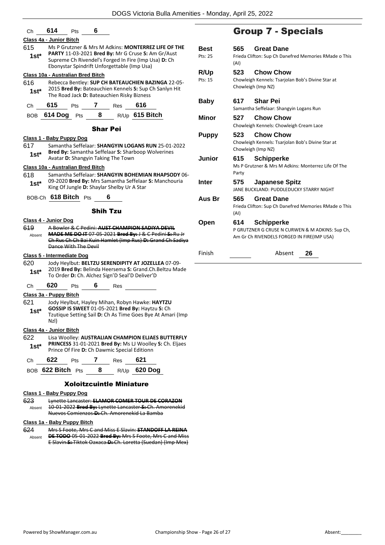| 614<br>6<br>Сh<br>Pts                                                                                                                                                                                             |                        |                                                            | <b>Group 7 - Specia</b>                                                        |
|-------------------------------------------------------------------------------------------------------------------------------------------------------------------------------------------------------------------|------------------------|------------------------------------------------------------|--------------------------------------------------------------------------------|
| Class 4a - Junior Bitch                                                                                                                                                                                           |                        |                                                            |                                                                                |
| Ms P Grutzner & Mrs M Adkins: MONTERREZ LIFE OF THE<br>615<br>PARTY 11-03-2021 Bred By: Mr G Cruse S: Am Gr/Aust<br>$1st*$<br>Supreme Ch Rivendel's Forged In Fire (Imp Usa) D: Ch                                | <b>Best</b><br>Pts: 25 | 565                                                        | <b>Great Dane</b><br>Frieda Clifton: Sup Ch Danefred Mem                       |
| Ebonystar Spindrift Unforgettable (Imp Usa)                                                                                                                                                                       |                        | (AI)                                                       |                                                                                |
| Class 10a - Australian Bred Bitch<br>Rebecca Bentley: SUP CH BATEAUCHIEN BAZINGA 22-05-<br>616<br>2015 Bred By: Bateauchien Kennels S: Sup Ch Sanlyn Hit<br>$1st^*$<br>The Road Jack D: Bateauchien Risky Bizness | R/Up<br>Pts: 15        | 523                                                        | <b>Chow Chow</b><br>Chowleigh Kennels: Tsarjolan Bob's D<br>Chowleigh (Imp NZ) |
| 615<br>7<br>616<br>Pts<br>Res<br>Сh                                                                                                                                                                               | <b>Baby</b>            | 617                                                        | <b>Shar Pei</b><br>Samantha Seffelaar: Shangyin Logans                         |
| 8<br>R/Up 615 Bitch<br>614 Dog Pts<br>BOB                                                                                                                                                                         |                        |                                                            |                                                                                |
| <b>Shar Pei</b>                                                                                                                                                                                                   | Minor                  | 527                                                        | <b>Chow Chow</b><br>Chowleigh Kennels: Chowleigh Crean                         |
| Class 1 - Baby Puppy Dog                                                                                                                                                                                          | <b>Puppy</b>           | 523                                                        | <b>Chow Chow</b>                                                               |
| Samantha Seffelaar: SHANGYIN LOGANS RUN 25-01-2022<br>617<br>Bred By: Samantha Seffelaar S: Sharboop Wolverines                                                                                                   |                        | Chowleigh Kennels: Tsarjolan Bob's D<br>Chowleigh (Imp NZ) |                                                                                |
| $1st*$<br>Avatar D: Shangyin Taking The Town                                                                                                                                                                      | Junior                 | 615                                                        | <b>Schipperke</b>                                                              |
| Class 10a - Australian Bred Bitch<br>618<br>Samantha Seffelaar: SHANGYIN BOHEMIAN RHAPSODY 06-                                                                                                                    |                        | Party                                                      | Ms P Grutzner & Mrs M Adkins: Mon                                              |
| 09-2020 Bred By: Mrs Samantha Seffelaar S: Manchouria<br>$1st*$<br>King Of Jungle D: Shaylar Shelby Ur A Star                                                                                                     | <b>Inter</b>           | 575                                                        | <b>Japanese Spitz</b><br>JANE BUCKLAND: PUDDLEDUCKY STA                        |
| BOB-Ch 618 Bitch Pts<br>6                                                                                                                                                                                         | Aus Br                 | 565                                                        | <b>Great Dane</b>                                                              |
| <b>Shih Tzu</b>                                                                                                                                                                                                   |                        | (AI)                                                       | Frieda Clifton: Sup Ch Danefred Mem                                            |
| Class 4 - Junior Dog<br>619<br>A Bowler & C Pedini: AUST CHAMPION SADIYA DEVIL                                                                                                                                    | Open                   | 614                                                        | <b>Schipperke</b><br>P GRUTZNER G CRUSE N CURWEN &                             |
| MADE ME DO IT 07-05-2021 Bred By: J & C Pedini S: Ru Jr<br>Absent<br>Ch Rus Ch Ch Bai Kuin Hamlet (Imp Rus) D: Grand Ch Sadiya<br>Dance With The Devil                                                            |                        |                                                            | Am Gr Ch RIVENDELS FORGED IN FIRI                                              |
| Class 5 - Intermediate Dog                                                                                                                                                                                        | Finish                 |                                                            | Absent<br>26                                                                   |
| 620<br>Jody Heylbut: BELTZU SERENDIPITY AT JOZELLEA 07-09-<br>2019 Bred By: Belinda Heersema S: Grand.Ch.Beltzu Made                                                                                              |                        |                                                            |                                                                                |
| $1st*$<br>To Order D: Ch. Alchez Sign'D Seal'D Deliver'D                                                                                                                                                          |                        |                                                            |                                                                                |
| 620<br>$6$ Res<br>Ch<br>Pts                                                                                                                                                                                       |                        |                                                            |                                                                                |
| Class 3a - Puppy Bitch                                                                                                                                                                                            |                        |                                                            |                                                                                |
| 621<br>Jody Heylbut, Hayley Mihan, Robyn Hawke: HAYTZU                                                                                                                                                            |                        |                                                            |                                                                                |
| GOSSIP IS SWEET 01-05-2021 Bred By: Haytzu S: Ch<br>$1st^*$<br>Tzutique Setting Sail D: Ch As Time Goes Bye At Amari (Imp<br>NzI)                                                                                 |                        |                                                            |                                                                                |
| Class 4a - Junior Bitch                                                                                                                                                                                           |                        |                                                            |                                                                                |
| 622<br>Lisa Woolley: AUSTRALIAN CHAMPION ELJAES BUTTERFLY                                                                                                                                                         |                        |                                                            |                                                                                |
| PRINCESS 31-01-2021 Bred By: Ms LJ Woolley S: Ch. Eljaes<br>$1st^*$<br>Prince Of Fire D: Ch Dawmic Special Editionn                                                                                               |                        |                                                            |                                                                                |
| Ch 622 Pts 7 Res 621                                                                                                                                                                                              |                        |                                                            |                                                                                |
| BOB 622 Bitch Pts 8 R/Up 620 Dog                                                                                                                                                                                  |                        |                                                            |                                                                                |
| <b>Xoloitzcuintle Miniature</b>                                                                                                                                                                                   |                        |                                                            |                                                                                |
| Class 1 - Baby Puppy Dog                                                                                                                                                                                          |                        |                                                            |                                                                                |
| Lynette Lancaster: ELAMOR COMER TOUR DE CORAZON<br>623                                                                                                                                                            |                        |                                                            |                                                                                |

10-01-2022 **Bred By:** Lynette Lancaster **S:** Ch. Amorenekid Nuevos Comienzos **D:** Ch. Amorenekid La Bamba Absent

#### **Class 1a - Baby Puppy Bitch**

624 Mrs S Foote, Mrs C and Miss E Slavin: **STANDOFF LA REINA DE TODO** 05-01-2022 **Bred By:** Mrs S Foote, Mrs C and Miss E Slavin **S:** Tiktok Oaxaca **D:** Ch. Loretta (Suedan) (Imp Mex) Absent

# als

| <b>Best</b><br>Pts: 25 | 565<br>(AI)                             | <b>Great Dane</b><br>Frieda Clifton: Sup Ch Danefred Memories RMade o This                                         |  |  |  |
|------------------------|-----------------------------------------|--------------------------------------------------------------------------------------------------------------------|--|--|--|
| R/Up                   | 523                                     | <b>Chow Chow</b>                                                                                                   |  |  |  |
| Pts: 15                |                                         | Chowleigh Kennels: Tsarjolan Bob's Divine Star at<br>Chowleigh (Imp NZ)                                            |  |  |  |
| Baby                   | 617                                     | <b>Shar Pei</b>                                                                                                    |  |  |  |
|                        |                                         | Samantha Seffelaar: Shangyin Logans Run                                                                            |  |  |  |
| Minor                  | 527                                     | Chow Chow                                                                                                          |  |  |  |
|                        | Chowleigh Kennels: Chowleigh Cream Lace |                                                                                                                    |  |  |  |
| <b>Puppy</b>           | 523                                     | <b>Chow Chow</b><br>Chowleigh Kennels: Tsarjolan Bob's Divine Star at<br>Chowleigh (Imp NZ)                        |  |  |  |
| Junior                 | 615<br>Party                            | <b>Schipperke</b><br>Ms P Grutzner & Mrs M Adkins: Monterrez Life Of The                                           |  |  |  |
| Inter                  | 575                                     | <b>Japanese Spitz</b><br>JANE BUCKLAND: PUDDLEDUCKY STARRY NIGHT                                                   |  |  |  |
| Aus Br                 | 565<br>(AI)                             | <b>Great Dane</b><br>Frieda Clifton: Sup Ch Danefred Memories RMade o This                                         |  |  |  |
| Open                   | 614                                     | <b>Schipperke</b><br>P GRUTZNER G CRUSE N CURWEN & M ADKINS: Sup Ch,<br>Am Gr Ch RIVENDELS FORGED IN FIRE(IMP USA) |  |  |  |